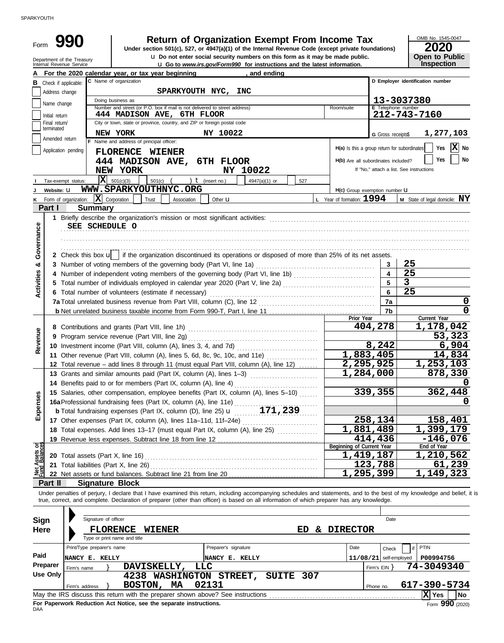| Form                           | 990                                                    | <b>Return of Organization Exempt From Income Tax</b>                                                                                                                                                                                                                                                                     |                                     | OMB No. 1545-0047                                                      |
|--------------------------------|--------------------------------------------------------|--------------------------------------------------------------------------------------------------------------------------------------------------------------------------------------------------------------------------------------------------------------------------------------------------------------------------|-------------------------------------|------------------------------------------------------------------------|
|                                |                                                        | Under section 501(c), 527, or 4947(a)(1) of the Internal Revenue Code (except private foundations)<br><b>u</b> Do not enter social security numbers on this form as it may be made public.                                                                                                                               |                                     | 2020<br><b>Open to Public</b>                                          |
|                                | Department of the Treasury<br>Internal Revenue Service | U Go to www.irs.gov/Form990 for instructions and the latest information.                                                                                                                                                                                                                                                 |                                     | Inspection                                                             |
|                                |                                                        | , and ending<br>For the 2020 calendar year, or tax year beginning<br>C Name of organization                                                                                                                                                                                                                              |                                     | D Employer identification number                                       |
|                                | <b>B</b> Check if applicable:                          |                                                                                                                                                                                                                                                                                                                          |                                     |                                                                        |
|                                | Address change                                         | SPARKYOUTH NYC,<br><b>INC</b>                                                                                                                                                                                                                                                                                            |                                     |                                                                        |
|                                | Name change                                            | Doing business as<br>Number and street (or P.O. box if mail is not delivered to street address)<br>Room/suite                                                                                                                                                                                                            |                                     | 13-3037380<br>E Telephone number                                       |
|                                | Initial return                                         | 444 MADISON AVE, 6TH FLOOR                                                                                                                                                                                                                                                                                               |                                     | 212-743-7160                                                           |
|                                | Final return/                                          | City or town, state or province, country, and ZIP or foreign postal code                                                                                                                                                                                                                                                 |                                     |                                                                        |
|                                | terminated                                             | NEW YORK<br>NY 10022                                                                                                                                                                                                                                                                                                     | G Gross receipts\$                  | 1,277,103                                                              |
|                                | Amended return                                         | F Name and address of principal officer:                                                                                                                                                                                                                                                                                 |                                     |                                                                        |
|                                | Application pending                                    | FLORENCE WIENER                                                                                                                                                                                                                                                                                                          |                                     | $\mathbf{X}$ No<br>Yes<br>H(a) Is this a group return for subordinates |
|                                |                                                        | 444 MADISON AVE, 6TH FLOOR                                                                                                                                                                                                                                                                                               | H(b) Are all subordinates included? | Yes<br>  No                                                            |
|                                |                                                        | NEW YORK<br>NY 10022                                                                                                                                                                                                                                                                                                     |                                     | If "No," attach a list. See instructions                               |
|                                | Tax-exempt status:                                     | $ \mathbf{X} $ 501(c)(3)<br>) $t$ (insert no.)<br>$501(c)$ (<br>4947(a)(1) or<br>527                                                                                                                                                                                                                                     |                                     |                                                                        |
| J                              | Website: U                                             | WWW.SPARKYOUTHNYC.ORG                                                                                                                                                                                                                                                                                                    | H(c) Group exemption number U       |                                                                        |
|                                | K Form of organization:                                | $\bar{\mathbf{X}}$ Corporation<br>$L$ Year of formation: $1994$<br>Trust<br>Association<br>Other $\mathbf u$                                                                                                                                                                                                             |                                     | M State of legal domicile: NY                                          |
|                                | Part I                                                 | <b>Summary</b>                                                                                                                                                                                                                                                                                                           |                                     |                                                                        |
|                                |                                                        | SEE SCHEDULE O                                                                                                                                                                                                                                                                                                           |                                     |                                                                        |
| Governance                     |                                                        |                                                                                                                                                                                                                                                                                                                          |                                     |                                                                        |
|                                |                                                        |                                                                                                                                                                                                                                                                                                                          |                                     |                                                                        |
|                                |                                                        |                                                                                                                                                                                                                                                                                                                          |                                     |                                                                        |
|                                |                                                        | 2 Check this box u   if the organization discontinued its operations or disposed of more than 25% of its net assets.                                                                                                                                                                                                     |                                     |                                                                        |
| ఱ                              |                                                        |                                                                                                                                                                                                                                                                                                                          | $\overline{\mathbf{4}}$             | 25<br>25                                                               |
|                                |                                                        |                                                                                                                                                                                                                                                                                                                          |                                     | $\overline{\mathbf{3}}$                                                |
| Activities                     |                                                        | 5 Total number of individuals employed in calendar year 2020 (Part V, line 2a) [[[[[[[[[[[[[[[[[[[[[[[[[[[[[[[                                                                                                                                                                                                           |                                     | 25                                                                     |
|                                |                                                        | 6 Total number of volunteers (estimate if necessary)                                                                                                                                                                                                                                                                     |                                     |                                                                        |
|                                |                                                        |                                                                                                                                                                                                                                                                                                                          | 7a<br>7b                            | 0<br>0                                                                 |
|                                |                                                        |                                                                                                                                                                                                                                                                                                                          | Prior Year                          | Current Year                                                           |
|                                |                                                        |                                                                                                                                                                                                                                                                                                                          | 404,278                             | 1,178,042                                                              |
| Revenue                        |                                                        | 9 Program service revenue (Part VIII, line 2g)                                                                                                                                                                                                                                                                           |                                     | 53,323                                                                 |
|                                |                                                        |                                                                                                                                                                                                                                                                                                                          | 8,242                               | 6,904                                                                  |
|                                |                                                        | 11 Other revenue (Part VIII, column (A), lines 5, 6d, 8c, 9c, 10c, and 11e)                                                                                                                                                                                                                                              | 1,883,405                           | 14,834                                                                 |
|                                |                                                        | 12 Total revenue - add lines 8 through 11 (must equal Part VIII, column (A), line 12)                                                                                                                                                                                                                                    | 2,295,925                           | 1,253,103                                                              |
|                                |                                                        | 13 Grants and similar amounts paid (Part IX, column (A), lines 1-3)                                                                                                                                                                                                                                                      | $\overline{1,284,000}$              | 878,330                                                                |
|                                |                                                        | 14 Benefits paid to or for members (Part IX, column (A), line 4)                                                                                                                                                                                                                                                         |                                     | O                                                                      |
|                                |                                                        | 15 Salaries, other compensation, employee benefits (Part IX, column (A), lines 5-10)                                                                                                                                                                                                                                     | 339,355                             | 362,448                                                                |
| Expenses                       |                                                        | 16a Professional fundraising fees (Part IX, column (A), line 11e)                                                                                                                                                                                                                                                        |                                     |                                                                        |
|                                |                                                        |                                                                                                                                                                                                                                                                                                                          |                                     |                                                                        |
|                                |                                                        | 17 Other expenses (Part IX, column (A), lines 11a-11d, 11f-24e)                                                                                                                                                                                                                                                          | 258,134                             | 158,401                                                                |
|                                |                                                        | 18 Total expenses. Add lines 13-17 (must equal Part IX, column (A), line 25) [                                                                                                                                                                                                                                           | 1,881,489                           | 1,399,179                                                              |
|                                |                                                        | 19 Revenue less expenses. Subtract line 18 from line 12 [11] Revenue Lines in the set of the set of the set of the set of the set of the set of the set of the set of the set of the set of the set of the set of the set of t                                                                                           | 414,436                             | $-146,076$                                                             |
|                                |                                                        |                                                                                                                                                                                                                                                                                                                          | Beginning of Current Year           | End of Year                                                            |
|                                |                                                        |                                                                                                                                                                                                                                                                                                                          | 1,419,187                           | 1,210,562                                                              |
|                                |                                                        |                                                                                                                                                                                                                                                                                                                          | 123,788                             | 61,239                                                                 |
|                                |                                                        |                                                                                                                                                                                                                                                                                                                          |                                     |                                                                        |
| Net Assets or<br>Fund Balances |                                                        |                                                                                                                                                                                                                                                                                                                          | 1,295,399                           | 1,149,323                                                              |
|                                | Part II                                                | <b>Signature Block</b>                                                                                                                                                                                                                                                                                                   |                                     |                                                                        |
|                                |                                                        | Under penalties of perjury, I declare that I have examined this return, including accompanying schedules and statements, and to the best of my knowledge and belief, it is<br>true, correct, and complete. Declaration of preparer (other than officer) is based on all information of which preparer has any knowledge. |                                     |                                                                        |
|                                |                                                        |                                                                                                                                                                                                                                                                                                                          |                                     |                                                                        |
| Sign                           |                                                        | Signature of officer                                                                                                                                                                                                                                                                                                     | Date                                |                                                                        |
| <b>Here</b>                    |                                                        | <b>FLORENCE</b><br>& DIRECTOR<br><b>WIENER</b><br>ED                                                                                                                                                                                                                                                                     |                                     |                                                                        |
|                                |                                                        | Type or print name and title                                                                                                                                                                                                                                                                                             |                                     |                                                                        |
|                                |                                                        | Print/Type preparer's name<br>Preparer's signature<br>Date                                                                                                                                                                                                                                                               | Check                               | PTIN                                                                   |
| Paid                           |                                                        | NANCY E. KELLY<br>NANCY E. KELLY                                                                                                                                                                                                                                                                                         | $11/08/21$ self-employed            | P00994756                                                              |
|                                | Preparer<br>Firm's name                                | DAVISKELLY,<br>LLC                                                                                                                                                                                                                                                                                                       | Firm's $EIN$ }                      | 74-3049340                                                             |
|                                | Use Only                                               | SUITE 307<br>4238 WASHINGTON STREET,                                                                                                                                                                                                                                                                                     |                                     |                                                                        |
|                                | Firm's address                                         | 02131<br>BOSTON, MA                                                                                                                                                                                                                                                                                                      | Phone no.                           | 617-390-5734                                                           |

| Preparer | Firm's name                                                                                        |  | DAVISKELLY, LLC                   |  | Firm's $EIN$ | 74-3049340   |  |  |  |  |  |
|----------|----------------------------------------------------------------------------------------------------|--|-----------------------------------|--|--------------|--------------|--|--|--|--|--|
| Use Only |                                                                                                    |  | 4238 WASHINGTON STREET, SUITE 307 |  |              |              |  |  |  |  |  |
|          | Firm's address                                                                                     |  | <b>BOSTON, MA 02131</b>           |  | Phone no.    | 617-390-5734 |  |  |  |  |  |
|          | May the IRS discuss this return with the preparer shown above? See instructions<br>l No<br>∣X∣ Yes |  |                                   |  |              |              |  |  |  |  |  |
| DAA      | Form 990 (2020)<br>For Paperwork Reduction Act Notice, see the separate instructions.              |  |                                   |  |              |              |  |  |  |  |  |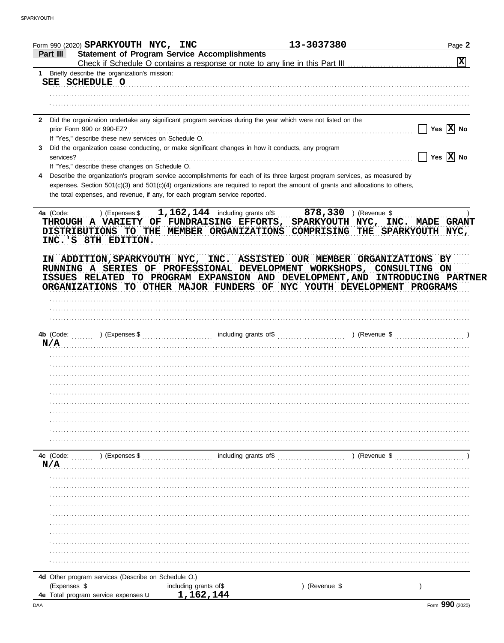| Form 990 (2020) SPARKYOUTH $NYC$ , INC                                                                                                                                                                                                                                                                    | 13-3037380              | Page 2                |
|-----------------------------------------------------------------------------------------------------------------------------------------------------------------------------------------------------------------------------------------------------------------------------------------------------------|-------------------------|-----------------------|
| <b>Statement of Program Service Accomplishments</b><br>Part III                                                                                                                                                                                                                                           |                         | 図                     |
| 1 Briefly describe the organization's mission:                                                                                                                                                                                                                                                            |                         |                       |
| SEE SCHEDULE O                                                                                                                                                                                                                                                                                            |                         |                       |
|                                                                                                                                                                                                                                                                                                           |                         |                       |
|                                                                                                                                                                                                                                                                                                           |                         |                       |
| 2 Did the organization undertake any significant program services during the year which were not listed on the                                                                                                                                                                                            |                         |                       |
| prior Form 990 or 990-EZ?                                                                                                                                                                                                                                                                                 |                         | Yes $ X $ No          |
| If "Yes," describe these new services on Schedule O.                                                                                                                                                                                                                                                      |                         |                       |
| Did the organization cease conducting, or make significant changes in how it conducts, any program                                                                                                                                                                                                        |                         | Yes $\overline{X}$ No |
| services?<br>If "Yes," describe these changes on Schedule O.                                                                                                                                                                                                                                              |                         |                       |
| Describe the organization's program service accomplishments for each of its three largest program services, as measured by                                                                                                                                                                                |                         |                       |
| expenses. Section 501(c)(3) and 501(c)(4) organizations are required to report the amount of grants and allocations to others,                                                                                                                                                                            |                         |                       |
| the total expenses, and revenue, if any, for each program service reported.                                                                                                                                                                                                                               |                         |                       |
| $1,162,144$ including grants of \$<br>4a (Code:<br>) (Expenses \$<br>THROUGH A VARIETY OF FUNDRAISING EFFORTS, SPARKYOUTH NYC, INC. MADE GRANT<br>DISTRIBUTIONS TO THE MEMBER ORGANIZATIONS COMPRISING THE SPARKYOUTH NYC,<br>INC.'S 8TH EDITION.                                                         | $878,330$ ) (Revenue \$ |                       |
| IN ADDITION, SPARKYOUTH NYC, INC. ASSISTED OUR MEMBER ORGANIZATIONS BY<br>RUNNING A SERIES OF PROFESSIONAL DEVELOPMENT WORKSHOPS, CONSULTING ON<br>ISSUES RELATED TO PROGRAM EXPANSION AND DEVELOPMENT, AND INTRODUCING PARTNER<br>ORGANIZATIONS TO OTHER MAJOR FUNDERS OF NYC YOUTH DEVELOPMENT PROGRAMS |                         |                       |
|                                                                                                                                                                                                                                                                                                           |                         |                       |
|                                                                                                                                                                                                                                                                                                           |                         |                       |
|                                                                                                                                                                                                                                                                                                           |                         |                       |
|                                                                                                                                                                                                                                                                                                           |                         |                       |
|                                                                                                                                                                                                                                                                                                           |                         |                       |
|                                                                                                                                                                                                                                                                                                           |                         |                       |
|                                                                                                                                                                                                                                                                                                           |                         |                       |
|                                                                                                                                                                                                                                                                                                           |                         |                       |
|                                                                                                                                                                                                                                                                                                           |                         |                       |
|                                                                                                                                                                                                                                                                                                           |                         |                       |
|                                                                                                                                                                                                                                                                                                           |                         |                       |
|                                                                                                                                                                                                                                                                                                           |                         |                       |
|                                                                                                                                                                                                                                                                                                           |                         |                       |
| ) (Expenses \$                                                                                                                                                                                                                                                                                            | including grants of\$   | ) (Revenue \$         |
|                                                                                                                                                                                                                                                                                                           |                         |                       |
|                                                                                                                                                                                                                                                                                                           |                         |                       |
|                                                                                                                                                                                                                                                                                                           |                         |                       |
|                                                                                                                                                                                                                                                                                                           |                         |                       |
|                                                                                                                                                                                                                                                                                                           |                         |                       |
|                                                                                                                                                                                                                                                                                                           |                         |                       |
|                                                                                                                                                                                                                                                                                                           |                         |                       |
|                                                                                                                                                                                                                                                                                                           |                         |                       |
|                                                                                                                                                                                                                                                                                                           |                         |                       |
|                                                                                                                                                                                                                                                                                                           |                         |                       |
| N/A<br>4c (Code:<br>N/A<br>4d Other program services (Describe on Schedule O.)<br>(Expenses \$<br>including grants of\$                                                                                                                                                                                   | (Revenue \$             |                       |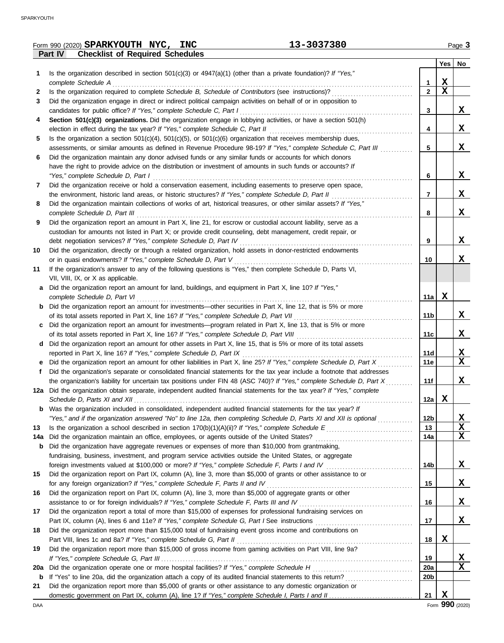|     | 13-3037380<br>Form 990 (2020) SPARKYOUTH NYC, INC                                                                       |                 |             | Page 3        |
|-----|-------------------------------------------------------------------------------------------------------------------------|-----------------|-------------|---------------|
|     | Part IV<br><b>Checklist of Required Schedules</b>                                                                       |                 |             |               |
|     |                                                                                                                         |                 |             | $Yes \mid No$ |
| 1.  | Is the organization described in section $501(c)(3)$ or $4947(a)(1)$ (other than a private foundation)? If "Yes,"       |                 |             |               |
|     | complete Schedule A                                                                                                     | 1               | X           |               |
| 2   | Is the organization required to complete Schedule B, Schedule of Contributors (see instructions)?                       | $\mathbf{2}$    | $\mathbf X$ |               |
| 3   | Did the organization engage in direct or indirect political campaign activities on behalf of or in opposition to        |                 |             |               |
|     | candidates for public office? If "Yes," complete Schedule C, Part I                                                     | 3               |             | X             |
| 4   | Section 501(c)(3) organizations. Did the organization engage in lobbying activities, or have a section 501(h)           |                 |             |               |
|     | election in effect during the tax year? If "Yes," complete Schedule C, Part II                                          | 4               |             | X             |
| 5   | Is the organization a section $501(c)(4)$ , $501(c)(5)$ , or $501(c)(6)$ organization that receives membership dues,    |                 |             |               |
|     | assessments, or similar amounts as defined in Revenue Procedure 98-19? If "Yes," complete Schedule C, Part III          | 5               |             | X             |
| 6   | Did the organization maintain any donor advised funds or any similar funds or accounts for which donors                 |                 |             |               |
|     | have the right to provide advice on the distribution or investment of amounts in such funds or accounts? If             |                 |             |               |
|     | "Yes," complete Schedule D, Part I                                                                                      | 6               |             | X             |
|     | Did the organization receive or hold a conservation easement, including easements to preserve open space,               |                 |             |               |
| 7   |                                                                                                                         | $\overline{7}$  |             | X             |
|     | the environment, historic land areas, or historic structures? If "Yes," complete Schedule D, Part II                    |                 |             |               |
| 8   | Did the organization maintain collections of works of art, historical treasures, or other similar assets? If "Yes,"     |                 |             |               |
|     | complete Schedule D, Part III                                                                                           | 8               |             | X             |
| 9   | Did the organization report an amount in Part X, line 21, for escrow or custodial account liability, serve as a         |                 |             |               |
|     | custodian for amounts not listed in Part X; or provide credit counseling, debt management, credit repair, or            |                 |             |               |
|     | debt negotiation services? If "Yes," complete Schedule D, Part IV                                                       | 9               |             | X             |
| 10  | Did the organization, directly or through a related organization, hold assets in donor-restricted endowments            |                 |             |               |
|     | or in quasi endowments? If "Yes," complete Schedule D, Part V                                                           | 10              |             | X             |
| 11  | If the organization's answer to any of the following questions is "Yes," then complete Schedule D, Parts VI,            |                 |             |               |
|     | VII, VIII, IX, or X as applicable.                                                                                      |                 |             |               |
| a   | Did the organization report an amount for land, buildings, and equipment in Part X, line 10? If "Yes,"                  |                 |             |               |
|     | complete Schedule D, Part VI                                                                                            | 11a             | X           |               |
|     | Did the organization report an amount for investments—other securities in Part X, line 12, that is 5% or more           |                 |             |               |
|     | of its total assets reported in Part X, line 16? If "Yes," complete Schedule D, Part VII                                | 11 <sub>b</sub> |             | X             |
| c   | Did the organization report an amount for investments—program related in Part X, line 13, that is 5% or more            |                 |             |               |
|     | of its total assets reported in Part X, line 16? If "Yes," complete Schedule D, Part VIII                               | 11 <sub>c</sub> |             | X             |
| d   | Did the organization report an amount for other assets in Part X, line 15, that is 5% or more of its total assets       |                 |             |               |
|     | reported in Part X, line 16? If "Yes," complete Schedule D, Part IX                                                     | 11d             |             | $\mathbf{X}$  |
| е   | Did the organization report an amount for other liabilities in Part X, line 25? If "Yes," complete Schedule D, Part X   | 11e             |             | $\mathbf x$   |
| f   | Did the organization's separate or consolidated financial statements for the tax year include a footnote that addresses |                 |             |               |
|     | the organization's liability for uncertain tax positions under FIN 48 (ASC 740)? If "Yes," complete Schedule D, Part X  | 11f             |             | X             |
|     | 12a Did the organization obtain separate, independent audited financial statements for the tax year? If "Yes," complete |                 |             |               |
|     | Schedule D, Parts XI and XII                                                                                            | 12a             | X           |               |
| b   | Was the organization included in consolidated, independent audited financial statements for the tax year? If            |                 |             |               |
|     | "Yes," and if the organization answered "No" to line 12a, then completing Schedule D, Parts XI and XII is optional      | 12b             |             | X             |
| 13  |                                                                                                                         | 13              |             | X             |
| 14a | Did the organization maintain an office, employees, or agents outside of the United States?                             | 14a             |             | X             |
|     | Did the organization have aggregate revenues or expenses of more than \$10,000 from grantmaking,                        |                 |             |               |
| b   |                                                                                                                         |                 |             |               |
|     | fundraising, business, investment, and program service activities outside the United States, or aggregate               |                 |             |               |
|     |                                                                                                                         | 14b             |             | X             |
| 15  | Did the organization report on Part IX, column (A), line 3, more than \$5,000 of grants or other assistance to or       |                 |             |               |
|     | for any foreign organization? If "Yes," complete Schedule F, Parts II and IV                                            | 15              |             | X             |
| 16  | Did the organization report on Part IX, column (A), line 3, more than \$5,000 of aggregate grants or other              |                 |             |               |
|     |                                                                                                                         | 16              |             | X             |
| 17  | Did the organization report a total of more than \$15,000 of expenses for professional fundraising services on          |                 |             |               |
|     |                                                                                                                         | 17              |             | X             |
| 18  | Did the organization report more than \$15,000 total of fundraising event gross income and contributions on             |                 |             |               |
|     | Part VIII, lines 1c and 8a? If "Yes," complete Schedule G, Part II                                                      | 18              | $\mathbf x$ |               |
| 19  | Did the organization report more than \$15,000 of gross income from gaming activities on Part VIII, line 9a?            |                 |             |               |
|     |                                                                                                                         | 19              |             | <u>x</u>      |
| 20a | Did the organization operate one or more hospital facilities? If "Yes," complete Schedule H                             | 20a             |             | $\mathbf X$   |
| b   |                                                                                                                         | 20 <sub>b</sub> |             |               |
| 21  | Did the organization report more than \$5,000 of grants or other assistance to any domestic organization or             |                 |             |               |
|     |                                                                                                                         | 21              | X           |               |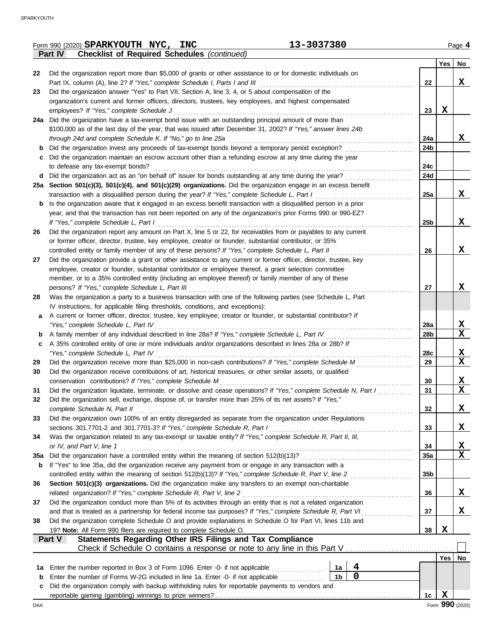|     | 13-3037380<br>Form 990 (2020) SPARKYOUTH NYC, INC                                                                                                                                                                 |                 |             | Page 4                  |
|-----|-------------------------------------------------------------------------------------------------------------------------------------------------------------------------------------------------------------------|-----------------|-------------|-------------------------|
|     | <b>Checklist of Required Schedules (continued)</b><br>Part IV                                                                                                                                                     |                 |             |                         |
|     |                                                                                                                                                                                                                   |                 | Yes $ $     | No                      |
| 22  | Did the organization report more than \$5,000 of grants or other assistance to or for domestic individuals on                                                                                                     |                 |             |                         |
|     | Part IX, column (A), line 2? If "Yes," complete Schedule I, Parts I and III                                                                                                                                       | 22              |             | X                       |
| 23  | Did the organization answer "Yes" to Part VII, Section A, line 3, 4, or 5 about compensation of the                                                                                                               |                 |             |                         |
|     | organization's current and former officers, directors, trustees, key employees, and highest compensated                                                                                                           |                 |             |                         |
|     | employees? If "Yes," complete Schedule J                                                                                                                                                                          | 23              | X           |                         |
|     | 24a Did the organization have a tax-exempt bond issue with an outstanding principal amount of more than                                                                                                           |                 |             |                         |
|     | \$100,000 as of the last day of the year, that was issued after December 31, 2002? If "Yes," answer lines 24b                                                                                                     |                 |             |                         |
|     | through 24d and complete Schedule K. If "No," go to line 25a                                                                                                                                                      | 24a             |             | X                       |
|     | Did the organization invest any proceeds of tax-exempt bonds beyond a temporary period exception?                                                                                                                 | 24b             |             |                         |
|     | Did the organization maintain an escrow account other than a refunding escrow at any time during the year                                                                                                         |                 |             |                         |
|     | to defease any tax-exempt bonds?                                                                                                                                                                                  | 24c             |             |                         |
|     | d Did the organization act as an "on behalf of" issuer for bonds outstanding at any time during the year?                                                                                                         | 24d             |             |                         |
|     | 25a Section 501(c)(3), 501(c)(4), and 501(c)(29) organizations. Did the organization engage in an excess benefit                                                                                                  |                 |             | X                       |
|     | transaction with a disqualified person during the year? If "Yes," complete Schedule L, Part I<br>Is the organization aware that it engaged in an excess benefit transaction with a disqualified person in a prior | 25a             |             |                         |
| b   | year, and that the transaction has not been reported on any of the organization's prior Forms 990 or 990-EZ?                                                                                                      |                 |             |                         |
|     | If "Yes," complete Schedule L, Part I                                                                                                                                                                             | 25b             |             | X                       |
| 26  | Did the organization report any amount on Part X, line 5 or 22, for receivables from or payables to any current                                                                                                   |                 |             |                         |
|     | or former officer, director, trustee, key employee, creator or founder, substantial contributor, or 35%                                                                                                           |                 |             |                         |
|     | controlled entity or family member of any of these persons? If "Yes," complete Schedule L, Part II                                                                                                                | 26              |             | X                       |
| 27  | Did the organization provide a grant or other assistance to any current or former officer, director, trustee, key                                                                                                 |                 |             |                         |
|     | employee, creator or founder, substantial contributor or employee thereof, a grant selection committee                                                                                                            |                 |             |                         |
|     | member, or to a 35% controlled entity (including an employee thereof) or family member of any of these                                                                                                            |                 |             |                         |
|     | persons? If "Yes," complete Schedule L, Part III                                                                                                                                                                  | 27              |             | X                       |
| 28  | Was the organization a party to a business transaction with one of the following parties (see Schedule L, Part                                                                                                    |                 |             |                         |
|     | IV instructions, for applicable filing thresholds, conditions, and exceptions):                                                                                                                                   |                 |             |                         |
| a   | A current or former officer, director, trustee, key employee, creator or founder, or substantial contributor? If                                                                                                  |                 |             |                         |
|     | "Yes," complete Schedule L, Part IV                                                                                                                                                                               | 28a             |             | X                       |
| b   | A family member of any individual described in line 28a? If "Yes," complete Schedule L, Part IV                                                                                                                   | 28 <sub>b</sub> |             | X                       |
| c   | A 35% controlled entity of one or more individuals and/or organizations described in lines 28a or 28b? If                                                                                                         |                 |             |                         |
|     | "Yes," complete Schedule L, Part IV                                                                                                                                                                               | 28c             |             | X                       |
| 29  | Did the organization receive more than \$25,000 in non-cash contributions? If "Yes," complete Schedule M                                                                                                          | 29              |             | X                       |
| 30  | Did the organization receive contributions of art, historical treasures, or other similar assets, or qualified                                                                                                    |                 |             |                         |
|     | conservation contributions? If "Yes," complete Schedule M                                                                                                                                                         | 30              |             | X                       |
| 31  | Did the organization liquidate, terminate, or dissolve and cease operations? If "Yes," complete Schedule N, Part I                                                                                                | 31              |             | $\overline{\mathbf{X}}$ |
| 32  | Did the organization sell, exchange, dispose of, or transfer more than 25% of its net assets? If "Yes,"                                                                                                           |                 |             |                         |
|     | complete Schedule N, Part II                                                                                                                                                                                      | 32              |             | X                       |
| 33  | Did the organization own 100% of an entity disregarded as separate from the organization under Regulations                                                                                                        |                 |             |                         |
|     | sections 301.7701-2 and 301.7701-3? If "Yes," complete Schedule R, Part I                                                                                                                                         | 33              |             | X                       |
| 34  | Was the organization related to any tax-exempt or taxable entity? If "Yes," complete Schedule R, Part II, III,<br>or IV, and Part V, line 1                                                                       | 34              |             | <u>x</u>                |
| 35a | Did the organization have a controlled entity within the meaning of section 512(b)(13)?                                                                                                                           | <b>35a</b>      |             | X                       |
| b   | If "Yes" to line 35a, did the organization receive any payment from or engage in any transaction with a                                                                                                           |                 |             |                         |
|     | controlled entity within the meaning of section 512(b)(13)? If "Yes," complete Schedule R, Part V, line 2                                                                                                         | 35b             |             |                         |
| 36  | Section 501(c)(3) organizations. Did the organization make any transfers to an exempt non-charitable                                                                                                              |                 |             |                         |
|     | related organization? If "Yes," complete Schedule R, Part V, line 2                                                                                                                                               | 36              |             | X                       |
| 37  | Did the organization conduct more than 5% of its activities through an entity that is not a related organization                                                                                                  |                 |             |                         |
|     | and that is treated as a partnership for federal income tax purposes? If "Yes," complete Schedule R, Part VI                                                                                                      | 37              |             | X                       |
| 38  | Did the organization complete Schedule O and provide explanations in Schedule O for Part VI, lines 11b and                                                                                                        |                 |             |                         |
|     | 19? Note: All Form 990 filers are required to complete Schedule O.                                                                                                                                                | 38              | X           |                         |
|     | Statements Regarding Other IRS Filings and Tax Compliance<br>Part V                                                                                                                                               |                 |             |                         |
|     |                                                                                                                                                                                                                   |                 |             |                         |
|     |                                                                                                                                                                                                                   |                 | Yes   No    |                         |
| 1a  | $\overline{\mathbf{4}}$<br>Enter the number reported in Box 3 of Form 1096. Enter -0- if not applicable<br>1a                                                                                                     |                 |             |                         |
| b   | $\mathbf 0$<br>1 <sub>b</sub><br>Enter the number of Forms W-2G included in line 1a. Enter -0- if not applicable                                                                                                  |                 |             |                         |
| c   | Did the organization comply with backup withholding rules for reportable payments to vendors and                                                                                                                  |                 |             |                         |
|     |                                                                                                                                                                                                                   | 1 <sub>c</sub>  | $\mathbf X$ |                         |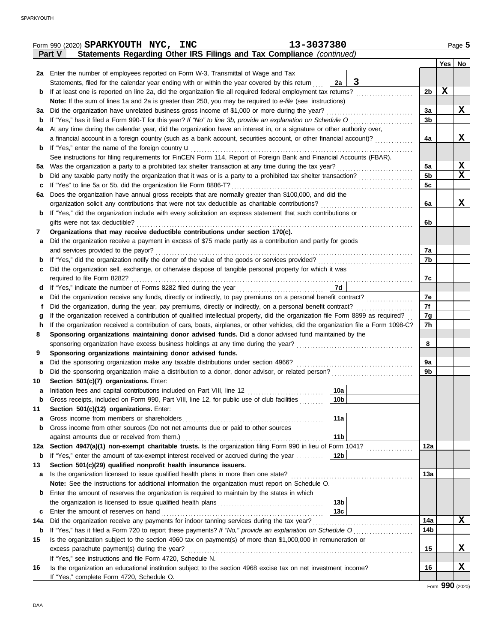|     | Form 990 (2020) SPARKYOUTH NYC, INC                                                                                                | 13-3037380         |                |             | Page 5 |
|-----|------------------------------------------------------------------------------------------------------------------------------------|--------------------|----------------|-------------|--------|
|     | Statements Regarding Other IRS Filings and Tax Compliance (continued)<br><b>Part V</b>                                             |                    |                |             |        |
|     |                                                                                                                                    |                    |                |             | Yes No |
|     | 2a Enter the number of employees reported on Form W-3, Transmittal of Wage and Tax                                                 |                    |                |             |        |
|     | Statements, filed for the calendar year ending with or within the year covered by this return                                      | $\mathbf{3}$<br>2a |                |             |        |
| b   | If at least one is reported on line 2a, did the organization file all required federal employment tax returns?                     |                    | 2 <sub>b</sub> | $\mathbf x$ |        |
|     | Note: If the sum of lines 1a and 2a is greater than 250, you may be required to e-file (see instructions)                          |                    |                |             |        |
| За  | Did the organization have unrelated business gross income of \$1,000 or more during the year?                                      |                    | За             |             | X      |
| b   |                                                                                                                                    |                    | 3 <sub>b</sub> |             |        |
| 4a  | At any time during the calendar year, did the organization have an interest in, or a signature or other authority over,            |                    |                |             |        |
|     | a financial account in a foreign country (such as a bank account, securities account, or other financial account)?                 |                    | 4a             |             | X      |
| b   | If "Yes," enter the name of the foreign country <b>u</b>                                                                           |                    |                |             |        |
|     | See instructions for filing requirements for FinCEN Form 114, Report of Foreign Bank and Financial Accounts (FBAR).                |                    |                |             |        |
| 5а  |                                                                                                                                    |                    | 5a             |             | X      |
| b   |                                                                                                                                    |                    | 5 <sub>b</sub> |             | X      |
| с   | If "Yes" to line 5a or 5b, did the organization file Form 8886-T?                                                                  |                    | 5c             |             |        |
| 6a  | Does the organization have annual gross receipts that are normally greater than \$100,000, and did the                             |                    |                |             |        |
|     | organization solicit any contributions that were not tax deductible as charitable contributions?                                   |                    | 6a             |             | x      |
| b   | If "Yes," did the organization include with every solicitation an express statement that such contributions or                     |                    |                |             |        |
|     | gifts were not tax deductible?                                                                                                     |                    | 6b             |             |        |
| 7   | Organizations that may receive deductible contributions under section 170(c).                                                      |                    |                |             |        |
| а   | Did the organization receive a payment in excess of \$75 made partly as a contribution and partly for goods                        |                    |                |             |        |
|     | and services provided to the payor?                                                                                                |                    | 7a             |             |        |
| b   |                                                                                                                                    |                    | 7b             |             |        |
| с   | Did the organization sell, exchange, or otherwise dispose of tangible personal property for which it was                           |                    |                |             |        |
|     | required to file Form 8282?                                                                                                        |                    | 7c             |             |        |
| d   | If "Yes," indicate the number of Forms 8282 filed during the year<br>[[[[[[[[[[[[[]]]]]]                                           | 7d                 |                |             |        |
| е   |                                                                                                                                    |                    | 7е             |             |        |
|     | Did the organization, during the year, pay premiums, directly or indirectly, on a personal benefit contract?                       |                    | 7f             |             |        |
| g   | If the organization received a contribution of qualified intellectual property, did the organization file Form 8899 as required?   |                    | 7g             |             |        |
| h   | If the organization received a contribution of cars, boats, airplanes, or other vehicles, did the organization file a Form 1098-C? |                    | 7h             |             |        |
| 8   | Sponsoring organizations maintaining donor advised funds. Did a donor advised fund maintained by the                               |                    |                |             |        |
|     |                                                                                                                                    |                    | 8              |             |        |
| 9   | Sponsoring organizations maintaining donor advised funds.                                                                          |                    |                |             |        |
| а   | Did the sponsoring organization make any taxable distributions under section 4966?                                                 |                    | 9а             |             |        |
| b   | Did the sponsoring organization make a distribution to a donor, donor advisor, or related person?                                  |                    | 9b             |             |        |
| 10  | Section 501(c)(7) organizations. Enter:                                                                                            |                    |                |             |        |
| а   | Initiation fees and capital contributions included on Part VIII, line 12                                                           | 10a                |                |             |        |
| b   | Gross receipts, included on Form 990, Part VIII, line 12, for public use of club facilities                                        | 10b                |                |             |        |
| 11  | Section 501(c)(12) organizations. Enter:                                                                                           |                    |                |             |        |
| а   | Gross income from members or shareholders                                                                                          | 11a                |                |             |        |
| b   | Gross income from other sources (Do not net amounts due or paid to other sources                                                   |                    |                |             |        |
|     | against amounts due or received from them.)                                                                                        | 11 <sub>b</sub>    |                |             |        |
| 12a | Section 4947(a)(1) non-exempt charitable trusts. Is the organization filing Form 990 in lieu of Form 1041?                         |                    | 12a            |             |        |
| b   | If "Yes," enter the amount of tax-exempt interest received or accrued during the year                                              | 12b                |                |             |        |
| 13  | Section 501(c)(29) qualified nonprofit health insurance issuers.                                                                   |                    |                |             |        |
| а   | Is the organization licensed to issue qualified health plans in more than one state?                                               |                    | 13a            |             |        |
|     | Note: See the instructions for additional information the organization must report on Schedule O.                                  |                    |                |             |        |
| b   | Enter the amount of reserves the organization is required to maintain by the states in which                                       |                    |                |             |        |
|     |                                                                                                                                    | 13 <sub>b</sub>    |                |             |        |
| c   | Enter the amount of reserves on hand                                                                                               | 13 <sub>c</sub>    |                |             |        |
| 14a | Did the organization receive any payments for indoor tanning services during the tax year?                                         |                    | 14a            |             | x      |
| b   | If "Yes," has it filed a Form 720 to report these payments? If "No," provide an explanation on Schedule O                          |                    | 14b            |             |        |
| 15  | Is the organization subject to the section 4960 tax on payment(s) of more than \$1,000,000 in remuneration or                      |                    |                |             |        |
|     | excess parachute payment(s) during the year?                                                                                       |                    | 15             |             | X      |
|     | If "Yes," see instructions and file Form 4720, Schedule N.                                                                         |                    |                |             |        |
| 16  | Is the organization an educational institution subject to the section 4968 excise tax on net investment income?                    |                    | 16             |             | X      |
|     | If "Yes," complete Form 4720, Schedule O.                                                                                          |                    |                |             |        |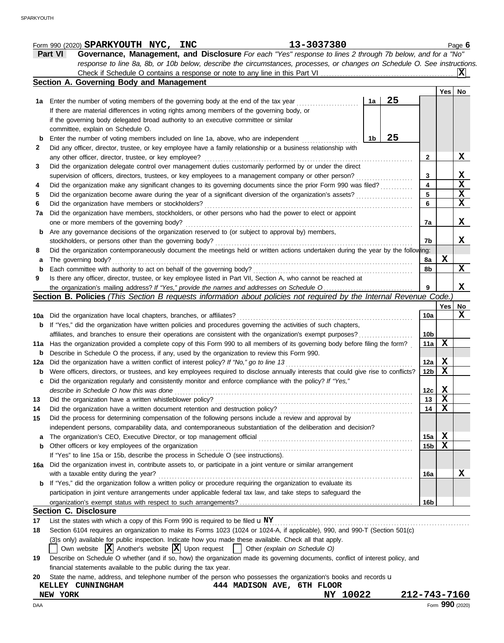|     | Check if Schedule O contains a response or note to any line in this Part VI                                                                                   |    |              |                 |                 | x           |
|-----|---------------------------------------------------------------------------------------------------------------------------------------------------------------|----|--------------|-----------------|-----------------|-------------|
|     | Section A. Governing Body and Management                                                                                                                      |    |              |                 |                 |             |
|     |                                                                                                                                                               |    |              |                 | Yes             | No          |
|     | 1a Enter the number of voting members of the governing body at the end of the tax year                                                                        | 1a | 25           |                 |                 |             |
|     | If there are material differences in voting rights among members of the governing body, or                                                                    |    |              |                 |                 |             |
|     | if the governing body delegated broad authority to an executive committee or similar                                                                          |    |              |                 |                 |             |
|     | committee, explain on Schedule O.                                                                                                                             |    |              |                 |                 |             |
| b   | Enter the number of voting members included on line 1a, above, who are independent                                                                            | 1b | 25           |                 |                 |             |
| 2   | Did any officer, director, trustee, or key employee have a family relationship or a business relationship with                                                |    |              |                 |                 |             |
|     | any other officer, director, trustee, or key employee?                                                                                                        |    |              | $\mathbf{2}$    |                 | X           |
| 3   | Did the organization delegate control over management duties customarily performed by or under the direct                                                     |    |              |                 |                 |             |
|     | supervision of officers, directors, trustees, or key employees to a management company or other person?                                                       |    |              | 3               |                 | X           |
| 4   | Did the organization make any significant changes to its governing documents since the prior Form 990 was filed?                                              |    |              | 4               |                 | $\mathbf X$ |
| 5   | Did the organization become aware during the year of a significant diversion of the organization's assets?                                                    |    |              | 5               |                 | X<br>X      |
| 6   | Did the organization have members or stockholders?<br>Did the organization have members, stockholders, or other persons who had the power to elect or appoint |    |              | 6               |                 |             |
| 7a  | one or more members of the governing body?                                                                                                                    |    |              | 7a              |                 | X           |
| b   | Are any governance decisions of the organization reserved to (or subject to approval by) members,                                                             |    |              |                 |                 |             |
|     | stockholders, or persons other than the governing body?                                                                                                       |    |              | 7b              |                 | X           |
| 8   | Did the organization contemporaneously document the meetings held or written actions undertaken during the year by the following:                             |    |              |                 |                 |             |
| a   | The governing body?                                                                                                                                           |    |              | 8а              | X               |             |
| b   | Each committee with authority to act on behalf of the governing body?                                                                                         |    |              | 8b              |                 | X           |
| 9   | Is there any officer, director, trustee, or key employee listed in Part VII, Section A, who cannot be reached at                                              |    |              |                 |                 |             |
|     |                                                                                                                                                               |    |              | 9               |                 | X           |
|     | Section B. Policies (This Section B requests information about policies not required by the Internal Revenue Code.)                                           |    |              |                 |                 |             |
|     |                                                                                                                                                               |    |              |                 | Yes             | No          |
|     | 10a Did the organization have local chapters, branches, or affiliates?                                                                                        |    |              | 10a             |                 | X           |
| b   | If "Yes," did the organization have written policies and procedures governing the activities of such chapters,                                                |    |              |                 |                 |             |
|     | affiliates, and branches to ensure their operations are consistent with the organization's exempt purposes?                                                   |    |              | 10b             |                 |             |
| 11a | Has the organization provided a complete copy of this Form 990 to all members of its governing body before filing the form?                                   |    |              | 11a             | X               |             |
| b   | Describe in Schedule O the process, if any, used by the organization to review this Form 990.                                                                 |    |              |                 |                 |             |
| 12a | Did the organization have a written conflict of interest policy? If "No," go to line 13                                                                       |    |              | 12a             | X               |             |
| b   | Were officers, directors, or trustees, and key employees required to disclose annually interests that could give rise to conflicts?                           |    |              | 12b             | X               |             |
| c   | Did the organization regularly and consistently monitor and enforce compliance with the policy? If "Yes,"                                                     |    |              |                 |                 |             |
|     | describe in Schedule O how this was done                                                                                                                      |    |              | 12c             | X               |             |
| 13  | Did the organization have a written whistleblower policy?                                                                                                     |    |              | 13              | $\mathbf x$     |             |
| 14  | Did the organization have a written document retention and destruction policy?                                                                                |    |              | 14              | $\mathbf x$     |             |
|     | Did the process for determining compensation of the following persons include a review and approval by                                                        |    |              |                 |                 |             |
|     | independent persons, comparability data, and contemporaneous substantiation of the deliberation and decision?                                                 |    |              |                 |                 |             |
| a   |                                                                                                                                                               |    |              | 15a             | X               |             |
| b   | Other officers or key employees of the organization                                                                                                           |    |              | 15 <sub>b</sub> | X               |             |
|     | If "Yes" to line 15a or 15b, describe the process in Schedule O (see instructions).                                                                           |    |              |                 |                 |             |
| 16a | Did the organization invest in, contribute assets to, or participate in a joint venture or similar arrangement<br>with a taxable entity during the year?      |    |              | 16a             |                 | X           |
| b   | If "Yes," did the organization follow a written policy or procedure requiring the organization to evaluate its                                                |    |              |                 |                 |             |
|     | participation in joint venture arrangements under applicable federal tax law, and take steps to safeguard the                                                 |    |              |                 |                 |             |
|     |                                                                                                                                                               |    |              | 16b             |                 |             |
|     | <b>Section C. Disclosure</b>                                                                                                                                  |    |              |                 |                 |             |
| 17  | List the states with which a copy of this Form 990 is required to be filed $\mathbf{u}$ NY                                                                    |    |              |                 |                 |             |
| 18  | Section 6104 requires an organization to make its Forms 1023 (1024 or 1024-A, if applicable), 990, and 990-T (Section 501(c)                                  |    | .            |                 |                 |             |
|     | (3)s only) available for public inspection. Indicate how you made these available. Check all that apply.                                                      |    |              |                 |                 |             |
|     | Own website $ \mathbf{X} $ Another's website $ \mathbf{X} $ Upon request<br>Other (explain on Schedule O)<br>$\blacksquare$                                   |    |              |                 |                 |             |
| 19  | Describe on Schedule O whether (and if so, how) the organization made its governing documents, conflict of interest policy, and                               |    |              |                 |                 |             |
|     | financial statements available to the public during the tax year.                                                                                             |    |              |                 |                 |             |
| 20  | State the name, address, and telephone number of the person who possesses the organization's books and records u                                              |    |              |                 |                 |             |
|     | 444 MADISON AVE, 6TH FLOOR<br>KELLEY CUNNINGHAM                                                                                                               |    |              |                 |                 |             |
|     | NY 10022<br>NEW YORK                                                                                                                                          |    | 212-743-7160 |                 |                 |             |
| DAA |                                                                                                                                                               |    |              |                 | Form 990 (2020) |             |

**Part VI Governance, Management, and Disclosure** *For each "Yes" response to lines 2 through 7b below, and for a "No"*

*response to line 8a, 8b, or 10b below, describe the circumstances, processes, or changes on Schedule O. See instructions.*

## Form 990 (2020) Page **6 SPARKYOUTH NYC, INC 13-3037380**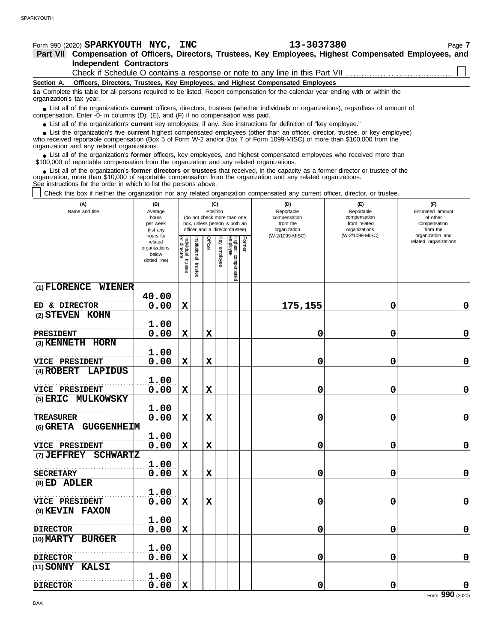## **Section A. Independent Contractors Part VII Compensation of Officers, Directors, Trustees, Key Employees, Highest Compensated Employees, and** Form 990 (2020) Page **7 SPARKYOUTH NYC, INC 13-3037380 Officers, Directors, Trustees, Key Employees, and Highest Compensated Employees 1a** Complete this table for all persons required to be listed. Report compensation for the calendar year ending with or within the ■ List all of the organization's **current** officers, directors, trustees (whether individuals or organizations), regardless of amount of the organization Enter -0- in columns (D), (E), and (E) if no compensation was paid compensation. Enter -0- in columns (D), (E), and (F) if no compensation was paid. ● List all of the organization's **current** key employees, if any. See instructions for definition of "key employee." who received reportable compensation (Box 5 of Form W-2 and/or Box 7 of Form 1099-MISC) of more than \$100,000 from the organization and any related organizations. ■ List all of the organization's **former** officers, key employees, and highest compensated employees who received more than<br>00,000 of reportable compensation from the organization and any related organizations \$100,000 of reportable compensation from the organization and any related organizations. organization's tax year. ■ List the organization's five **current** highest compensated employees (other than an officer, director, trustee, or key employee)<br>
a received reportable compensation (Box 5 of Form W-2 and/or Box 7 of Form 1099-MISC) of Check if Schedule O contains a response or note to any line in this Part VII.

■ List all of the organization's **former directors or trustees** that received, in the capacity as a former director or trustee of the<br>enization, more than \$10,000 of reportable compensation from the organization and any r organization, more than \$10,000 of reportable compensation from the organization and any related organizations. See instructions for the order in which to list the persons above.

Check this box if neither the organization nor any related organization compensated any current officer, director, or trustee.

| (A)<br>Name and title                            | (B)<br>Average<br>hours<br>per week<br>(list any<br>hours for | (C)<br>Position<br>(do not check more than one<br>box, unless person is both an<br>officer and a director/trustee) |                      |             |              |                                 |        | (D)<br>Reportable<br>compensation<br>from the<br>organization<br>(W-2/1099-MISC) | (E)<br>Reportable<br>compensation<br>from related<br>organizations<br>(W-2/1099-MISC) | (F)<br>Estimated amount<br>of other<br>compensation<br>from the<br>organization and |
|--------------------------------------------------|---------------------------------------------------------------|--------------------------------------------------------------------------------------------------------------------|----------------------|-------------|--------------|---------------------------------|--------|----------------------------------------------------------------------------------|---------------------------------------------------------------------------------------|-------------------------------------------------------------------------------------|
|                                                  | related<br>organizations<br>below<br>dotted line)             | Individual trustee<br>or director                                                                                  | nstitutional trustee | Officer     | Key employee | Highest compensated<br>employee | Former |                                                                                  |                                                                                       | related organizations                                                               |
| (1) FLORENCE WIENER                              |                                                               |                                                                                                                    |                      |             |              |                                 |        |                                                                                  |                                                                                       |                                                                                     |
| ED & DIRECTOR                                    | 40.00<br>0.00                                                 | $\mathbf X$                                                                                                        |                      |             |              |                                 |        | 175,155                                                                          | 0                                                                                     | $\mathbf 0$                                                                         |
| (2) STEVEN KOHN                                  |                                                               |                                                                                                                    |                      |             |              |                                 |        |                                                                                  |                                                                                       |                                                                                     |
|                                                  | 1.00                                                          |                                                                                                                    |                      |             |              |                                 |        |                                                                                  |                                                                                       |                                                                                     |
| <b>PRESIDENT</b><br>(3) KENNETH HORN             | 0.00                                                          | $\mathbf x$                                                                                                        |                      | $\mathbf x$ |              |                                 |        | 0                                                                                | 0                                                                                     | $\mathbf 0$                                                                         |
|                                                  | 1.00                                                          |                                                                                                                    |                      |             |              |                                 |        |                                                                                  |                                                                                       |                                                                                     |
| VICE PRESIDENT                                   | 0.00                                                          | X                                                                                                                  |                      | $\mathbf x$ |              |                                 |        | 0                                                                                | 0                                                                                     | $\pmb{0}$                                                                           |
| (4) ROBERT<br>LAPIDUS                            |                                                               |                                                                                                                    |                      |             |              |                                 |        |                                                                                  |                                                                                       |                                                                                     |
|                                                  | 1.00                                                          | $\mathbf X$                                                                                                        |                      | $\mathbf x$ |              |                                 |        |                                                                                  |                                                                                       | $\mathbf 0$                                                                         |
| VICE PRESIDENT<br>$(5)$ ERIC<br><b>MULKOWSKY</b> | 0.00                                                          |                                                                                                                    |                      |             |              |                                 |        | 0                                                                                | 0                                                                                     |                                                                                     |
|                                                  | 1.00                                                          |                                                                                                                    |                      |             |              |                                 |        |                                                                                  |                                                                                       |                                                                                     |
| <b>TREASURER</b>                                 | 0.00                                                          | $\mathbf x$                                                                                                        |                      | $\mathbf x$ |              |                                 |        | 0                                                                                | 0                                                                                     | $\pmb{0}$                                                                           |
| (6) GRETA GUGGENHEIM                             |                                                               |                                                                                                                    |                      |             |              |                                 |        |                                                                                  |                                                                                       |                                                                                     |
| VICE PRESIDENT                                   | 1.00<br>0.00                                                  | $\mathbf x$                                                                                                        |                      | $\mathbf x$ |              |                                 |        |                                                                                  | 0                                                                                     | $\mathbf 0$                                                                         |
| <b>SCHWARTZ</b><br>(7) JEFFREY                   |                                                               |                                                                                                                    |                      |             |              |                                 |        | 0                                                                                |                                                                                       |                                                                                     |
|                                                  | 1.00                                                          |                                                                                                                    |                      |             |              |                                 |        |                                                                                  |                                                                                       |                                                                                     |
| <b>SECRETARY</b>                                 | 0.00                                                          | X                                                                                                                  |                      | $\mathbf x$ |              |                                 |        | 0                                                                                | 0                                                                                     | $\mathbf 0$                                                                         |
| (8) ED ADLER                                     |                                                               |                                                                                                                    |                      |             |              |                                 |        |                                                                                  |                                                                                       |                                                                                     |
|                                                  | 1.00<br>0.00                                                  | $\mathbf X$                                                                                                        |                      | $\mathbf x$ |              |                                 |        |                                                                                  |                                                                                       | $\pmb{0}$                                                                           |
| VICE PRESIDENT<br>(9) KEVIN FAXON                |                                                               |                                                                                                                    |                      |             |              |                                 |        | 0                                                                                | 0                                                                                     |                                                                                     |
|                                                  | 1.00                                                          |                                                                                                                    |                      |             |              |                                 |        |                                                                                  |                                                                                       |                                                                                     |
| <b>DIRECTOR</b>                                  | 0.00                                                          | $\mathbf x$                                                                                                        |                      |             |              |                                 |        | 0                                                                                | 0                                                                                     | $\mathbf 0$                                                                         |
| (10) MARTY BURGER                                |                                                               |                                                                                                                    |                      |             |              |                                 |        |                                                                                  |                                                                                       |                                                                                     |
|                                                  | 1.00                                                          |                                                                                                                    |                      |             |              |                                 |        |                                                                                  |                                                                                       | $\mathbf 0$                                                                         |
| <b>DIRECTOR</b><br>(11) SONNY KALSI              | 0.00                                                          | $\mathbf x$                                                                                                        |                      |             |              |                                 |        | 0                                                                                | 0                                                                                     |                                                                                     |
|                                                  | 1.00                                                          |                                                                                                                    |                      |             |              |                                 |        |                                                                                  |                                                                                       |                                                                                     |
| <b>DIRECTOR</b>                                  | 0.00                                                          | $\mathbf x$                                                                                                        |                      |             |              |                                 |        | 0                                                                                | 0                                                                                     | $\mathbf 0$                                                                         |

Form **990** (2020)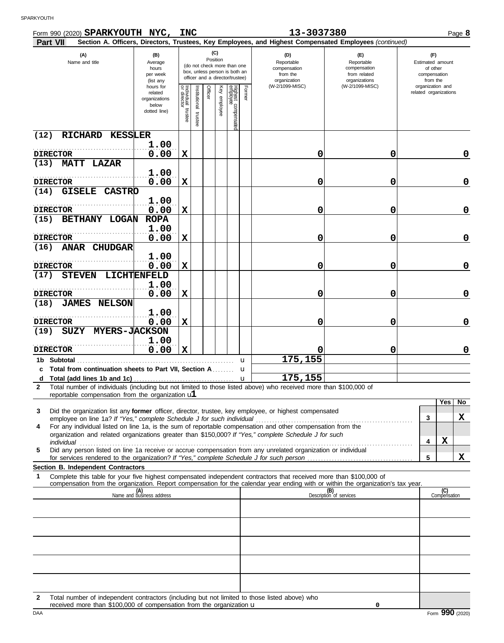| Form 990 (2020) SPARKYOUTH NYC,                                                                                                                                                                                                                                                                     |                                                                | <b>INC</b>                           |                                                                                                                    |         |              |                                 |        | 13-3037380                                                                                                                                                              |                                                                    |                                                                 | Page 8         |
|-----------------------------------------------------------------------------------------------------------------------------------------------------------------------------------------------------------------------------------------------------------------------------------------------------|----------------------------------------------------------------|--------------------------------------|--------------------------------------------------------------------------------------------------------------------|---------|--------------|---------------------------------|--------|-------------------------------------------------------------------------------------------------------------------------------------------------------------------------|--------------------------------------------------------------------|-----------------------------------------------------------------|----------------|
| <b>Part VII</b><br>(A)<br>Name and title                                                                                                                                                                                                                                                            | (B)<br>Average<br>hours<br>per week<br>(list any               |                                      | (C)<br>Position<br>(do not check more than one<br>box, unless person is both an<br>officer and a director/trustee) |         |              |                                 |        | Section A. Officers, Directors, Trustees, Key Employees, and Highest Compensated Employees (continued)<br>(D)<br>Reportable<br>compensation<br>from the<br>organization | (E)<br>Reportable<br>compensation<br>from related<br>organizations | (F)<br>Estimated amount<br>of other<br>compensation<br>from the |                |
|                                                                                                                                                                                                                                                                                                     | hours for<br>related<br>organizations<br>below<br>dotted line) | Individual<br>or director<br>trustee | Institutional trustee                                                                                              | Officer | Key employee | Highest compensated<br>employee | Former | (W-2/1099-MISC)                                                                                                                                                         | (W-2/1099-MISC)                                                    | organization and<br>related organizations                       |                |
| RICHARD KESSLER<br>(12)                                                                                                                                                                                                                                                                             | 1.00                                                           |                                      |                                                                                                                    |         |              |                                 |        |                                                                                                                                                                         |                                                                    |                                                                 |                |
| <b>DIRECTOR</b><br><b>MATT LAZAR</b><br>(13)                                                                                                                                                                                                                                                        | 0.00                                                           | $\mathbf X$                          |                                                                                                                    |         |              |                                 |        | 0                                                                                                                                                                       | 0                                                                  |                                                                 | 0              |
| <b>DIRECTOR</b>                                                                                                                                                                                                                                                                                     | 1.00<br>0.00                                                   | $\mathbf X$                          |                                                                                                                    |         |              |                                 |        | 0                                                                                                                                                                       | 0                                                                  |                                                                 | 0              |
| GISELE CASTRO<br>(14)                                                                                                                                                                                                                                                                               | 1.00                                                           |                                      |                                                                                                                    |         |              |                                 |        |                                                                                                                                                                         |                                                                    |                                                                 |                |
| <b>DIRECTOR</b><br>BETHANY LOGAN<br>(15)                                                                                                                                                                                                                                                            | 0.00<br><b>ROPA</b>                                            | $\mathbf X$                          |                                                                                                                    |         |              |                                 |        | 0                                                                                                                                                                       | 0                                                                  |                                                                 | 0              |
| <b>DIRECTOR</b>                                                                                                                                                                                                                                                                                     | 1.00<br>0.00                                                   | $\mathbf x$                          |                                                                                                                    |         |              |                                 |        | 0                                                                                                                                                                       | 0                                                                  |                                                                 | 0              |
| <b>ANAR CHUDGAR</b><br>(16)                                                                                                                                                                                                                                                                         | 1.00                                                           |                                      |                                                                                                                    |         |              |                                 |        |                                                                                                                                                                         |                                                                    |                                                                 |                |
| <b>DIRECTOR</b><br>STEVEN LICHTENFELD<br>(17)                                                                                                                                                                                                                                                       | 0.00                                                           | $\mathbf X$                          |                                                                                                                    |         |              |                                 |        | 0                                                                                                                                                                       | 0                                                                  |                                                                 | 0              |
| <b>DIRECTOR</b><br><b>JAMES NELSON</b><br>(18)                                                                                                                                                                                                                                                      | 1.00<br>0.00                                                   | $\mathbf x$                          |                                                                                                                    |         |              |                                 |        | 0                                                                                                                                                                       | 0                                                                  |                                                                 | 0              |
| <b>DIRECTOR</b>                                                                                                                                                                                                                                                                                     | 1.00<br>0.00                                                   | $\mathbf X$                          |                                                                                                                    |         |              |                                 |        | 0                                                                                                                                                                       | 0                                                                  |                                                                 | 0              |
| SUZY MYERS-JACKSON<br>(19)                                                                                                                                                                                                                                                                          | 1.00                                                           |                                      |                                                                                                                    |         |              |                                 |        |                                                                                                                                                                         |                                                                    |                                                                 |                |
| <b>DIRECTOR</b><br>1b Subtotal                                                                                                                                                                                                                                                                      | 0.00                                                           | X                                    |                                                                                                                    |         |              |                                 | u      | 175,155                                                                                                                                                                 | 0                                                                  |                                                                 | 0              |
| c Total from continuation sheets to Part VII, Section A                                                                                                                                                                                                                                             |                                                                |                                      |                                                                                                                    |         |              |                                 | u      | 175,155                                                                                                                                                                 |                                                                    |                                                                 |                |
| Total number of individuals (including but not limited to those listed above) who received more than \$100,000 of<br>2<br>reportable compensation from the organization $ul$                                                                                                                        |                                                                |                                      |                                                                                                                    |         |              |                                 |        |                                                                                                                                                                         |                                                                    |                                                                 |                |
| Did the organization list any former officer, director, trustee, key employee, or highest compensated<br>3                                                                                                                                                                                          |                                                                |                                      |                                                                                                                    |         |              |                                 |        |                                                                                                                                                                         |                                                                    | Yes<br>3                                                        | <b>No</b><br>X |
| employee on line 1a? If "Yes," complete Schedule J for such individual<br>For any individual listed on line 1a, is the sum of reportable compensation and other compensation from the<br>4<br>organization and related organizations greater than \$150,000? If "Yes," complete Schedule J for such |                                                                |                                      |                                                                                                                    |         |              |                                 |        |                                                                                                                                                                         |                                                                    |                                                                 |                |
| <i>individual</i><br>Did any person listed on line 1a receive or accrue compensation from any unrelated organization or individual<br>5                                                                                                                                                             |                                                                |                                      |                                                                                                                    |         |              |                                 |        |                                                                                                                                                                         |                                                                    | X<br>4<br>5                                                     | X              |
| Section B. Independent Contractors                                                                                                                                                                                                                                                                  |                                                                |                                      |                                                                                                                    |         |              |                                 |        |                                                                                                                                                                         |                                                                    |                                                                 |                |
| Complete this table for your five highest compensated independent contractors that received more than \$100,000 of<br>1<br>compensation from the organization. Report compensation for the calendar year ending with or within the organization's tax year.                                         |                                                                |                                      |                                                                                                                    |         |              |                                 |        |                                                                                                                                                                         |                                                                    |                                                                 |                |
|                                                                                                                                                                                                                                                                                                     | (A)<br>Name and business address                               |                                      |                                                                                                                    |         |              |                                 |        |                                                                                                                                                                         | (B)<br>Description of services                                     | (C)<br>Compensation                                             |                |
|                                                                                                                                                                                                                                                                                                     |                                                                |                                      |                                                                                                                    |         |              |                                 |        |                                                                                                                                                                         |                                                                    |                                                                 |                |
|                                                                                                                                                                                                                                                                                                     |                                                                |                                      |                                                                                                                    |         |              |                                 |        |                                                                                                                                                                         |                                                                    |                                                                 |                |
|                                                                                                                                                                                                                                                                                                     |                                                                |                                      |                                                                                                                    |         |              |                                 |        |                                                                                                                                                                         |                                                                    |                                                                 |                |
|                                                                                                                                                                                                                                                                                                     |                                                                |                                      |                                                                                                                    |         |              |                                 |        |                                                                                                                                                                         |                                                                    |                                                                 |                |
|                                                                                                                                                                                                                                                                                                     |                                                                |                                      |                                                                                                                    |         |              |                                 |        |                                                                                                                                                                         |                                                                    |                                                                 |                |

**2** Total number of independent contractors (including but not limited to those listed above) who received more than \$100,000 of compensation from the organization u

**0**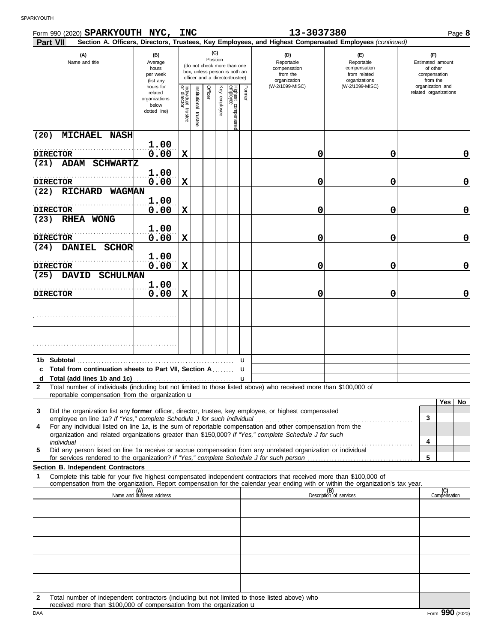|                   | Form 990 (2020) SPARKYOUTH NYC, INC<br>Part VII                                                                                                                                                                                                                                                                                              |                                                                                                                                                     |                                   |                       |         |                 |                                |        | 13-3037380                                                    | Section A. Officers, Directors, Trustees, Key Employees, and Highest Compensated Employees (continued) | Page 8                                                          |
|-------------------|----------------------------------------------------------------------------------------------------------------------------------------------------------------------------------------------------------------------------------------------------------------------------------------------------------------------------------------------|-----------------------------------------------------------------------------------------------------------------------------------------------------|-----------------------------------|-----------------------|---------|-----------------|--------------------------------|--------|---------------------------------------------------------------|--------------------------------------------------------------------------------------------------------|-----------------------------------------------------------------|
|                   | (A)<br>Name and title                                                                                                                                                                                                                                                                                                                        | (B)<br>Average<br>(do not check more than one<br>hours<br>box, unless person is both an<br>per week<br>officer and a director/trustee)<br>(list any |                                   |                       |         | (C)<br>Position |                                |        | (D)<br>Reportable<br>compensation<br>from the<br>organization | (E)<br>Reportable<br>compensation<br>from related<br>organizations                                     | (F)<br>Estimated amount<br>of other<br>compensation<br>from the |
|                   |                                                                                                                                                                                                                                                                                                                                              | hours for<br>related<br>organizations<br>below<br>dotted line)                                                                                      | Individual trustee<br>or director | Institutional trustee | Officer | Key employee    | Highest compensate<br>employee | Former | (W-2/1099-MISC)                                               | (W-2/1099-MISC)                                                                                        | organization and<br>related organizations                       |
| (20)              | <b>MICHAEL NASH</b>                                                                                                                                                                                                                                                                                                                          |                                                                                                                                                     |                                   |                       |         |                 |                                |        |                                                               |                                                                                                        |                                                                 |
|                   | <b>DIRECTOR</b>                                                                                                                                                                                                                                                                                                                              | 1.00<br>0.00                                                                                                                                        | $\mathbf x$                       |                       |         |                 |                                |        | 0                                                             | 0                                                                                                      | 0                                                               |
| (21)              | <b>ADAM</b><br><b>SCHWARTZ</b>                                                                                                                                                                                                                                                                                                               | 1.00                                                                                                                                                |                                   |                       |         |                 |                                |        |                                                               |                                                                                                        |                                                                 |
|                   | <b>DIRECTOR</b>                                                                                                                                                                                                                                                                                                                              | 0.00                                                                                                                                                | $\mathbf x$                       |                       |         |                 |                                |        | 0                                                             | 0                                                                                                      | 0                                                               |
| (22)              | <b>RICHARD</b><br><b>WAGMAN</b>                                                                                                                                                                                                                                                                                                              | 1.00                                                                                                                                                |                                   |                       |         |                 |                                |        |                                                               |                                                                                                        |                                                                 |
|                   | <b>DIRECTOR</b>                                                                                                                                                                                                                                                                                                                              | 0.00                                                                                                                                                | $\mathbf x$                       |                       |         |                 |                                |        | 0                                                             | 0                                                                                                      | 0                                                               |
| (23)              | RHEA WONG                                                                                                                                                                                                                                                                                                                                    | 1.00                                                                                                                                                |                                   |                       |         |                 |                                |        |                                                               |                                                                                                        |                                                                 |
| (24)              | <b>DIRECTOR</b><br><b>DANIEL</b><br><b>SCHOR</b>                                                                                                                                                                                                                                                                                             | 0.00                                                                                                                                                | $\mathbf x$                       |                       |         |                 |                                |        | 0                                                             | 0                                                                                                      | 0                                                               |
|                   |                                                                                                                                                                                                                                                                                                                                              | 1.00                                                                                                                                                |                                   |                       |         |                 |                                |        |                                                               |                                                                                                        |                                                                 |
| (25)              | <b>DIRECTOR</b><br><b>DAVID</b><br><b>SCHULMAN</b>                                                                                                                                                                                                                                                                                           | 0.00                                                                                                                                                | $\mathbf x$                       |                       |         |                 |                                |        | 0                                                             | 0                                                                                                      | 0                                                               |
|                   |                                                                                                                                                                                                                                                                                                                                              | 1.00                                                                                                                                                |                                   |                       |         |                 |                                |        |                                                               |                                                                                                        |                                                                 |
|                   | <b>DIRECTOR</b>                                                                                                                                                                                                                                                                                                                              | 0.00                                                                                                                                                | $\mathbf x$                       |                       |         |                 |                                |        | 0                                                             | 0                                                                                                      | 0                                                               |
|                   |                                                                                                                                                                                                                                                                                                                                              |                                                                                                                                                     |                                   |                       |         |                 |                                |        |                                                               |                                                                                                        |                                                                 |
|                   |                                                                                                                                                                                                                                                                                                                                              |                                                                                                                                                     |                                   |                       |         |                 |                                |        |                                                               |                                                                                                        |                                                                 |
| 1b.               | Subtotal                                                                                                                                                                                                                                                                                                                                     |                                                                                                                                                     |                                   |                       |         |                 |                                | u      |                                                               |                                                                                                        |                                                                 |
|                   | c Total from continuation sheets to Part VII, Section A.                                                                                                                                                                                                                                                                                     |                                                                                                                                                     |                                   |                       |         |                 |                                | u      |                                                               |                                                                                                        |                                                                 |
| d<br>$\mathbf{2}$ | Total number of individuals (including but not limited to those listed above) who received more than \$100,000 of                                                                                                                                                                                                                            |                                                                                                                                                     |                                   |                       |         |                 |                                | u      |                                                               |                                                                                                        |                                                                 |
|                   | reportable compensation from the organization $\mathbf u$                                                                                                                                                                                                                                                                                    |                                                                                                                                                     |                                   |                       |         |                 |                                |        |                                                               |                                                                                                        | Yes  <br>No.                                                    |
| 3                 | Did the organization list any <b>former</b> officer, director, trustee, key employee, or highest compensated                                                                                                                                                                                                                                 |                                                                                                                                                     |                                   |                       |         |                 |                                |        |                                                               |                                                                                                        | 3                                                               |
| 4                 | For any individual listed on line 1a, is the sum of reportable compensation and other compensation from the                                                                                                                                                                                                                                  |                                                                                                                                                     |                                   |                       |         |                 |                                |        |                                                               |                                                                                                        |                                                                 |
|                   | organization and related organizations greater than \$150,000? If "Yes," complete Schedule J for such<br>individual <b>construction of the construction of the construction</b> of the construction of the construction of the construction of the construction of the construction of the construction of the construction of the construct |                                                                                                                                                     |                                   |                       |         |                 |                                |        |                                                               |                                                                                                        | 4                                                               |
| 5                 | Did any person listed on line 1a receive or accrue compensation from any unrelated organization or individual                                                                                                                                                                                                                                |                                                                                                                                                     |                                   |                       |         |                 |                                |        |                                                               |                                                                                                        | 5                                                               |
|                   | Section B. Independent Contractors                                                                                                                                                                                                                                                                                                           |                                                                                                                                                     |                                   |                       |         |                 |                                |        |                                                               |                                                                                                        |                                                                 |
| 1                 | Complete this table for your five highest compensated independent contractors that received more than \$100,000 of<br>compensation from the organization. Report compensation for the calendar year ending with or within the organization's tax year.                                                                                       |                                                                                                                                                     |                                   |                       |         |                 |                                |        |                                                               |                                                                                                        |                                                                 |
|                   |                                                                                                                                                                                                                                                                                                                                              | (A)<br>Name and business address                                                                                                                    |                                   |                       |         |                 |                                |        |                                                               | (B)<br>Description of services                                                                         | (C)<br>Compensation                                             |
|                   |                                                                                                                                                                                                                                                                                                                                              |                                                                                                                                                     |                                   |                       |         |                 |                                |        |                                                               |                                                                                                        |                                                                 |
|                   |                                                                                                                                                                                                                                                                                                                                              |                                                                                                                                                     |                                   |                       |         |                 |                                |        |                                                               |                                                                                                        |                                                                 |
|                   |                                                                                                                                                                                                                                                                                                                                              |                                                                                                                                                     |                                   |                       |         |                 |                                |        |                                                               |                                                                                                        |                                                                 |
|                   |                                                                                                                                                                                                                                                                                                                                              |                                                                                                                                                     |                                   |                       |         |                 |                                |        |                                                               |                                                                                                        |                                                                 |
|                   |                                                                                                                                                                                                                                                                                                                                              |                                                                                                                                                     |                                   |                       |         |                 |                                |        |                                                               |                                                                                                        |                                                                 |
|                   |                                                                                                                                                                                                                                                                                                                                              |                                                                                                                                                     |                                   |                       |         |                 |                                |        |                                                               |                                                                                                        |                                                                 |

**2** Total number of independent contractors (including but not limited to those listed above) who received more than \$100,000 of compensation from the organization u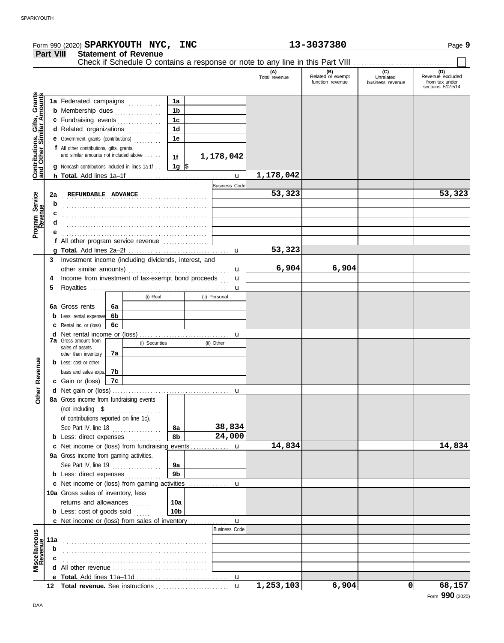|                                                      |                  | Form 990 (2020) SPARKYOUTH NYC, INC                                           |                 |                      |                      | 13-3037380                                   |                                      | Page 9                                                        |
|------------------------------------------------------|------------------|-------------------------------------------------------------------------------|-----------------|----------------------|----------------------|----------------------------------------------|--------------------------------------|---------------------------------------------------------------|
|                                                      | <b>Part VIII</b> | <b>Statement of Revenue</b>                                                   |                 |                      |                      |                                              |                                      |                                                               |
|                                                      |                  | Check if Schedule O contains a response or note to any line in this Part VIII |                 |                      |                      |                                              |                                      |                                                               |
|                                                      |                  |                                                                               |                 |                      | (A)<br>Total revenue | (B)<br>Related or exempt<br>function revenue | (C)<br>Unrelated<br>business revenue | (D)<br>Revenue excluded<br>from tax under<br>sections 512-514 |
| Grants<br><u>Imounts</u>                             |                  | 1a Federated campaigns                                                        | 1a              |                      |                      |                                              |                                      |                                                               |
|                                                      |                  | <b>b</b> Membership dues                                                      | 1 <sub>b</sub>  |                      |                      |                                              |                                      |                                                               |
|                                                      |                  | c Fundraising events                                                          | 1 <sub>c</sub>  |                      |                      |                                              |                                      |                                                               |
|                                                      |                  | d Related organizations                                                       | 1 <sub>d</sub>  |                      |                      |                                              |                                      |                                                               |
|                                                      |                  | e Government grants (contributions)                                           | 1e              |                      |                      |                                              |                                      |                                                               |
|                                                      |                  | f All other contributions, gifts, grants,                                     |                 |                      |                      |                                              |                                      |                                                               |
|                                                      |                  | and similar amounts not included above                                        | 1f              | 1,178,042            |                      |                                              |                                      |                                                               |
| <b>Contributions, Gifts,<br/>and Other Similar A</b> |                  | <b>g</b> Noncash contributions included in lines 1a-1f.                       | $1g \,$ \$      |                      |                      |                                              |                                      |                                                               |
|                                                      |                  |                                                                               |                 | $\mathbf{u}$         | 1,178,042            |                                              |                                      |                                                               |
|                                                      |                  |                                                                               |                 | <b>Business Code</b> |                      |                                              |                                      |                                                               |
|                                                      | 2a               | REFUNDABLE ADVANCE                                                            |                 |                      | 53,323               |                                              |                                      | 53,323                                                        |
|                                                      | b                |                                                                               |                 |                      |                      |                                              |                                      |                                                               |
|                                                      | с                |                                                                               |                 |                      |                      |                                              |                                      |                                                               |
| Program Service<br>Revenue                           | d                |                                                                               |                 |                      |                      |                                              |                                      |                                                               |
|                                                      |                  |                                                                               |                 |                      |                      |                                              |                                      |                                                               |
|                                                      |                  | f All other program service revenue                                           |                 |                      |                      |                                              |                                      |                                                               |
|                                                      |                  |                                                                               |                 | $\mathbf{u}$         | 53,323               |                                              |                                      |                                                               |
|                                                      | 3                | Investment income (including dividends, interest, and                         |                 |                      |                      |                                              |                                      |                                                               |
|                                                      |                  |                                                                               |                 | u                    | 6,904                | 6,904                                        |                                      |                                                               |
|                                                      | 4                | Income from investment of tax-exempt bond proceeds                            |                 | u                    |                      |                                              |                                      |                                                               |
|                                                      | 5                |                                                                               |                 | u                    |                      |                                              |                                      |                                                               |
|                                                      |                  | (i) Real                                                                      |                 | (ii) Personal        |                      |                                              |                                      |                                                               |
|                                                      |                  | 6a Gross rents<br>6a                                                          |                 |                      |                      |                                              |                                      |                                                               |
|                                                      |                  | 6b<br><b>b</b> Less: rental expenses                                          |                 |                      |                      |                                              |                                      |                                                               |
|                                                      |                  | 6c<br><b>c</b> Rental inc. or (loss)                                          |                 |                      |                      |                                              |                                      |                                                               |
|                                                      |                  | <b>d</b> Net rental income or (loss)<br><b>7a</b> Gross amount from           |                 | u                    |                      |                                              |                                      |                                                               |
|                                                      |                  | (i) Securities<br>sales of assets                                             |                 | (ii) Other           |                      |                                              |                                      |                                                               |
|                                                      |                  | 7a<br>other than inventory                                                    |                 |                      |                      |                                              |                                      |                                                               |
| Revenue                                              |                  | <b>b</b> Less: cost or other                                                  |                 |                      |                      |                                              |                                      |                                                               |
|                                                      |                  | 7b<br>basis and sales exps.                                                   |                 |                      |                      |                                              |                                      |                                                               |
|                                                      |                  | c Gain or (loss)<br>7c                                                        |                 |                      |                      |                                              |                                      |                                                               |
| $\frac{1}{\sigma}$                                   |                  | d Net gain or (loss)                                                          |                 |                      |                      |                                              |                                      |                                                               |
|                                                      |                  | 8a Gross income from fundraising events                                       |                 |                      |                      |                                              |                                      |                                                               |
|                                                      |                  | (not including \$                                                             |                 |                      |                      |                                              |                                      |                                                               |
|                                                      |                  | of contributions reported on line 1c).                                        |                 | 38,834               |                      |                                              |                                      |                                                               |
|                                                      |                  | See Part IV, line 18 $\ldots$                                                 | 8a<br>8b        | 24,000               |                      |                                              |                                      |                                                               |
|                                                      |                  | <b>b</b> Less: direct expenses                                                |                 |                      | 14,834               |                                              |                                      | 14,834                                                        |
|                                                      |                  | 9a Gross income from gaming activities.                                       |                 |                      |                      |                                              |                                      |                                                               |
|                                                      |                  | See Part IV, line 19                                                          | 9а              |                      |                      |                                              |                                      |                                                               |
|                                                      |                  | .<br><b>b</b> Less: direct expenses                                           | 9 <sub>b</sub>  |                      |                      |                                              |                                      |                                                               |
|                                                      |                  |                                                                               |                 |                      |                      |                                              |                                      |                                                               |
|                                                      |                  | 10a Gross sales of inventory, less                                            |                 |                      |                      |                                              |                                      |                                                               |
|                                                      |                  | returns and allowances                                                        | 10a             |                      |                      |                                              |                                      |                                                               |
|                                                      |                  | <b>b</b> Less: cost of goods sold                                             | 10 <sub>b</sub> |                      |                      |                                              |                                      |                                                               |
|                                                      |                  | c Net income or (loss) from sales of inventory                                |                 | $\mathbf{u}$         |                      |                                              |                                      |                                                               |
|                                                      |                  |                                                                               |                 | <b>Business Code</b> |                      |                                              |                                      |                                                               |
| Miscellaneous<br>Revenue                             | 11a              |                                                                               |                 |                      |                      |                                              |                                      |                                                               |
|                                                      | b                |                                                                               |                 |                      |                      |                                              |                                      |                                                               |
|                                                      |                  |                                                                               |                 |                      |                      |                                              |                                      |                                                               |
|                                                      |                  |                                                                               |                 |                      |                      |                                              |                                      |                                                               |
|                                                      |                  |                                                                               |                 |                      |                      |                                              |                                      |                                                               |

u **1,253,103 6,904 0 68,157**

**Total revenue.** See instructions . . . . . . . . . . . . . . . . . . . . . . . . . . . **12**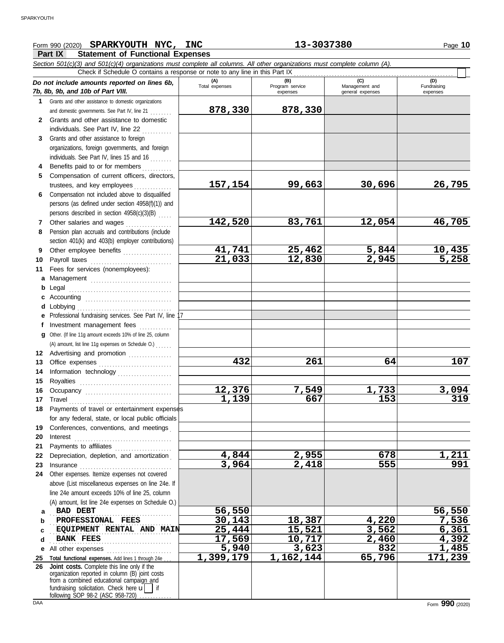## Form 990 (2020) Page **10 SPARKYOUTH NYC, INC 13-3037380**

**Part IX Statement of Functional Expenses**

|              | Section 501(c)(3) and 501(c)(4) organizations must complete all columns. All other organizations must complete column (A).<br>Check if Schedule O contains a response or note to any line in this Part IX                                |                         |                                    |                                           |                                |
|--------------|------------------------------------------------------------------------------------------------------------------------------------------------------------------------------------------------------------------------------------------|-------------------------|------------------------------------|-------------------------------------------|--------------------------------|
|              | Do not include amounts reported on lines 6b,<br>7b, 8b, 9b, and 10b of Part VIII.                                                                                                                                                        | (A)<br>Total expenses   | (B)<br>Program service<br>expenses | (C)<br>Management and<br>general expenses | (D)<br>Fundraising<br>expenses |
| 1.           | Grants and other assistance to domestic organizations                                                                                                                                                                                    |                         |                                    |                                           |                                |
|              | and domestic governments. See Part IV, line 21                                                                                                                                                                                           | 878,330                 | 878,330                            |                                           |                                |
| $\mathbf{2}$ | Grants and other assistance to domestic                                                                                                                                                                                                  |                         |                                    |                                           |                                |
|              | individuals. See Part IV, line 22                                                                                                                                                                                                        |                         |                                    |                                           |                                |
| 3            | Grants and other assistance to foreign                                                                                                                                                                                                   |                         |                                    |                                           |                                |
|              | organizations, foreign governments, and foreign                                                                                                                                                                                          |                         |                                    |                                           |                                |
|              | individuals. See Part IV, lines 15 and 16                                                                                                                                                                                                |                         |                                    |                                           |                                |
| 4            | Benefits paid to or for members                                                                                                                                                                                                          |                         |                                    |                                           |                                |
| 5            | Compensation of current officers, directors,                                                                                                                                                                                             |                         |                                    |                                           |                                |
|              | trustees, and key employees                                                                                                                                                                                                              | 157, 154                | 99,663                             | 30,696                                    | 26,795                         |
| 6            | Compensation not included above to disqualified                                                                                                                                                                                          |                         |                                    |                                           |                                |
|              | persons (as defined under section 4958(f)(1)) and                                                                                                                                                                                        |                         |                                    |                                           |                                |
|              | persons described in section 4958(c)(3)(B)                                                                                                                                                                                               |                         |                                    |                                           |                                |
| 7            | Other salaries and wages                                                                                                                                                                                                                 | 142,520                 | 83,761                             | 12,054                                    | 46,705                         |
| 8            | Pension plan accruals and contributions (include                                                                                                                                                                                         |                         |                                    |                                           |                                |
|              | section 401(k) and 403(b) employer contributions)                                                                                                                                                                                        |                         |                                    |                                           |                                |
| 9            | Other employee benefits                                                                                                                                                                                                                  | 41,741                  | 25,462                             | 5,844                                     | <u>10,435</u>                  |
| 10           |                                                                                                                                                                                                                                          | 21,033                  | 12,830                             | 2,945                                     | 5,258                          |
| 11           | Fees for services (nonemployees):                                                                                                                                                                                                        |                         |                                    |                                           |                                |
|              | a Management                                                                                                                                                                                                                             |                         |                                    |                                           |                                |
| b            | Legal<br>Accounting                                                                                                                                                                                                                      |                         |                                    |                                           |                                |
| c            | Lobbying                                                                                                                                                                                                                                 |                         |                                    |                                           |                                |
| d            | e Professional fundraising services. See Part IV, line                                                                                                                                                                                   |                         |                                    |                                           |                                |
| Ť.           | Investment management fees                                                                                                                                                                                                               |                         |                                    |                                           |                                |
| a            | Other. (If line 11g amount exceeds 10% of line 25, column                                                                                                                                                                                |                         |                                    |                                           |                                |
|              | (A) amount, list line 11g expenses on Schedule O.)                                                                                                                                                                                       |                         |                                    |                                           |                                |
|              | 12 Advertising and promotion                                                                                                                                                                                                             |                         |                                    |                                           |                                |
| 13           |                                                                                                                                                                                                                                          | 432                     | 261                                | 64                                        | 107                            |
| 14           | Information technology                                                                                                                                                                                                                   |                         |                                    |                                           |                                |
| 15           |                                                                                                                                                                                                                                          |                         |                                    |                                           |                                |
| 16           | Occupancy                                                                                                                                                                                                                                | 12,376                  | 7,549                              | 1,733                                     | <u>3,094</u>                   |
| 17           |                                                                                                                                                                                                                                          | 1,139                   | 667                                | 153                                       | 319                            |
| 18           | Payments of travel or entertainment expenses                                                                                                                                                                                             |                         |                                    |                                           |                                |
|              | for any federal, state, or local public officials                                                                                                                                                                                        |                         |                                    |                                           |                                |
| 19           | Conferences, conventions, and meetings                                                                                                                                                                                                   |                         |                                    |                                           |                                |
| 20           | Interest                                                                                                                                                                                                                                 |                         |                                    |                                           |                                |
| 21           | Payments to affiliates [11] production of the symmetric state of the symmetric state of the symmetric state of the symmetric state of the symmetric state of the symmetric state of the symmetric state of the symmetric state           |                         |                                    |                                           |                                |
| 22           | Depreciation, depletion, and amortization                                                                                                                                                                                                | 4,844                   | 2,955                              | 678                                       | 1,211                          |
| 23           |                                                                                                                                                                                                                                          | 3,964                   | 2,418                              | 555                                       | 991                            |
| 24           | Other expenses. Itemize expenses not covered                                                                                                                                                                                             |                         |                                    |                                           |                                |
|              | above (List miscellaneous expenses on line 24e. If                                                                                                                                                                                       |                         |                                    |                                           |                                |
|              | line 24e amount exceeds 10% of line 25, column<br>(A) amount, list line 24e expenses on Schedule O.)                                                                                                                                     |                         |                                    |                                           |                                |
| a            | <b>BAD DEBT</b>                                                                                                                                                                                                                          | 56,550                  |                                    |                                           | 56,550                         |
| b            | PROFESSIONAL FEES                                                                                                                                                                                                                        | 30,143                  | 18,387                             | 4,220                                     | 7,536                          |
| C            | EQUIPMENT RENTAL AND MAIN                                                                                                                                                                                                                | 25,444                  | 15,521                             | 3,562                                     | 6,361                          |
| d            | <b>BANK FEES</b>                                                                                                                                                                                                                         | 17,569                  | 10,717                             | 2,460                                     | 4,392                          |
| е            | All other expenses                                                                                                                                                                                                                       | 5,940                   | 3,623                              | 832                                       | 1,485                          |
| 25           | Total functional expenses. Add lines 1 through 24e                                                                                                                                                                                       | $\overline{1,}$ 399,179 | 1,162,144                          | 65,796                                    | 171,239                        |
| 26           | Joint costs. Complete this line only if the<br>organization reported in column (B) joint costs<br>from a combined educational campaign and<br>fundraising solicitation. Check here $\mathbf{u}$   if<br>following SOP 98-2 (ASC 958-720) |                         |                                    |                                           |                                |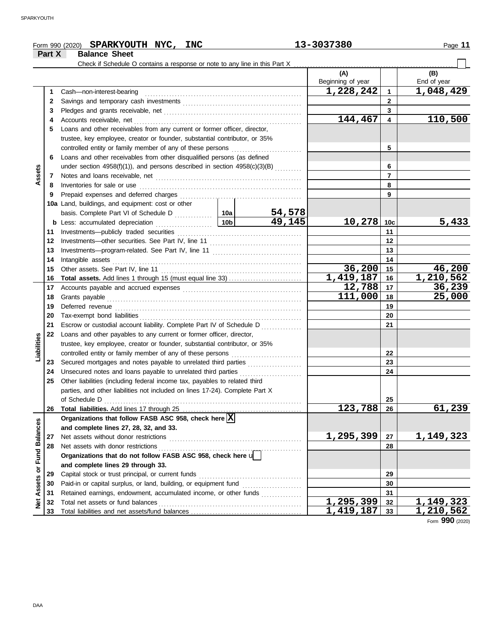|                      | Part X       | Form 990 (2020) SPARKYOUTH NYC, INC<br><b>Balance Sheet</b>                  |        | 13-3037380                          |                         | Page 11                |
|----------------------|--------------|------------------------------------------------------------------------------|--------|-------------------------------------|-------------------------|------------------------|
|                      |              |                                                                              |        |                                     |                         |                        |
|                      |              |                                                                              |        | (A)<br>Beginning of year            |                         | (B)<br>End of year     |
|                      | 1            | Cash-non-interest-bearing                                                    |        | $\overline{1,228,242}$              | $\mathbf{1}$            | $\overline{1,048,429}$ |
|                      | $\mathbf{2}$ |                                                                              |        | $\overline{2}$                      |                         |                        |
|                      | 3            |                                                                              |        | 3                                   |                         |                        |
|                      | 4            |                                                                              |        | 144,467                             | $\overline{\mathbf{4}}$ | 110,500                |
|                      | 5            | Loans and other receivables from any current or former officer, director,    |        |                                     |                         |                        |
|                      |              | trustee, key employee, creator or founder, substantial contributor, or 35%   |        |                                     |                         |                        |
|                      |              | controlled entity or family member of any of these persons                   |        | 5                                   |                         |                        |
|                      | 6            | Loans and other receivables from other disqualified persons (as defined      |        |                                     |                         |                        |
|                      |              | under section 4958(f)(1)), and persons described in section $4958(c)(3)(B)$  |        |                                     | 6                       |                        |
| Assets               | 7            |                                                                              |        |                                     | $\overline{7}$          |                        |
|                      | 8            | Inventories for sale or use                                                  |        |                                     | 8                       |                        |
|                      | 9            | Prepaid expenses and deferred charges                                        |        |                                     | 9                       |                        |
|                      |              | 10a Land, buildings, and equipment: cost or other                            |        |                                     |                         |                        |
|                      |              |                                                                              | 54,578 |                                     |                         |                        |
|                      |              |                                                                              | 49,145 | 10,278                              | 10 <sub>c</sub>         | 5,433                  |
|                      | 11           | Investments-publicly traded securities                                       |        |                                     | 11                      |                        |
|                      | 12           |                                                                              |        |                                     | 12                      |                        |
|                      | 13           |                                                                              |        |                                     | 13                      |                        |
|                      | 14           | Intangible assets                                                            |        | 14                                  |                         |                        |
|                      | 15           |                                                                              |        | 36,200                              | 15                      | 46,200                 |
|                      | 16           |                                                                              |        | 1,419,187                           | 16                      | 1,210,562              |
|                      | 17           |                                                                              |        | 12,788                              | 17                      | 36,239                 |
|                      | 18           | Grants payable                                                               |        | 111,000                             | 18                      | 25,000                 |
|                      | 19           |                                                                              |        |                                     | 19                      |                        |
|                      | 20           |                                                                              |        |                                     | 20                      |                        |
|                      | 21           | Escrow or custodial account liability. Complete Part IV of Schedule D        |        |                                     | 21                      |                        |
|                      | 22           | Loans and other payables to any current or former officer, director,         |        |                                     |                         |                        |
| Liabilities          |              | trustee, key employee, creator or founder, substantial contributor, or 35%   |        |                                     |                         |                        |
|                      |              | controlled entity or family member of any of these persons                   |        |                                     | 22                      |                        |
|                      | 23           | Secured mortgages and notes payable to unrelated third parties               |        |                                     | 23                      |                        |
|                      | 24           | Unsecured notes and loans payable to unrelated third parties                 |        |                                     | 24                      |                        |
|                      | 25           | Other liabilities (including federal income tax, payables to related third   |        |                                     |                         |                        |
|                      |              | parties, and other liabilities not included on lines 17-24). Complete Part X |        |                                     |                         |                        |
|                      |              | of Schedule D                                                                |        |                                     | 25                      |                        |
|                      | 26           |                                                                              |        | 123,788                             | 26                      | 61,239                 |
|                      |              | Organizations that follow FASB ASC 958, check here $\boxed{\mathbf{X}}$      |        |                                     |                         |                        |
|                      |              | and complete lines 27, 28, 32, and 33.                                       |        |                                     |                         |                        |
| <b>Fund Balances</b> | 27           | Net assets without donor restrictions                                        |        | 1,295,399                           | 27                      | 1,149,323              |
|                      | 28           | Net assets with donor restrictions                                           |        |                                     | 28                      |                        |
|                      |              | Organizations that do not follow FASB ASC 958, check here u                  |        |                                     |                         |                        |
|                      |              | and complete lines 29 through 33.                                            |        |                                     |                         |                        |
|                      | 29           | Capital stock or trust principal, or current funds                           |        |                                     | 29                      |                        |
| Assets or            | 30           |                                                                              |        |                                     | 30                      |                        |
|                      | 31           | Retained earnings, endowment, accumulated income, or other funds             |        |                                     | 31                      |                        |
| Net                  | 32           | Total net assets or fund balances                                            |        | 1,295,399<br>$\overline{1,419,187}$ | 32                      | <u>1,149,323</u>       |
|                      | 33           |                                                                              |        |                                     | 33                      | 1,210,562              |

Form **990** (2020)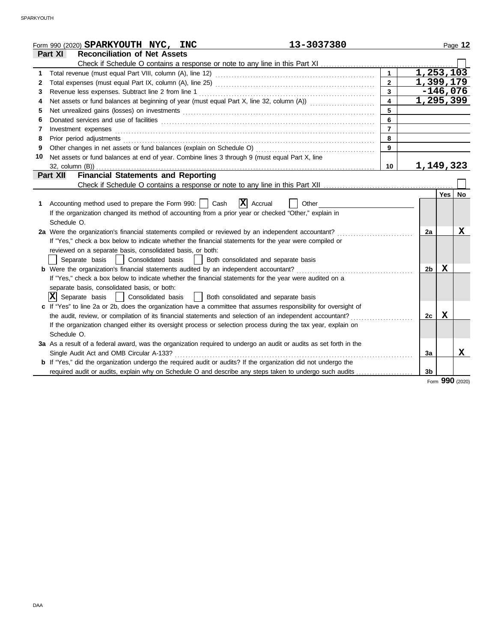|    | 13-3037380<br>Form 990 (2020) SPARKYOUTH NYC, INC                                                                     |                         |                |            | Page 12 |
|----|-----------------------------------------------------------------------------------------------------------------------|-------------------------|----------------|------------|---------|
|    | <b>Reconciliation of Net Assets</b><br>Part XI                                                                        |                         |                |            |         |
|    |                                                                                                                       |                         |                |            |         |
| 1  |                                                                                                                       | $\mathbf{1}$            | 1,253,103      |            |         |
| 2  |                                                                                                                       | $\overline{2}$          | 1,399,179      |            |         |
| 3  |                                                                                                                       | $\overline{3}$          |                | $-146,076$ |         |
| 4  | Net assets or fund balances at beginning of year (must equal Part X, line 32, column (A))                             | $\overline{\mathbf{4}}$ | 1,295,399      |            |         |
| 5  |                                                                                                                       | 5                       |                |            |         |
| 6  |                                                                                                                       | 6                       |                |            |         |
| 7  | Investment expenses <b>constant expenses</b>                                                                          | $\overline{7}$          |                |            |         |
| 8  |                                                                                                                       | 8                       |                |            |         |
| 9  |                                                                                                                       | $\overline{9}$          |                |            |         |
| 10 | Net assets or fund balances at end of year. Combine lines 3 through 9 (must equal Part X, line                        |                         |                |            |         |
|    |                                                                                                                       | 10                      | 1, 149, 323    |            |         |
|    | <b>Financial Statements and Reporting</b><br>Part XII                                                                 |                         |                |            |         |
|    |                                                                                                                       |                         |                |            |         |
|    |                                                                                                                       |                         |                | Yes        | No      |
| 1. | $ \mathbf{X} $ Accrual<br>Accounting method used to prepare the Form 990:     Cash<br>Other                           |                         |                |            |         |
|    | If the organization changed its method of accounting from a prior year or checked "Other," explain in                 |                         |                |            |         |
|    | Schedule O.                                                                                                           |                         |                |            |         |
|    | 2a Were the organization's financial statements compiled or reviewed by an independent accountant?                    |                         | 2a             |            | X       |
|    | If "Yes," check a box below to indicate whether the financial statements for the year were compiled or                |                         |                |            |         |
|    | reviewed on a separate basis, consolidated basis, or both:                                                            |                         |                |            |         |
|    | Both consolidated and separate basis<br>Separate basis<br>Consolidated basis                                          |                         |                |            |         |
|    | <b>b</b> Were the organization's financial statements audited by an independent accountant?                           |                         | 2b             | Х          |         |
|    | If "Yes," check a box below to indicate whether the financial statements for the year were audited on a               |                         |                |            |         |
|    | separate basis, consolidated basis, or both:                                                                          |                         |                |            |         |
|    | $ \mathbf{X} $ Separate basis $ $<br>Consolidated basis<br>  Both consolidated and separate basis                     |                         |                |            |         |
|    | c If "Yes" to line 2a or 2b, does the organization have a committee that assumes responsibility for oversight of      |                         |                |            |         |
|    | the audit, review, or compilation of its financial statements and selection of an independent accountant?             |                         | 2с             | Х          |         |
|    | If the organization changed either its oversight process or selection process during the tax year, explain on         |                         |                |            |         |
|    | Schedule O.                                                                                                           |                         |                |            |         |
|    | 3a As a result of a federal award, was the organization required to undergo an audit or audits as set forth in the    |                         |                |            |         |
|    | Single Audit Act and OMB Circular A-133?                                                                              |                         | 3a             |            | X       |
|    | <b>b</b> If "Yes," did the organization undergo the required audit or audits? If the organization did not undergo the |                         |                |            |         |
|    | required audit or audits, explain why on Schedule O and describe any steps taken to undergo such audits               |                         | 3 <sub>b</sub> |            |         |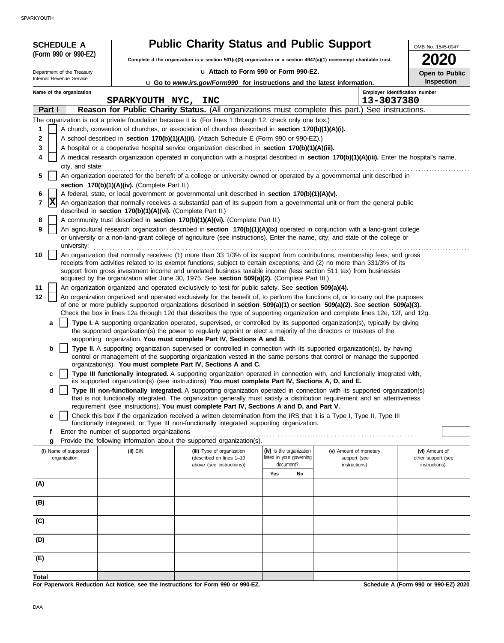SPARKYOUTH

| <b>SCHEDULE A</b>          |                                                            | <b>Public Charity Status and Public Support</b>                                                                                                                                                                                                                         |     |                                       |                               | OMB No. 1545-0047                   |
|----------------------------|------------------------------------------------------------|-------------------------------------------------------------------------------------------------------------------------------------------------------------------------------------------------------------------------------------------------------------------------|-----|---------------------------------------|-------------------------------|-------------------------------------|
| (Form 990 or 990-EZ)       |                                                            | Complete if the organization is a section 501(c)(3) organization or a section 4947(a)(1) nonexempt charitable trust.                                                                                                                                                    |     |                                       |                               |                                     |
| Department of the Treasury |                                                            | u Attach to Form 990 or Form 990-EZ.                                                                                                                                                                                                                                    |     |                                       |                               | Open to Public                      |
| Internal Revenue Service   |                                                            | u Go to www.irs.gov/Form990 for instructions and the latest information.                                                                                                                                                                                                |     |                                       |                               | <b>Inspection</b>                   |
| Name of the organization   |                                                            |                                                                                                                                                                                                                                                                         |     |                                       |                               | Employer identification number      |
| Part I                     | SPARKYOUTH NYC, INC                                        | Reason for Public Charity Status. (All organizations must complete this part.) See instructions.                                                                                                                                                                        |     |                                       | 13-3037380                    |                                     |
|                            |                                                            | The organization is not a private foundation because it is: (For lines 1 through 12, check only one box.)                                                                                                                                                               |     |                                       |                               |                                     |
| 1                          |                                                            | A church, convention of churches, or association of churches described in section 170(b)(1)(A)(i).                                                                                                                                                                      |     |                                       |                               |                                     |
| 2                          |                                                            | A school described in section 170(b)(1)(A)(ii). (Attach Schedule E (Form 990 or 990-EZ).)                                                                                                                                                                               |     |                                       |                               |                                     |
| 3                          |                                                            | A hospital or a cooperative hospital service organization described in section 170(b)(1)(A)(iii).                                                                                                                                                                       |     |                                       |                               |                                     |
| 4<br>city, and state:      |                                                            | A medical research organization operated in conjunction with a hospital described in section 170(b)(1)(A)(iii). Enter the hospital's name,                                                                                                                              |     |                                       |                               |                                     |
| 5                          |                                                            | An organization operated for the benefit of a college or university owned or operated by a governmental unit described in                                                                                                                                               |     |                                       |                               |                                     |
|                            | section 170(b)(1)(A)(iv). (Complete Part II.)              |                                                                                                                                                                                                                                                                         |     |                                       |                               |                                     |
| 6                          |                                                            | A federal, state, or local government or governmental unit described in section 170(b)(1)(A)(v).                                                                                                                                                                        |     |                                       |                               |                                     |
| X<br>7                     | described in section 170(b)(1)(A)(vi). (Complete Part II.) | An organization that normally receives a substantial part of its support from a governmental unit or from the general public                                                                                                                                            |     |                                       |                               |                                     |
| 8                          |                                                            | A community trust described in section 170(b)(1)(A)(vi). (Complete Part II.)                                                                                                                                                                                            |     |                                       |                               |                                     |
| 9<br>university:           |                                                            | An agricultural research organization described in section 170(b)(1)(A)(ix) operated in conjunction with a land-grant college<br>or university or a non-land-grant college of agriculture (see instructions). Enter the name, city, and state of the college or         |     |                                       |                               |                                     |
| 10                         |                                                            | An organization that normally receives: (1) more than 33 1/3% of its support from contributions, membership fees, and gross                                                                                                                                             |     |                                       |                               |                                     |
|                            |                                                            | receipts from activities related to its exempt functions, subject to certain exceptions; and (2) no more than 331/3% of its                                                                                                                                             |     |                                       |                               |                                     |
|                            |                                                            | support from gross investment income and unrelated business taxable income (less section 511 tax) from businesses<br>acquired by the organization after June 30, 1975. See section 509(a)(2). (Complete Part III.)                                                      |     |                                       |                               |                                     |
| 11                         |                                                            | An organization organized and operated exclusively to test for public safety. See section 509(a)(4).                                                                                                                                                                    |     |                                       |                               |                                     |
| 12                         |                                                            | An organization organized and operated exclusively for the benefit of, to perform the functions of, or to carry out the purposes<br>of one or more publicly supported organizations described in section $509(a)(1)$ or section $509(a)(2)$ . See section $509(a)(3)$ . |     |                                       |                               |                                     |
|                            |                                                            | Check the box in lines 12a through 12d that describes the type of supporting organization and complete lines 12e, 12f, and 12g.                                                                                                                                         |     |                                       |                               |                                     |
| a                          |                                                            | Type I. A supporting organization operated, supervised, or controlled by its supported organization(s), typically by giving                                                                                                                                             |     |                                       |                               |                                     |
|                            |                                                            | the supported organization(s) the power to regularly appoint or elect a majority of the directors or trustees of the                                                                                                                                                    |     |                                       |                               |                                     |
| b                          |                                                            | supporting organization. You must complete Part IV, Sections A and B.<br>Type II. A supporting organization supervised or controlled in connection with its supported organization(s), by having                                                                        |     |                                       |                               |                                     |
|                            |                                                            | control or management of the supporting organization vested in the same persons that control or manage the supported                                                                                                                                                    |     |                                       |                               |                                     |
|                            |                                                            | organization(s). You must complete Part IV, Sections A and C.                                                                                                                                                                                                           |     |                                       |                               |                                     |
| C                          |                                                            | Type III functionally integrated. A supporting organization operated in connection with, and functionally integrated with,<br>its supported organization(s) (see instructions). You must complete Part IV, Sections A, D, and E.                                        |     |                                       |                               |                                     |
| d                          |                                                            | Type III non-functionally integrated. A supporting organization operated in connection with its supported organization(s)                                                                                                                                               |     |                                       |                               |                                     |
|                            |                                                            | that is not functionally integrated. The organization generally must satisfy a distribution requirement and an attentiveness<br>requirement (see instructions). You must complete Part IV, Sections A and D, and Part V.                                                |     |                                       |                               |                                     |
| e                          |                                                            | Check this box if the organization received a written determination from the IRS that it is a Type I, Type II, Type III                                                                                                                                                 |     |                                       |                               |                                     |
|                            |                                                            | functionally integrated, or Type III non-functionally integrated supporting organization.                                                                                                                                                                               |     |                                       |                               |                                     |
| f<br>g                     | Enter the number of supported organizations                | Provide the following information about the supported organization(s).                                                                                                                                                                                                  |     |                                       |                               |                                     |
| (i) Name of supported      | (ii) EIN                                                   | (iii) Type of organization                                                                                                                                                                                                                                              |     | (iv) Is the organization              | (v) Amount of monetary        | (vi) Amount of                      |
| organization               |                                                            | (described on lines 1-10<br>above (see instructions))                                                                                                                                                                                                                   |     | listed in your governing<br>document? | support (see<br>instructions) | other support (see<br>instructions) |
|                            |                                                            |                                                                                                                                                                                                                                                                         | Yes | No                                    |                               |                                     |
| (A)                        |                                                            |                                                                                                                                                                                                                                                                         |     |                                       |                               |                                     |
|                            |                                                            |                                                                                                                                                                                                                                                                         |     |                                       |                               |                                     |
| (B)                        |                                                            |                                                                                                                                                                                                                                                                         |     |                                       |                               |                                     |
| (C)                        |                                                            |                                                                                                                                                                                                                                                                         |     |                                       |                               |                                     |
| (D)                        |                                                            |                                                                                                                                                                                                                                                                         |     |                                       |                               |                                     |
|                            |                                                            |                                                                                                                                                                                                                                                                         |     |                                       |                               |                                     |
| (E)                        |                                                            |                                                                                                                                                                                                                                                                         |     |                                       |                               |                                     |
| <b>Total</b>               |                                                            |                                                                                                                                                                                                                                                                         |     |                                       |                               |                                     |

**For Paperwork Reduction Act Notice, see the Instructions for Form 990 or 990-EZ.**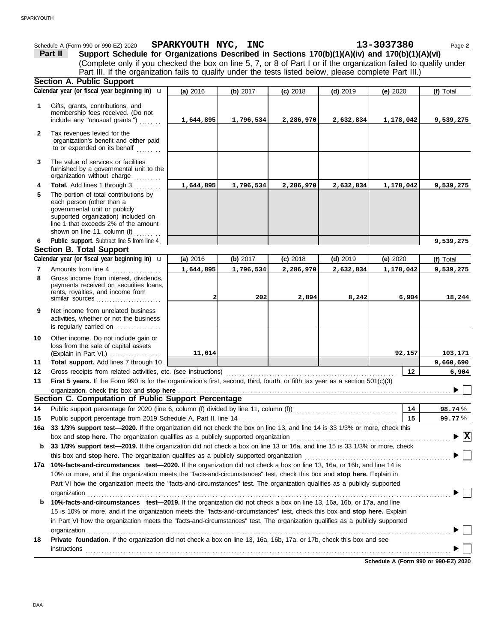|                | Schedule A (Form 990 or 990-EZ) 2020<br>Support Schedule for Organizations Described in Sections 170(b)(1)(A)(iv) and 170(b)(1)(A)(vi)<br>Part II                                                                                                          | SPARKYOUTH NYC, INC |            |            |            | 13-3037380 | Page 2                                      |
|----------------|------------------------------------------------------------------------------------------------------------------------------------------------------------------------------------------------------------------------------------------------------------|---------------------|------------|------------|------------|------------|---------------------------------------------|
|                | (Complete only if you checked the box on line 5, 7, or 8 of Part I or if the organization failed to qualify under<br>Part III. If the organization fails to qualify under the tests listed below, please complete Part III.)                               |                     |            |            |            |            |                                             |
|                | <b>Section A. Public Support</b>                                                                                                                                                                                                                           |                     |            |            |            |            |                                             |
|                | Calendar year (or fiscal year beginning in) <b>u</b>                                                                                                                                                                                                       | (a) 2016            | (b) 2017   | $(c)$ 2018 | $(d)$ 2019 | (e) 2020   | (f) Total                                   |
|                |                                                                                                                                                                                                                                                            |                     |            |            |            |            |                                             |
| 1              | Gifts, grants, contributions, and<br>membership fees received. (Do not<br>include any "unusual grants.")                                                                                                                                                   | 1,644,895           | 1,796,534  | 2,286,970  | 2,632,834  | 1,178,042  | 9,539,275                                   |
| $\mathbf{2}$   | Tax revenues levied for the<br>organization's benefit and either paid<br>to or expended on its behalf                                                                                                                                                      |                     |            |            |            |            |                                             |
| 3              | The value of services or facilities<br>furnished by a governmental unit to the<br>organization without charge<br>.                                                                                                                                         |                     |            |            |            |            |                                             |
| 4              | Total. Add lines 1 through 3                                                                                                                                                                                                                               | 1,644,895           | 1,796,534  | 2,286,970  | 2,632,834  | 1,178,042  | 9,539,275                                   |
| 5              | The portion of total contributions by<br>each person (other than a<br>governmental unit or publicly<br>supported organization) included on<br>line 1 that exceeds 2% of the amount<br>shown on line 11, column (f)                                         |                     |            |            |            |            |                                             |
| 6              | Public support. Subtract line 5 from line 4.                                                                                                                                                                                                               |                     |            |            |            |            | 9,539,275                                   |
|                | <b>Section B. Total Support</b>                                                                                                                                                                                                                            |                     |            |            |            |            |                                             |
|                | Calendar year (or fiscal year beginning in) <b>u</b>                                                                                                                                                                                                       | (a) 2016            | (b) $2017$ | $(c)$ 2018 | $(d)$ 2019 | (e) 2020   | (f) Total                                   |
| $\overline{7}$ | Amounts from line 4                                                                                                                                                                                                                                        | 1,644,895           | 1,796,534  | 2,286,970  | 2,632,834  | 1,178,042  | 9,539,275                                   |
| 8              | Gross income from interest, dividends,<br>payments received on securities loans,<br>rents, royalties, and income from<br>similar sources                                                                                                                   | $\overline{2}$      | 202        | 2,894      | 8,242      | 6,904      | 18,244                                      |
| 9              | Net income from unrelated business<br>activities, whether or not the business<br>is regularly carried on                                                                                                                                                   |                     |            |            |            |            |                                             |
| 10             | Other income. Do not include gain or<br>loss from the sale of capital assets<br>(Explain in Part VI.)                                                                                                                                                      | 11,014              |            |            |            | 92,157     | 103,171                                     |
| 11             | Total support. Add lines 7 through 10                                                                                                                                                                                                                      |                     |            |            |            |            | 9,660,690                                   |
| 12             | Gross receipts from related activities, etc. (see instructions)                                                                                                                                                                                            |                     |            |            |            | 12         | 6,904                                       |
| 13             | First 5 years. If the Form 990 is for the organization's first, second, third, fourth, or fifth tax year as a section 501(c)(3)                                                                                                                            |                     |            |            |            |            |                                             |
|                | organization, check this box and stop here contained and according to the state of the state of the state of the state of the state of the state of the state of the state of the state of the state of the state of the state                             |                     |            |            |            |            |                                             |
|                | Section C. Computation of Public Support Percentage                                                                                                                                                                                                        |                     |            |            |            |            |                                             |
| 14             |                                                                                                                                                                                                                                                            |                     |            |            |            | 14         | 98.74%                                      |
| 15             |                                                                                                                                                                                                                                                            |                     |            |            |            | 15         | 99.77%                                      |
| 16a            | 33 1/3% support test-2020. If the organization did not check the box on line 13, and line 14 is 33 1/3% or more, check this                                                                                                                                |                     |            |            |            |            |                                             |
|                | box and stop here. The organization qualifies as a publicly supported organization                                                                                                                                                                         |                     |            |            |            |            | $\blacktriangleright \overline{\mathbf{X}}$ |
| b              | 33 1/3% support test-2019. If the organization did not check a box on line 13 or 16a, and line 15 is 33 1/3% or more, check                                                                                                                                |                     |            |            |            |            |                                             |
|                |                                                                                                                                                                                                                                                            |                     |            |            |            |            |                                             |
| 17а            | 10%-facts-and-circumstances test-2020. If the organization did not check a box on line 13, 16a, or 16b, and line 14 is                                                                                                                                     |                     |            |            |            |            |                                             |
|                | 10% or more, and if the organization meets the "facts-and-circumstances" test, check this box and stop here. Explain in                                                                                                                                    |                     |            |            |            |            |                                             |
|                | Part VI how the organization meets the "facts-and-circumstances" test. The organization qualifies as a publicly supported                                                                                                                                  |                     |            |            |            |            |                                             |
|                | organization<br>10%-facts-and-circumstances test-2019. If the organization did not check a box on line 13, 16a, 16b, or 17a, and line                                                                                                                      |                     |            |            |            |            |                                             |
| b              |                                                                                                                                                                                                                                                            |                     |            |            |            |            |                                             |
|                | 15 is 10% or more, and if the organization meets the "facts-and-circumstances" test, check this box and stop here. Explain<br>in Part VI how the organization meets the "facts-and-circumstances" test. The organization qualifies as a publicly supported |                     |            |            |            |            |                                             |
|                | organization                                                                                                                                                                                                                                               |                     |            |            |            |            |                                             |
| 18             | Private foundation. If the organization did not check a box on line 13, 16a, 16b, 17a, or 17b, check this box and see                                                                                                                                      |                     |            |            |            |            |                                             |
|                |                                                                                                                                                                                                                                                            |                     |            |            |            |            |                                             |
|                |                                                                                                                                                                                                                                                            |                     |            |            |            |            |                                             |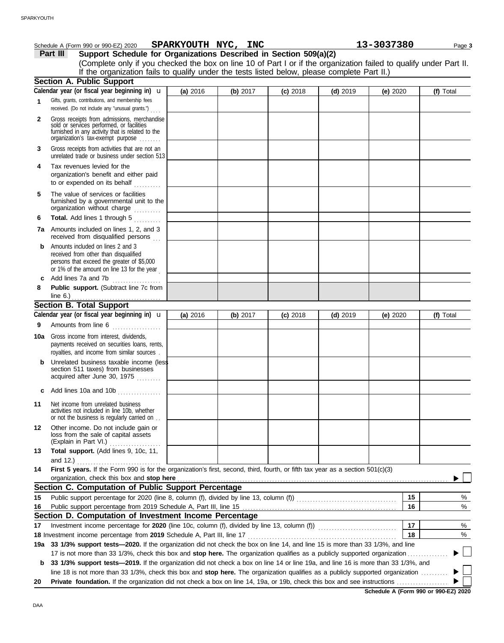|              | Schedule A (Form 990 or 990-EZ) 2020                                                                                                                                                                                                                             | SPARKYOUTH NYC, INC |          |            |            | 13-3037380 |    | Page 3    |
|--------------|------------------------------------------------------------------------------------------------------------------------------------------------------------------------------------------------------------------------------------------------------------------|---------------------|----------|------------|------------|------------|----|-----------|
|              | Support Schedule for Organizations Described in Section 509(a)(2)<br>Part III                                                                                                                                                                                    |                     |          |            |            |            |    |           |
|              | (Complete only if you checked the box on line 10 of Part I or if the organization failed to qualify under Part II.                                                                                                                                               |                     |          |            |            |            |    |           |
|              | If the organization fails to qualify under the tests listed below, please complete Part II.)                                                                                                                                                                     |                     |          |            |            |            |    |           |
|              | <b>Section A. Public Support</b>                                                                                                                                                                                                                                 |                     |          |            |            |            |    |           |
|              | Calendar year (or fiscal year beginning in) <b>u</b>                                                                                                                                                                                                             | (a) 2016            | (b) 2017 | $(c)$ 2018 | $(d)$ 2019 | (e) $2020$ |    | (f) Total |
| 1            | Gifts, grants, contributions, and membership fees<br>received. (Do not include any "unusual grants.")                                                                                                                                                            |                     |          |            |            |            |    |           |
| $\mathbf{2}$ | Gross receipts from admissions, merchandise<br>sold or services performed, or facilities<br>furnished in any activity that is related to the<br>organization's fax-exempt purpose                                                                                |                     |          |            |            |            |    |           |
| 3            | Gross receipts from activities that are not an<br>unrelated trade or business under section 513                                                                                                                                                                  |                     |          |            |            |            |    |           |
| 4            | Tax revenues levied for the<br>organization's benefit and either paid<br>to or expended on its behalf                                                                                                                                                            |                     |          |            |            |            |    |           |
| 5            | The value of services or facilities<br>furnished by a governmental unit to the<br>organization without charge                                                                                                                                                    |                     |          |            |            |            |    |           |
| 6            | Total. Add lines 1 through 5<br>in de Berlin                                                                                                                                                                                                                     |                     |          |            |            |            |    |           |
|              | 7a Amounts included on lines 1, 2, and 3<br>received from disqualified persons                                                                                                                                                                                   |                     |          |            |            |            |    |           |
| b            | Amounts included on lines 2 and 3<br>received from other than disqualified<br>persons that exceed the greater of \$5,000<br>or 1% of the amount on line 13 for the year                                                                                          |                     |          |            |            |            |    |           |
| c            | Add lines 7a and 7b<br>.                                                                                                                                                                                                                                         |                     |          |            |            |            |    |           |
| 8            | Public support. (Subtract line 7c from                                                                                                                                                                                                                           |                     |          |            |            |            |    |           |
|              | <b>Section B. Total Support</b>                                                                                                                                                                                                                                  |                     |          |            |            |            |    |           |
|              | Calendar year (or fiscal year beginning in) $\mathbf u$                                                                                                                                                                                                          | (a) 2016            | (b) 2017 | $(c)$ 2018 | $(d)$ 2019 | (e) 2020   |    | (f) Total |
| 9            | Amounts from line 6                                                                                                                                                                                                                                              |                     |          |            |            |            |    |           |
| 10a          | Gross income from interest, dividends,<br>payments received on securities loans, rents,<br>royalties, and income from similar sources.                                                                                                                           |                     |          |            |            |            |    |           |
|              | Unrelated business taxable income (less<br>section 511 taxes) from businesses<br>acquired after June 30, 1975                                                                                                                                                    |                     |          |            |            |            |    |           |
|              | c Add lines 10a and 10b                                                                                                                                                                                                                                          |                     |          |            |            |            |    |           |
| 11           | Net income from unrelated business<br>activities not included in line 10b, whether<br>or not the business is regularly carried on                                                                                                                                |                     |          |            |            |            |    |           |
| 12           | Other income. Do not include gain or<br>loss from the sale of capital assets<br>(Explain in Part VI.)                                                                                                                                                            |                     |          |            |            |            |    |           |
| 13           | Total support. (Add lines 9, 10c, 11,<br>and 12.)                                                                                                                                                                                                                |                     |          |            |            |            |    |           |
| 14           | First 5 years. If the Form 990 is for the organization's first, second, third, fourth, or fifth tax year as a section 501(c)(3)<br>organization, check this box and stop here                                                                                    |                     |          |            |            |            |    |           |
|              | Section C. Computation of Public Support Percentage                                                                                                                                                                                                              |                     |          |            |            |            |    |           |
| 15           |                                                                                                                                                                                                                                                                  |                     |          |            |            |            | 15 | %         |
| 16           |                                                                                                                                                                                                                                                                  |                     |          |            |            |            | 16 | %         |
|              | Section D. Computation of Investment Income Percentage                                                                                                                                                                                                           |                     |          |            |            |            |    |           |
| 17           |                                                                                                                                                                                                                                                                  |                     |          |            |            |            | 17 | %         |
|              |                                                                                                                                                                                                                                                                  |                     |          |            |            |            | 18 | %         |
|              | 19a 33 1/3% support tests-2020. If the organization did not check the box on line 14, and line 15 is more than 33 1/3%, and line                                                                                                                                 |                     |          |            |            |            |    |           |
| b            | 17 is not more than 33 1/3%, check this box and stop here. The organization qualifies as a publicly supported organization.<br>33 1/3% support tests-2019. If the organization did not check a box on line 14 or line 19a, and line 16 is more than 33 1/3%, and |                     |          |            |            |            |    |           |
|              | line 18 is not more than 33 1/3%, check this box and stop here. The organization qualifies as a publicly supported organization                                                                                                                                  |                     |          |            |            |            |    |           |
| 20           |                                                                                                                                                                                                                                                                  |                     |          |            |            |            |    |           |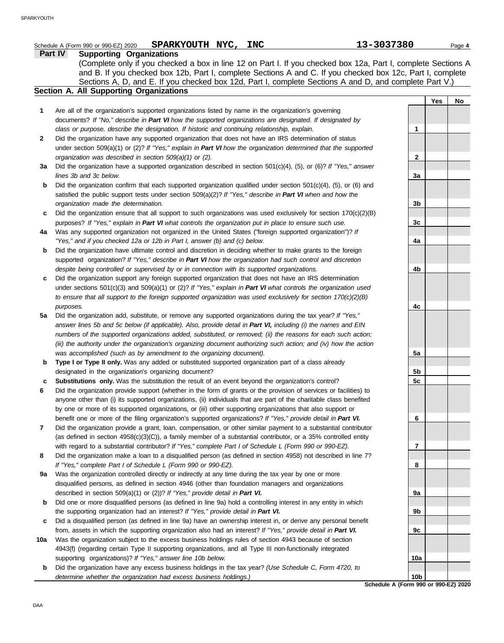|     | SPARKYOUTH NYC, INC<br>Schedule A (Form 990 or 990-EZ) 2020                                                                                                                                                                    | 13-3037380      |     | Page 4 |
|-----|--------------------------------------------------------------------------------------------------------------------------------------------------------------------------------------------------------------------------------|-----------------|-----|--------|
|     | <b>Supporting Organizations</b><br>Part IV                                                                                                                                                                                     |                 |     |        |
|     | (Complete only if you checked a box in line 12 on Part I. If you checked box 12a, Part I, complete Sections A<br>and B. If you checked box 12b, Part I, complete Sections A and C. If you checked box 12c, Part I, complete    |                 |     |        |
|     | Sections A, D, and E. If you checked box 12d, Part I, complete Sections A and D, and complete Part V.)                                                                                                                         |                 |     |        |
|     | Section A. All Supporting Organizations                                                                                                                                                                                        |                 |     |        |
|     |                                                                                                                                                                                                                                |                 | Yes | No     |
| 1   | Are all of the organization's supported organizations listed by name in the organization's governing                                                                                                                           |                 |     |        |
|     | documents? If "No," describe in Part VI how the supported organizations are designated. If designated by                                                                                                                       |                 |     |        |
|     | class or purpose, describe the designation. If historic and continuing relationship, explain.                                                                                                                                  | 1               |     |        |
| 2   | Did the organization have any supported organization that does not have an IRS determination of status                                                                                                                         |                 |     |        |
|     | under section 509(a)(1) or (2)? If "Yes," explain in Part VI how the organization determined that the supported                                                                                                                |                 |     |        |
|     | organization was described in section 509(a)(1) or (2).                                                                                                                                                                        | 2               |     |        |
| За  | Did the organization have a supported organization described in section $501(c)(4)$ , (5), or (6)? If "Yes," answer                                                                                                            |                 |     |        |
|     | lines 3b and 3c below.                                                                                                                                                                                                         | 3a              |     |        |
| b   | Did the organization confirm that each supported organization qualified under section $501(c)(4)$ , (5), or (6) and                                                                                                            |                 |     |        |
|     | satisfied the public support tests under section $509(a)(2)?$ If "Yes," describe in Part VI when and how the                                                                                                                   |                 |     |        |
|     | organization made the determination.                                                                                                                                                                                           | 3b              |     |        |
| c   | Did the organization ensure that all support to such organizations was used exclusively for section $170(c)(2)(B)$                                                                                                             |                 |     |        |
|     | purposes? If "Yes," explain in Part VI what controls the organization put in place to ensure such use.                                                                                                                         | 3c              |     |        |
| 4a  | Was any supported organization not organized in the United States ("foreign supported organization")? If                                                                                                                       |                 |     |        |
|     | "Yes," and if you checked 12a or 12b in Part I, answer (b) and (c) below.                                                                                                                                                      | 4a              |     |        |
| b   | Did the organization have ultimate control and discretion in deciding whether to make grants to the foreign                                                                                                                    |                 |     |        |
|     | supported organization? If "Yes," describe in Part VI how the organization had such control and discretion                                                                                                                     |                 |     |        |
|     | despite being controlled or supervised by or in connection with its supported organizations.                                                                                                                                   | 4b              |     |        |
| c   | Did the organization support any foreign supported organization that does not have an IRS determination<br>under sections $501(c)(3)$ and $509(a)(1)$ or (2)? If "Yes," explain in Part VI what controls the organization used |                 |     |        |
|     | to ensure that all support to the foreign supported organization was used exclusively for section $170(c)(2)(B)$                                                                                                               |                 |     |        |
|     | purposes.                                                                                                                                                                                                                      | 4c              |     |        |
| 5a  | Did the organization add, substitute, or remove any supported organizations during the tax year? If "Yes,"                                                                                                                     |                 |     |        |
|     | answer lines 5b and 5c below (if applicable). Also, provide detail in Part VI, including (i) the names and EIN                                                                                                                 |                 |     |        |
|     | numbers of the supported organizations added, substituted, or removed; (ii) the reasons for each such action;                                                                                                                  |                 |     |        |
|     | (iii) the authority under the organization's organizing document authorizing such action; and (iv) how the action                                                                                                              |                 |     |        |
|     | was accomplished (such as by amendment to the organizing document).                                                                                                                                                            | 5a              |     |        |
| b   | Type I or Type II only. Was any added or substituted supported organization part of a class already                                                                                                                            |                 |     |        |
|     | designated in the organization's organizing document?                                                                                                                                                                          | 5b              |     |        |
| c   | Substitutions only. Was the substitution the result of an event beyond the organization's control?                                                                                                                             | 5c              |     |        |
| 6   | Did the organization provide support (whether in the form of grants or the provision of services or facilities) to                                                                                                             |                 |     |        |
|     | anyone other than (i) its supported organizations, (ii) individuals that are part of the charitable class benefited                                                                                                            |                 |     |        |
|     | by one or more of its supported organizations, or (iii) other supporting organizations that also support or                                                                                                                    |                 |     |        |
|     | benefit one or more of the filing organization's supported organizations? If "Yes," provide detail in Part VI.                                                                                                                 | 6               |     |        |
| 7   | Did the organization provide a grant, loan, compensation, or other similar payment to a substantial contributor                                                                                                                |                 |     |        |
|     | (as defined in section $4958(c)(3)(C)$ ), a family member of a substantial contributor, or a 35% controlled entity                                                                                                             |                 |     |        |
|     | with regard to a substantial contributor? If "Yes," complete Part I of Schedule L (Form 990 or 990-EZ).                                                                                                                        | 7               |     |        |
| 8   | Did the organization make a loan to a disqualified person (as defined in section 4958) not described in line 7?                                                                                                                |                 |     |        |
|     | If "Yes," complete Part I of Schedule L (Form 990 or 990-EZ).                                                                                                                                                                  | 8               |     |        |
| 9a  | Was the organization controlled directly or indirectly at any time during the tax year by one or more                                                                                                                          |                 |     |        |
|     | disqualified persons, as defined in section 4946 (other than foundation managers and organizations                                                                                                                             |                 |     |        |
|     | described in section 509(a)(1) or (2))? If "Yes," provide detail in Part VI.                                                                                                                                                   | 9a              |     |        |
| b   | Did one or more disqualified persons (as defined in line 9a) hold a controlling interest in any entity in which                                                                                                                |                 |     |        |
|     | the supporting organization had an interest? If "Yes," provide detail in Part VI.                                                                                                                                              | 9b              |     |        |
| c   | Did a disqualified person (as defined in line 9a) have an ownership interest in, or derive any personal benefit                                                                                                                |                 |     |        |
|     | from, assets in which the supporting organization also had an interest? If "Yes," provide detail in Part VI.                                                                                                                   | 9c              |     |        |
| 10a | Was the organization subject to the excess business holdings rules of section 4943 because of section                                                                                                                          |                 |     |        |
|     | 4943(f) (regarding certain Type II supporting organizations, and all Type III non-functionally integrated                                                                                                                      |                 |     |        |
|     | supporting organizations)? If "Yes," answer line 10b below.                                                                                                                                                                    | 10a             |     |        |
| b   | Did the organization have any excess business holdings in the tax year? (Use Schedule C, Form 4720, to                                                                                                                         |                 |     |        |
|     | determine whether the organization had excess business holdings.)                                                                                                                                                              | 10 <sub>b</sub> |     |        |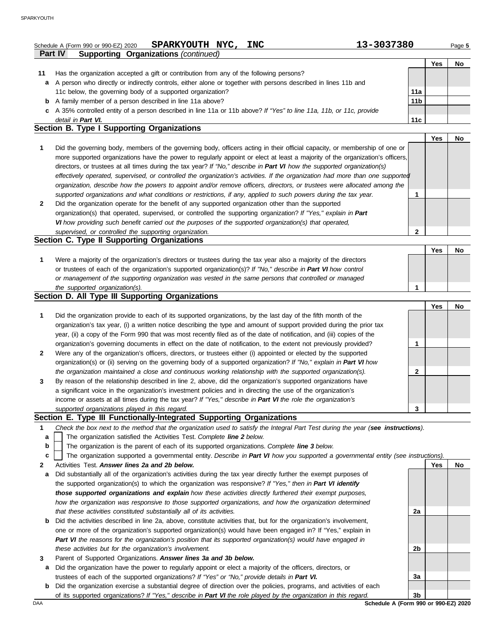|    | SPARKYOUTH NYC, INC<br>Schedule A (Form 990 or 990-EZ) 2020<br><b>Supporting Organizations (continued)</b><br><b>Part IV</b>      | 13-3037380      |            | Page 5    |
|----|-----------------------------------------------------------------------------------------------------------------------------------|-----------------|------------|-----------|
|    |                                                                                                                                   |                 | <b>Yes</b> | No        |
| 11 | Has the organization accepted a gift or contribution from any of the following persons?                                           |                 |            |           |
| a  | A person who directly or indirectly controls, either alone or together with persons described in lines 11b and                    |                 |            |           |
|    | 11c below, the governing body of a supported organization?                                                                        | 11a             |            |           |
| b  | A family member of a person described in line 11a above?                                                                          | 11 <sub>b</sub> |            |           |
|    | c A 35% controlled entity of a person described in line 11a or 11b above? If "Yes" to line 11a, 11b, or 11c, provide              |                 |            |           |
|    | detail in Part VI.                                                                                                                | 11c             |            |           |
|    | Section B. Type I Supporting Organizations                                                                                        |                 |            |           |
|    |                                                                                                                                   |                 | <b>Yes</b> | No        |
| 1  | Did the governing body, members of the governing body, officers acting in their official capacity, or membership of one or        |                 |            |           |
|    | more supported organizations have the power to regularly appoint or elect at least a majority of the organization's officers,     |                 |            |           |
|    | directors, or trustees at all times during the tax year? If "No," describe in Part VI how the supported organization(s)           |                 |            |           |
|    | effectively operated, supervised, or controlled the organization's activities. If the organization had more than one supported    |                 |            |           |
|    | organization, describe how the powers to appoint and/or remove officers, directors, or trustees were allocated among the          |                 |            |           |
|    | supported organizations and what conditions or restrictions, if any, applied to such powers during the tax year.                  | 1               |            |           |
| 2  | Did the organization operate for the benefit of any supported organization other than the supported                               |                 |            |           |
|    | organization(s) that operated, supervised, or controlled the supporting organization? If "Yes," explain in Part                   |                 |            |           |
|    | VI how providing such benefit carried out the purposes of the supported organization(s) that operated,                            |                 |            |           |
|    | supervised, or controlled the supporting organization.                                                                            | 2               |            |           |
|    | Section C. Type II Supporting Organizations                                                                                       |                 |            |           |
|    |                                                                                                                                   |                 | Yes        | <b>No</b> |
| 1  | Were a majority of the organization's directors or trustees during the tax year also a majority of the directors                  |                 |            |           |
|    | or trustees of each of the organization's supported organization(s)? If "No," describe in Part VI how control                     |                 |            |           |
|    | or management of the supporting organization was vested in the same persons that controlled or managed                            |                 |            |           |
|    | the supported organization(s).                                                                                                    |                 |            |           |
|    | Section D. All Type III Supporting Organizations                                                                                  |                 |            |           |
|    |                                                                                                                                   |                 | Yes        | No        |
| 1  | Did the organization provide to each of its supported organizations, by the last day of the fifth month of the                    |                 |            |           |
|    | organization's tax year, (i) a written notice describing the type and amount of support provided during the prior tax             |                 |            |           |
|    | year, (ii) a copy of the Form 990 that was most recently filed as of the date of notification, and (iii) copies of the            |                 |            |           |
|    | organization's governing documents in effect on the date of notification, to the extent not previously provided?                  | 1               |            |           |
| 2  | Were any of the organization's officers, directors, or trustees either (i) appointed or elected by the supported                  |                 |            |           |
|    | organization(s) or (ii) serving on the governing body of a supported organization? If "No," explain in Part VI how                |                 |            |           |
|    | the organization maintained a close and continuous working relationship with the supported organization(s).                       | 2               |            |           |
|    | By reason of the relationship described in line 2, above, did the organization's supported organizations have                     |                 |            |           |
|    | a significant voice in the organization's investment policies and in directing the use of the organization's                      |                 |            |           |
|    | income or assets at all times during the tax year? If "Yes," describe in Part VI the role the organization's                      |                 |            |           |
|    | supported organizations played in this regard.                                                                                    | 3               |            |           |
|    | Section E. Type III Functionally-Integrated Supporting Organizations                                                              |                 |            |           |
| 1  | Check the box next to the method that the organization used to satisfy the Integral Part Test during the year (see instructions). |                 |            |           |
| a  | The organization satisfied the Activities Test. Complete line 2 below.                                                            |                 |            |           |
| b  | The organization is the parent of each of its supported organizations. Complete line 3 below.                                     |                 |            |           |
| c  | The organization supported a governmental entity. Describe in Part VI how you supported a governmental entity (see instructions). |                 |            |           |
| 2  | Activities Test. Answer lines 2a and 2b below.                                                                                    |                 |            | No        |
|    | Did substantially all of the organization's activities during the tax year directly further the exempt purposes of                |                 | Yes        |           |
| а  |                                                                                                                                   |                 |            |           |
|    | the supported organization(s) to which the organization was responsive? If "Yes," then in Part VI identify                        |                 |            |           |
|    | those supported organizations and explain how these activities directly furthered their exempt purposes,                          |                 |            |           |
|    | how the organization was responsive to those supported organizations, and how the organization determined                         |                 |            |           |
|    | that these activities constituted substantially all of its activities.                                                            | 2a              |            |           |
| b  | Did the activities described in line 2a, above, constitute activities that, but for the organization's involvement,               |                 |            |           |
|    | one or more of the organization's supported organization(s) would have been engaged in? If "Yes," explain in                      |                 |            |           |
|    | Part VI the reasons for the organization's position that its supported organization(s) would have engaged in                      |                 |            |           |
|    | these activities but for the organization's involvement.                                                                          | 2b              |            |           |
| 3  | Parent of Supported Organizations. Answer lines 3a and 3b below.                                                                  |                 |            |           |
| a  | Did the organization have the power to regularly appoint or elect a majority of the officers, directors, or                       |                 |            |           |

- trustees of each of the supported organizations? *If "Yes" or "No," provide details in Part VI.*
- **b** Did the organization exercise a substantial degree of direction over the policies, programs, and activities of each of its supported organizations? *If "Yes," describe in Part VI the role played by the organization in this regard.* **3b**

DAA **Schedule A (Form 990 or 990-EZ) 2020**

**3a**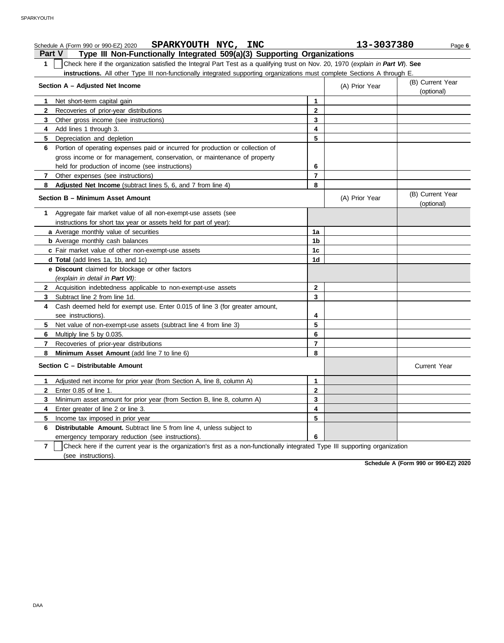| SPARKYOUTH NYC, INC<br>Schedule A (Form 990 or 990-EZ) 2020                                                                                    |              | 13-3037380     | Page 6                         |
|------------------------------------------------------------------------------------------------------------------------------------------------|--------------|----------------|--------------------------------|
| Type III Non-Functionally Integrated 509(a)(3) Supporting Organizations<br><b>Part V</b>                                                       |              |                |                                |
| Check here if the organization satisfied the Integral Part Test as a qualifying trust on Nov. 20, 1970 (explain in Part VI). See<br>1          |              |                |                                |
| instructions. All other Type III non-functionally integrated supporting organizations must complete Sections A through E.                      |              |                |                                |
| Section A - Adjusted Net Income                                                                                                                |              | (A) Prior Year | (B) Current Year<br>(optional) |
| Net short-term capital gain<br>1                                                                                                               | 1            |                |                                |
| 2<br>Recoveries of prior-year distributions                                                                                                    | $\mathbf{2}$ |                |                                |
| 3<br>Other gross income (see instructions)                                                                                                     | 3            |                |                                |
| Add lines 1 through 3.<br>4                                                                                                                    | 4            |                |                                |
| 5<br>Depreciation and depletion                                                                                                                | 5            |                |                                |
| Portion of operating expenses paid or incurred for production or collection of<br>6                                                            |              |                |                                |
| gross income or for management, conservation, or maintenance of property                                                                       |              |                |                                |
| held for production of income (see instructions)                                                                                               | 6            |                |                                |
| 7<br>Other expenses (see instructions)                                                                                                         | 7            |                |                                |
| Adjusted Net Income (subtract lines 5, 6, and 7 from line 4)<br>8                                                                              | 8            |                |                                |
| Section B - Minimum Asset Amount                                                                                                               |              | (A) Prior Year | (B) Current Year<br>(optional) |
| Aggregate fair market value of all non-exempt-use assets (see<br>1                                                                             |              |                |                                |
| instructions for short tax year or assets held for part of year):                                                                              |              |                |                                |
| a Average monthly value of securities                                                                                                          | 1a           |                |                                |
| <b>b</b> Average monthly cash balances                                                                                                         | 1b           |                |                                |
| c Fair market value of other non-exempt-use assets                                                                                             | 1c           |                |                                |
| d Total (add lines 1a, 1b, and 1c)                                                                                                             | 1d           |                |                                |
| e Discount claimed for blockage or other factors                                                                                               |              |                |                                |
| (explain in detail in Part VI):                                                                                                                |              |                |                                |
| 2 Acquisition indebtedness applicable to non-exempt-use assets                                                                                 | 2            |                |                                |
| Subtract line 2 from line 1d.<br>3                                                                                                             | 3            |                |                                |
| Cash deemed held for exempt use. Enter 0.015 of line 3 (for greater amount,<br>4                                                               |              |                |                                |
| see instructions).                                                                                                                             | 4            |                |                                |
| 5<br>Net value of non-exempt-use assets (subtract line 4 from line 3)                                                                          | 5            |                |                                |
| Multiply line 5 by 0.035.<br>6                                                                                                                 | 6            |                |                                |
| 7<br>Recoveries of prior-year distributions                                                                                                    | 7            |                |                                |
| Minimum Asset Amount (add line 7 to line 6)<br>8                                                                                               | 8            |                |                                |
| Section C - Distributable Amount                                                                                                               |              |                | <b>Current Year</b>            |
| 1 Adjusted net income for prior year (from Section A, line 8, column A)                                                                        | 1            |                |                                |
| Enter 0.85 of line 1.<br>2                                                                                                                     | 2            |                |                                |
| Minimum asset amount for prior year (from Section B, line 8, column A)<br>3                                                                    | 3            |                |                                |
| Enter greater of line 2 or line 3.<br>4                                                                                                        | 4            |                |                                |
| 5<br>Income tax imposed in prior year                                                                                                          | 5            |                |                                |
| Distributable Amount. Subtract line 5 from line 4, unless subject to<br>6                                                                      |              |                |                                |
| emergency temporary reduction (see instructions).                                                                                              | 6            |                |                                |
| $\overline{7}$<br>Check here if the current year is the organization's first as a non-functionally integrated Type III supporting organization |              |                |                                |

(see instructions).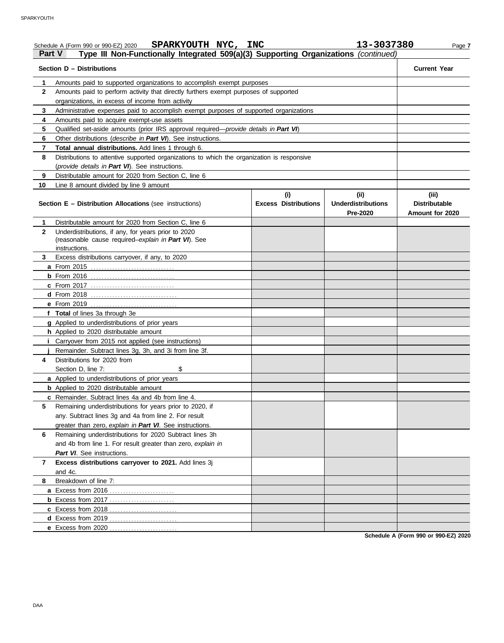|               | SPARKYOUTH NYC, INC<br>Schedule A (Form 990 or 990-EZ) 2020                                   |                             | 13-3037380                            | Page 7                                  |
|---------------|-----------------------------------------------------------------------------------------------|-----------------------------|---------------------------------------|-----------------------------------------|
| <b>Part V</b> | Type III Non-Functionally Integrated 509(a)(3) Supporting Organizations (continued)           |                             |                                       |                                         |
|               | Section D - Distributions                                                                     |                             |                                       | <b>Current Year</b>                     |
| 1.            | Amounts paid to supported organizations to accomplish exempt purposes                         |                             |                                       |                                         |
| $\mathbf{2}$  | Amounts paid to perform activity that directly furthers exempt purposes of supported          |                             |                                       |                                         |
|               | organizations, in excess of income from activity                                              |                             |                                       |                                         |
| 3             | Administrative expenses paid to accomplish exempt purposes of supported organizations         |                             |                                       |                                         |
| 4             | Amounts paid to acquire exempt-use assets                                                     |                             |                                       |                                         |
| 5             | Qualified set-aside amounts (prior IRS approval required— <i>provide details in Part VI</i> ) |                             |                                       |                                         |
| 6             | Other distributions (describe in Part VI). See instructions.                                  |                             |                                       |                                         |
| 7             | Total annual distributions. Add lines 1 through 6.                                            |                             |                                       |                                         |
| 8             | Distributions to attentive supported organizations to which the organization is responsive    |                             |                                       |                                         |
|               | (provide details in Part VI). See instructions.                                               |                             |                                       |                                         |
| 9             | Distributable amount for 2020 from Section C, line 6                                          |                             |                                       |                                         |
| 10            | Line 8 amount divided by line 9 amount                                                        |                             |                                       |                                         |
|               |                                                                                               | (i)                         | (ii)                                  | (iii)                                   |
|               | <b>Section E - Distribution Allocations (see instructions)</b>                                | <b>Excess Distributions</b> | <b>Underdistributions</b><br>Pre-2020 | <b>Distributable</b><br>Amount for 2020 |
| 1.            | Distributable amount for 2020 from Section C, line 6                                          |                             |                                       |                                         |
| $\mathbf{2}$  | Underdistributions, if any, for years prior to 2020                                           |                             |                                       |                                         |
|               | (reasonable cause required-explain in Part VI). See                                           |                             |                                       |                                         |
|               | instructions.                                                                                 |                             |                                       |                                         |
| 3             | Excess distributions carryover, if any, to 2020                                               |                             |                                       |                                         |
|               | a From 2015                                                                                   |                             |                                       |                                         |
|               |                                                                                               |                             |                                       |                                         |
|               | <b>c</b> From 2017                                                                            |                             |                                       |                                         |
|               |                                                                                               |                             |                                       |                                         |
|               |                                                                                               |                             |                                       |                                         |
|               | f Total of lines 3a through 3e                                                                |                             |                                       |                                         |
|               | g Applied to underdistributions of prior years                                                |                             |                                       |                                         |
|               | h Applied to 2020 distributable amount                                                        |                             |                                       |                                         |
|               | <i>i</i> Carryover from 2015 not applied (see instructions)                                   |                             |                                       |                                         |
|               | Remainder. Subtract lines 3g, 3h, and 3i from line 3f.                                        |                             |                                       |                                         |
| 4             | Distributions for 2020 from                                                                   |                             |                                       |                                         |
|               | Section D. line 7:<br>\$                                                                      |                             |                                       |                                         |
|               | a Applied to underdistributions of prior years                                                |                             |                                       |                                         |
|               | <b>b</b> Applied to 2020 distributable amount                                                 |                             |                                       |                                         |
|               | c Remainder. Subtract lines 4a and 4b from line 4.                                            |                             |                                       |                                         |
| 5             | Remaining underdistributions for years prior to 2020, if                                      |                             |                                       |                                         |
|               | any. Subtract lines 3g and 4a from line 2. For result                                         |                             |                                       |                                         |
|               | greater than zero, explain in Part VI. See instructions.                                      |                             |                                       |                                         |
| 6             | Remaining underdistributions for 2020 Subtract lines 3h                                       |                             |                                       |                                         |
|               | and 4b from line 1. For result greater than zero, explain in                                  |                             |                                       |                                         |
|               | Part VI. See instructions.                                                                    |                             |                                       |                                         |
| 7             | Excess distributions carryover to 2021. Add lines 3j                                          |                             |                                       |                                         |
|               | and 4c.                                                                                       |                             |                                       |                                         |
| 8             | Breakdown of line 7:                                                                          |                             |                                       |                                         |
|               |                                                                                               |                             |                                       |                                         |
|               |                                                                                               |                             |                                       |                                         |
|               |                                                                                               |                             |                                       |                                         |
|               |                                                                                               |                             |                                       |                                         |
|               |                                                                                               |                             |                                       |                                         |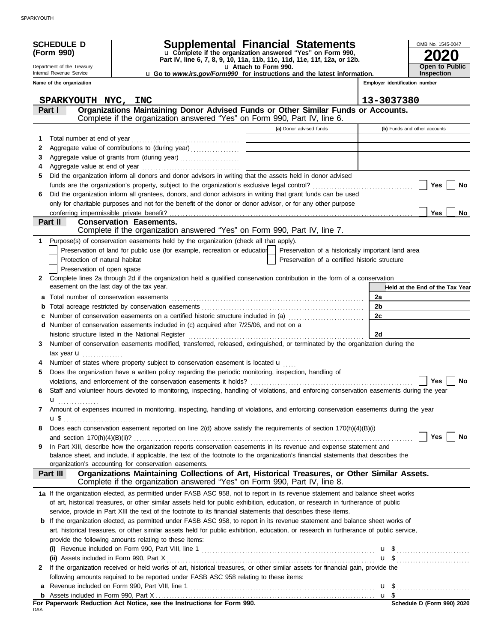| Supplemental Financial Statements<br><b>SCHEDULE D</b><br>OMB No. 1545-0047<br>u Complete if the organization answered "Yes" on Form 990,<br>(Form 990)<br>Part IV, line 6, 7, 8, 9, 10, 11a, 11b, 11c, 11d, 11e, 11f, 12a, or 12b.<br>Open to Public<br>Department of the Treasury<br>u Attach to Form 990.<br><b>Inspection</b><br>Internal Revenue Service<br><b>u</b> Go to <i>www.irs.gov/Form990</i> for instructions and the latest information.<br>Name of the organization<br>Employer identification number<br>13-3037380<br>SPARKYOUTH NYC, INC<br>Organizations Maintaining Donor Advised Funds or Other Similar Funds or Accounts.<br>Part I<br>Complete if the organization answered "Yes" on Form 990, Part IV, line 6.<br>(a) Donor advised funds<br>(b) Funds and other accounts<br>Total number at end of year<br>1<br><u> 1989 - Johann Barn, mars et al. (</u><br>Aggregate value of contributions to (during year)<br>2<br>the control of the control of the control of the control of the control of<br>3<br>the control of the control of the control of the control of the control of<br>4<br>Did the organization inform all donors and donor advisors in writing that the assets held in donor advised<br>5<br>Yes<br>No<br>Did the organization inform all grantees, donors, and donor advisors in writing that grant funds can be used<br>6<br>only for charitable purposes and not for the benefit of the donor or donor advisor, or for any other purpose<br><b>Yes</b><br>No<br>Part II<br><b>Conservation Easements.</b><br>Complete if the organization answered "Yes" on Form 990, Part IV, line 7.<br>Purpose(s) of conservation easements held by the organization (check all that apply).<br>1.<br>Preservation of land for public use (for example, recreation or education   Preservation of a historically important land area<br>Protection of natural habitat<br>Preservation of a certified historic structure<br>Preservation of open space<br>Complete lines 2a through 2d if the organization held a qualified conservation contribution in the form of a conservation<br>$\mathbf{2}$<br>easement on the last day of the tax year.<br>Held at the End of the Tax Year<br>2a<br>2 <sub>b</sub><br>b<br>2c<br>Number of conservation easements on a certified historic structure included in (a) <i>[[[[[[[[[[[[[[[]]]]</i> ]<br>d Number of conservation easements included in (c) acquired after 7/25/06, and not on a<br>2d<br>historic structure listed in the National Register<br>Number of conservation easements modified, transferred, released, extinguished, or terminated by the organization during the<br>3<br>tax year <b>u</b><br>Number of states where property subject to conservation easement is located $\mathbf{u}$<br>Does the organization have a written policy regarding the periodic monitoring, inspection, handling of<br>5<br>Yes<br>No<br>Staff and volunteer hours devoted to monitoring, inspecting, handling of violations, and enforcing conservation easements during the year<br>6<br>u<br>Amount of expenses incurred in monitoring, inspecting, handling of violations, and enforcing conservation easements during the year<br>7<br>$\mathbf{u} \, \mathbf{\$}$<br>Does each conservation easement reported on line $2(d)$ above satisfy the requirements of section $170(h)(4)(B)(i)$<br>8<br>Yes<br>No<br>In Part XIII, describe how the organization reports conservation easements in its revenue and expense statement and<br>9<br>balance sheet, and include, if applicable, the text of the footnote to the organization's financial statements that describes the<br>organization's accounting for conservation easements.<br>Organizations Maintaining Collections of Art, Historical Treasures, or Other Similar Assets.<br>Part III<br>Complete if the organization answered "Yes" on Form 990, Part IV, line 8.<br>1a If the organization elected, as permitted under FASB ASC 958, not to report in its revenue statement and balance sheet works<br>of art, historical treasures, or other similar assets held for public exhibition, education, or research in furtherance of public<br>service, provide in Part XIII the text of the footnote to its financial statements that describes these items.<br><b>b</b> If the organization elected, as permitted under FASB ASC 958, to report in its revenue statement and balance sheet works of<br>art, historical treasures, or other similar assets held for public exhibition, education, or research in furtherance of public service,<br>provide the following amounts relating to these items:<br>$\mathbf{u}$ \$<br>(ii) Assets included in Form 990, Part X<br>If the organization received or held works of art, historical treasures, or other similar assets for financial gain, provide the<br>2<br>following amounts required to be reported under FASB ASC 958 relating to these items:<br>а |  |  |  |  |
|----------------------------------------------------------------------------------------------------------------------------------------------------------------------------------------------------------------------------------------------------------------------------------------------------------------------------------------------------------------------------------------------------------------------------------------------------------------------------------------------------------------------------------------------------------------------------------------------------------------------------------------------------------------------------------------------------------------------------------------------------------------------------------------------------------------------------------------------------------------------------------------------------------------------------------------------------------------------------------------------------------------------------------------------------------------------------------------------------------------------------------------------------------------------------------------------------------------------------------------------------------------------------------------------------------------------------------------------------------------------------------------------------------------------------------------------------------------------------------------------------------------------------------------------------------------------------------------------------------------------------------------------------------------------------------------------------------------------------------------------------------------------------------------------------------------------------------------------------------------------------------------------------------------------------------------------------------------------------------------------------------------------------------------------------------------------------------------------------------------------------------------------------------------------------------------------------------------------------------------------------------------------------------------------------------------------------------------------------------------------------------------------------------------------------------------------------------------------------------------------------------------------------------------------------------------------------------------------------------------------------------------------------------------------------------------------------------------------------------------------------------------------------------------------------------------------------------------------------------------------------------------------------------------------------------------------------------------------------------------------------------------------------------------------------------------------------------------------------------------------------------------------------------------------------------------------------------------------------------------------------------------------------------------------------------------------------------------------------------------------------------------------------------------------------------------------------------------------------------------------------------------------------------------------------------------------------------------------------------------------------------------------------------------------------------------------------------------------------------------------------------------------------------------------------------------------------------------------------------------------------------------------------------------------------------------------------------------------------------------------------------------------------------------------------------------------------------------------------------------------------------------------------------------------------------------------------------------------------------------------------------------------------------------------------------------------------------------------------------------------------------------------------------------------------------------------------------------------------------------------------------------------------------------------------------------------------------------------------------------------------------------------------------------------------------------------------------------------------------------------------------------------------------------------------------------------------------------------------------------------------------------------------------------------------------------------------------------|--|--|--|--|
|                                                                                                                                                                                                                                                                                                                                                                                                                                                                                                                                                                                                                                                                                                                                                                                                                                                                                                                                                                                                                                                                                                                                                                                                                                                                                                                                                                                                                                                                                                                                                                                                                                                                                                                                                                                                                                                                                                                                                                                                                                                                                                                                                                                                                                                                                                                                                                                                                                                                                                                                                                                                                                                                                                                                                                                                                                                                                                                                                                                                                                                                                                                                                                                                                                                                                                                                                                                                                                                                                                                                                                                                                                                                                                                                                                                                                                                                                                                                                                                                                                                                                                                                                                                                                                                                                                                                                                                                                                                                                                                                                                                                                                                                                                                                                                                                                                                                                                                                                                |  |  |  |  |
|                                                                                                                                                                                                                                                                                                                                                                                                                                                                                                                                                                                                                                                                                                                                                                                                                                                                                                                                                                                                                                                                                                                                                                                                                                                                                                                                                                                                                                                                                                                                                                                                                                                                                                                                                                                                                                                                                                                                                                                                                                                                                                                                                                                                                                                                                                                                                                                                                                                                                                                                                                                                                                                                                                                                                                                                                                                                                                                                                                                                                                                                                                                                                                                                                                                                                                                                                                                                                                                                                                                                                                                                                                                                                                                                                                                                                                                                                                                                                                                                                                                                                                                                                                                                                                                                                                                                                                                                                                                                                                                                                                                                                                                                                                                                                                                                                                                                                                                                                                |  |  |  |  |
|                                                                                                                                                                                                                                                                                                                                                                                                                                                                                                                                                                                                                                                                                                                                                                                                                                                                                                                                                                                                                                                                                                                                                                                                                                                                                                                                                                                                                                                                                                                                                                                                                                                                                                                                                                                                                                                                                                                                                                                                                                                                                                                                                                                                                                                                                                                                                                                                                                                                                                                                                                                                                                                                                                                                                                                                                                                                                                                                                                                                                                                                                                                                                                                                                                                                                                                                                                                                                                                                                                                                                                                                                                                                                                                                                                                                                                                                                                                                                                                                                                                                                                                                                                                                                                                                                                                                                                                                                                                                                                                                                                                                                                                                                                                                                                                                                                                                                                                                                                |  |  |  |  |
|                                                                                                                                                                                                                                                                                                                                                                                                                                                                                                                                                                                                                                                                                                                                                                                                                                                                                                                                                                                                                                                                                                                                                                                                                                                                                                                                                                                                                                                                                                                                                                                                                                                                                                                                                                                                                                                                                                                                                                                                                                                                                                                                                                                                                                                                                                                                                                                                                                                                                                                                                                                                                                                                                                                                                                                                                                                                                                                                                                                                                                                                                                                                                                                                                                                                                                                                                                                                                                                                                                                                                                                                                                                                                                                                                                                                                                                                                                                                                                                                                                                                                                                                                                                                                                                                                                                                                                                                                                                                                                                                                                                                                                                                                                                                                                                                                                                                                                                                                                |  |  |  |  |
|                                                                                                                                                                                                                                                                                                                                                                                                                                                                                                                                                                                                                                                                                                                                                                                                                                                                                                                                                                                                                                                                                                                                                                                                                                                                                                                                                                                                                                                                                                                                                                                                                                                                                                                                                                                                                                                                                                                                                                                                                                                                                                                                                                                                                                                                                                                                                                                                                                                                                                                                                                                                                                                                                                                                                                                                                                                                                                                                                                                                                                                                                                                                                                                                                                                                                                                                                                                                                                                                                                                                                                                                                                                                                                                                                                                                                                                                                                                                                                                                                                                                                                                                                                                                                                                                                                                                                                                                                                                                                                                                                                                                                                                                                                                                                                                                                                                                                                                                                                |  |  |  |  |
|                                                                                                                                                                                                                                                                                                                                                                                                                                                                                                                                                                                                                                                                                                                                                                                                                                                                                                                                                                                                                                                                                                                                                                                                                                                                                                                                                                                                                                                                                                                                                                                                                                                                                                                                                                                                                                                                                                                                                                                                                                                                                                                                                                                                                                                                                                                                                                                                                                                                                                                                                                                                                                                                                                                                                                                                                                                                                                                                                                                                                                                                                                                                                                                                                                                                                                                                                                                                                                                                                                                                                                                                                                                                                                                                                                                                                                                                                                                                                                                                                                                                                                                                                                                                                                                                                                                                                                                                                                                                                                                                                                                                                                                                                                                                                                                                                                                                                                                                                                |  |  |  |  |
|                                                                                                                                                                                                                                                                                                                                                                                                                                                                                                                                                                                                                                                                                                                                                                                                                                                                                                                                                                                                                                                                                                                                                                                                                                                                                                                                                                                                                                                                                                                                                                                                                                                                                                                                                                                                                                                                                                                                                                                                                                                                                                                                                                                                                                                                                                                                                                                                                                                                                                                                                                                                                                                                                                                                                                                                                                                                                                                                                                                                                                                                                                                                                                                                                                                                                                                                                                                                                                                                                                                                                                                                                                                                                                                                                                                                                                                                                                                                                                                                                                                                                                                                                                                                                                                                                                                                                                                                                                                                                                                                                                                                                                                                                                                                                                                                                                                                                                                                                                |  |  |  |  |
|                                                                                                                                                                                                                                                                                                                                                                                                                                                                                                                                                                                                                                                                                                                                                                                                                                                                                                                                                                                                                                                                                                                                                                                                                                                                                                                                                                                                                                                                                                                                                                                                                                                                                                                                                                                                                                                                                                                                                                                                                                                                                                                                                                                                                                                                                                                                                                                                                                                                                                                                                                                                                                                                                                                                                                                                                                                                                                                                                                                                                                                                                                                                                                                                                                                                                                                                                                                                                                                                                                                                                                                                                                                                                                                                                                                                                                                                                                                                                                                                                                                                                                                                                                                                                                                                                                                                                                                                                                                                                                                                                                                                                                                                                                                                                                                                                                                                                                                                                                |  |  |  |  |
|                                                                                                                                                                                                                                                                                                                                                                                                                                                                                                                                                                                                                                                                                                                                                                                                                                                                                                                                                                                                                                                                                                                                                                                                                                                                                                                                                                                                                                                                                                                                                                                                                                                                                                                                                                                                                                                                                                                                                                                                                                                                                                                                                                                                                                                                                                                                                                                                                                                                                                                                                                                                                                                                                                                                                                                                                                                                                                                                                                                                                                                                                                                                                                                                                                                                                                                                                                                                                                                                                                                                                                                                                                                                                                                                                                                                                                                                                                                                                                                                                                                                                                                                                                                                                                                                                                                                                                                                                                                                                                                                                                                                                                                                                                                                                                                                                                                                                                                                                                |  |  |  |  |
|                                                                                                                                                                                                                                                                                                                                                                                                                                                                                                                                                                                                                                                                                                                                                                                                                                                                                                                                                                                                                                                                                                                                                                                                                                                                                                                                                                                                                                                                                                                                                                                                                                                                                                                                                                                                                                                                                                                                                                                                                                                                                                                                                                                                                                                                                                                                                                                                                                                                                                                                                                                                                                                                                                                                                                                                                                                                                                                                                                                                                                                                                                                                                                                                                                                                                                                                                                                                                                                                                                                                                                                                                                                                                                                                                                                                                                                                                                                                                                                                                                                                                                                                                                                                                                                                                                                                                                                                                                                                                                                                                                                                                                                                                                                                                                                                                                                                                                                                                                |  |  |  |  |
|                                                                                                                                                                                                                                                                                                                                                                                                                                                                                                                                                                                                                                                                                                                                                                                                                                                                                                                                                                                                                                                                                                                                                                                                                                                                                                                                                                                                                                                                                                                                                                                                                                                                                                                                                                                                                                                                                                                                                                                                                                                                                                                                                                                                                                                                                                                                                                                                                                                                                                                                                                                                                                                                                                                                                                                                                                                                                                                                                                                                                                                                                                                                                                                                                                                                                                                                                                                                                                                                                                                                                                                                                                                                                                                                                                                                                                                                                                                                                                                                                                                                                                                                                                                                                                                                                                                                                                                                                                                                                                                                                                                                                                                                                                                                                                                                                                                                                                                                                                |  |  |  |  |
|                                                                                                                                                                                                                                                                                                                                                                                                                                                                                                                                                                                                                                                                                                                                                                                                                                                                                                                                                                                                                                                                                                                                                                                                                                                                                                                                                                                                                                                                                                                                                                                                                                                                                                                                                                                                                                                                                                                                                                                                                                                                                                                                                                                                                                                                                                                                                                                                                                                                                                                                                                                                                                                                                                                                                                                                                                                                                                                                                                                                                                                                                                                                                                                                                                                                                                                                                                                                                                                                                                                                                                                                                                                                                                                                                                                                                                                                                                                                                                                                                                                                                                                                                                                                                                                                                                                                                                                                                                                                                                                                                                                                                                                                                                                                                                                                                                                                                                                                                                |  |  |  |  |
|                                                                                                                                                                                                                                                                                                                                                                                                                                                                                                                                                                                                                                                                                                                                                                                                                                                                                                                                                                                                                                                                                                                                                                                                                                                                                                                                                                                                                                                                                                                                                                                                                                                                                                                                                                                                                                                                                                                                                                                                                                                                                                                                                                                                                                                                                                                                                                                                                                                                                                                                                                                                                                                                                                                                                                                                                                                                                                                                                                                                                                                                                                                                                                                                                                                                                                                                                                                                                                                                                                                                                                                                                                                                                                                                                                                                                                                                                                                                                                                                                                                                                                                                                                                                                                                                                                                                                                                                                                                                                                                                                                                                                                                                                                                                                                                                                                                                                                                                                                |  |  |  |  |
|                                                                                                                                                                                                                                                                                                                                                                                                                                                                                                                                                                                                                                                                                                                                                                                                                                                                                                                                                                                                                                                                                                                                                                                                                                                                                                                                                                                                                                                                                                                                                                                                                                                                                                                                                                                                                                                                                                                                                                                                                                                                                                                                                                                                                                                                                                                                                                                                                                                                                                                                                                                                                                                                                                                                                                                                                                                                                                                                                                                                                                                                                                                                                                                                                                                                                                                                                                                                                                                                                                                                                                                                                                                                                                                                                                                                                                                                                                                                                                                                                                                                                                                                                                                                                                                                                                                                                                                                                                                                                                                                                                                                                                                                                                                                                                                                                                                                                                                                                                |  |  |  |  |
|                                                                                                                                                                                                                                                                                                                                                                                                                                                                                                                                                                                                                                                                                                                                                                                                                                                                                                                                                                                                                                                                                                                                                                                                                                                                                                                                                                                                                                                                                                                                                                                                                                                                                                                                                                                                                                                                                                                                                                                                                                                                                                                                                                                                                                                                                                                                                                                                                                                                                                                                                                                                                                                                                                                                                                                                                                                                                                                                                                                                                                                                                                                                                                                                                                                                                                                                                                                                                                                                                                                                                                                                                                                                                                                                                                                                                                                                                                                                                                                                                                                                                                                                                                                                                                                                                                                                                                                                                                                                                                                                                                                                                                                                                                                                                                                                                                                                                                                                                                |  |  |  |  |
|                                                                                                                                                                                                                                                                                                                                                                                                                                                                                                                                                                                                                                                                                                                                                                                                                                                                                                                                                                                                                                                                                                                                                                                                                                                                                                                                                                                                                                                                                                                                                                                                                                                                                                                                                                                                                                                                                                                                                                                                                                                                                                                                                                                                                                                                                                                                                                                                                                                                                                                                                                                                                                                                                                                                                                                                                                                                                                                                                                                                                                                                                                                                                                                                                                                                                                                                                                                                                                                                                                                                                                                                                                                                                                                                                                                                                                                                                                                                                                                                                                                                                                                                                                                                                                                                                                                                                                                                                                                                                                                                                                                                                                                                                                                                                                                                                                                                                                                                                                |  |  |  |  |
|                                                                                                                                                                                                                                                                                                                                                                                                                                                                                                                                                                                                                                                                                                                                                                                                                                                                                                                                                                                                                                                                                                                                                                                                                                                                                                                                                                                                                                                                                                                                                                                                                                                                                                                                                                                                                                                                                                                                                                                                                                                                                                                                                                                                                                                                                                                                                                                                                                                                                                                                                                                                                                                                                                                                                                                                                                                                                                                                                                                                                                                                                                                                                                                                                                                                                                                                                                                                                                                                                                                                                                                                                                                                                                                                                                                                                                                                                                                                                                                                                                                                                                                                                                                                                                                                                                                                                                                                                                                                                                                                                                                                                                                                                                                                                                                                                                                                                                                                                                |  |  |  |  |
|                                                                                                                                                                                                                                                                                                                                                                                                                                                                                                                                                                                                                                                                                                                                                                                                                                                                                                                                                                                                                                                                                                                                                                                                                                                                                                                                                                                                                                                                                                                                                                                                                                                                                                                                                                                                                                                                                                                                                                                                                                                                                                                                                                                                                                                                                                                                                                                                                                                                                                                                                                                                                                                                                                                                                                                                                                                                                                                                                                                                                                                                                                                                                                                                                                                                                                                                                                                                                                                                                                                                                                                                                                                                                                                                                                                                                                                                                                                                                                                                                                                                                                                                                                                                                                                                                                                                                                                                                                                                                                                                                                                                                                                                                                                                                                                                                                                                                                                                                                |  |  |  |  |
|                                                                                                                                                                                                                                                                                                                                                                                                                                                                                                                                                                                                                                                                                                                                                                                                                                                                                                                                                                                                                                                                                                                                                                                                                                                                                                                                                                                                                                                                                                                                                                                                                                                                                                                                                                                                                                                                                                                                                                                                                                                                                                                                                                                                                                                                                                                                                                                                                                                                                                                                                                                                                                                                                                                                                                                                                                                                                                                                                                                                                                                                                                                                                                                                                                                                                                                                                                                                                                                                                                                                                                                                                                                                                                                                                                                                                                                                                                                                                                                                                                                                                                                                                                                                                                                                                                                                                                                                                                                                                                                                                                                                                                                                                                                                                                                                                                                                                                                                                                |  |  |  |  |
|                                                                                                                                                                                                                                                                                                                                                                                                                                                                                                                                                                                                                                                                                                                                                                                                                                                                                                                                                                                                                                                                                                                                                                                                                                                                                                                                                                                                                                                                                                                                                                                                                                                                                                                                                                                                                                                                                                                                                                                                                                                                                                                                                                                                                                                                                                                                                                                                                                                                                                                                                                                                                                                                                                                                                                                                                                                                                                                                                                                                                                                                                                                                                                                                                                                                                                                                                                                                                                                                                                                                                                                                                                                                                                                                                                                                                                                                                                                                                                                                                                                                                                                                                                                                                                                                                                                                                                                                                                                                                                                                                                                                                                                                                                                                                                                                                                                                                                                                                                |  |  |  |  |
|                                                                                                                                                                                                                                                                                                                                                                                                                                                                                                                                                                                                                                                                                                                                                                                                                                                                                                                                                                                                                                                                                                                                                                                                                                                                                                                                                                                                                                                                                                                                                                                                                                                                                                                                                                                                                                                                                                                                                                                                                                                                                                                                                                                                                                                                                                                                                                                                                                                                                                                                                                                                                                                                                                                                                                                                                                                                                                                                                                                                                                                                                                                                                                                                                                                                                                                                                                                                                                                                                                                                                                                                                                                                                                                                                                                                                                                                                                                                                                                                                                                                                                                                                                                                                                                                                                                                                                                                                                                                                                                                                                                                                                                                                                                                                                                                                                                                                                                                                                |  |  |  |  |
|                                                                                                                                                                                                                                                                                                                                                                                                                                                                                                                                                                                                                                                                                                                                                                                                                                                                                                                                                                                                                                                                                                                                                                                                                                                                                                                                                                                                                                                                                                                                                                                                                                                                                                                                                                                                                                                                                                                                                                                                                                                                                                                                                                                                                                                                                                                                                                                                                                                                                                                                                                                                                                                                                                                                                                                                                                                                                                                                                                                                                                                                                                                                                                                                                                                                                                                                                                                                                                                                                                                                                                                                                                                                                                                                                                                                                                                                                                                                                                                                                                                                                                                                                                                                                                                                                                                                                                                                                                                                                                                                                                                                                                                                                                                                                                                                                                                                                                                                                                |  |  |  |  |
|                                                                                                                                                                                                                                                                                                                                                                                                                                                                                                                                                                                                                                                                                                                                                                                                                                                                                                                                                                                                                                                                                                                                                                                                                                                                                                                                                                                                                                                                                                                                                                                                                                                                                                                                                                                                                                                                                                                                                                                                                                                                                                                                                                                                                                                                                                                                                                                                                                                                                                                                                                                                                                                                                                                                                                                                                                                                                                                                                                                                                                                                                                                                                                                                                                                                                                                                                                                                                                                                                                                                                                                                                                                                                                                                                                                                                                                                                                                                                                                                                                                                                                                                                                                                                                                                                                                                                                                                                                                                                                                                                                                                                                                                                                                                                                                                                                                                                                                                                                |  |  |  |  |
|                                                                                                                                                                                                                                                                                                                                                                                                                                                                                                                                                                                                                                                                                                                                                                                                                                                                                                                                                                                                                                                                                                                                                                                                                                                                                                                                                                                                                                                                                                                                                                                                                                                                                                                                                                                                                                                                                                                                                                                                                                                                                                                                                                                                                                                                                                                                                                                                                                                                                                                                                                                                                                                                                                                                                                                                                                                                                                                                                                                                                                                                                                                                                                                                                                                                                                                                                                                                                                                                                                                                                                                                                                                                                                                                                                                                                                                                                                                                                                                                                                                                                                                                                                                                                                                                                                                                                                                                                                                                                                                                                                                                                                                                                                                                                                                                                                                                                                                                                                |  |  |  |  |
|                                                                                                                                                                                                                                                                                                                                                                                                                                                                                                                                                                                                                                                                                                                                                                                                                                                                                                                                                                                                                                                                                                                                                                                                                                                                                                                                                                                                                                                                                                                                                                                                                                                                                                                                                                                                                                                                                                                                                                                                                                                                                                                                                                                                                                                                                                                                                                                                                                                                                                                                                                                                                                                                                                                                                                                                                                                                                                                                                                                                                                                                                                                                                                                                                                                                                                                                                                                                                                                                                                                                                                                                                                                                                                                                                                                                                                                                                                                                                                                                                                                                                                                                                                                                                                                                                                                                                                                                                                                                                                                                                                                                                                                                                                                                                                                                                                                                                                                                                                |  |  |  |  |
|                                                                                                                                                                                                                                                                                                                                                                                                                                                                                                                                                                                                                                                                                                                                                                                                                                                                                                                                                                                                                                                                                                                                                                                                                                                                                                                                                                                                                                                                                                                                                                                                                                                                                                                                                                                                                                                                                                                                                                                                                                                                                                                                                                                                                                                                                                                                                                                                                                                                                                                                                                                                                                                                                                                                                                                                                                                                                                                                                                                                                                                                                                                                                                                                                                                                                                                                                                                                                                                                                                                                                                                                                                                                                                                                                                                                                                                                                                                                                                                                                                                                                                                                                                                                                                                                                                                                                                                                                                                                                                                                                                                                                                                                                                                                                                                                                                                                                                                                                                |  |  |  |  |
|                                                                                                                                                                                                                                                                                                                                                                                                                                                                                                                                                                                                                                                                                                                                                                                                                                                                                                                                                                                                                                                                                                                                                                                                                                                                                                                                                                                                                                                                                                                                                                                                                                                                                                                                                                                                                                                                                                                                                                                                                                                                                                                                                                                                                                                                                                                                                                                                                                                                                                                                                                                                                                                                                                                                                                                                                                                                                                                                                                                                                                                                                                                                                                                                                                                                                                                                                                                                                                                                                                                                                                                                                                                                                                                                                                                                                                                                                                                                                                                                                                                                                                                                                                                                                                                                                                                                                                                                                                                                                                                                                                                                                                                                                                                                                                                                                                                                                                                                                                |  |  |  |  |
|                                                                                                                                                                                                                                                                                                                                                                                                                                                                                                                                                                                                                                                                                                                                                                                                                                                                                                                                                                                                                                                                                                                                                                                                                                                                                                                                                                                                                                                                                                                                                                                                                                                                                                                                                                                                                                                                                                                                                                                                                                                                                                                                                                                                                                                                                                                                                                                                                                                                                                                                                                                                                                                                                                                                                                                                                                                                                                                                                                                                                                                                                                                                                                                                                                                                                                                                                                                                                                                                                                                                                                                                                                                                                                                                                                                                                                                                                                                                                                                                                                                                                                                                                                                                                                                                                                                                                                                                                                                                                                                                                                                                                                                                                                                                                                                                                                                                                                                                                                |  |  |  |  |
|                                                                                                                                                                                                                                                                                                                                                                                                                                                                                                                                                                                                                                                                                                                                                                                                                                                                                                                                                                                                                                                                                                                                                                                                                                                                                                                                                                                                                                                                                                                                                                                                                                                                                                                                                                                                                                                                                                                                                                                                                                                                                                                                                                                                                                                                                                                                                                                                                                                                                                                                                                                                                                                                                                                                                                                                                                                                                                                                                                                                                                                                                                                                                                                                                                                                                                                                                                                                                                                                                                                                                                                                                                                                                                                                                                                                                                                                                                                                                                                                                                                                                                                                                                                                                                                                                                                                                                                                                                                                                                                                                                                                                                                                                                                                                                                                                                                                                                                                                                |  |  |  |  |
|                                                                                                                                                                                                                                                                                                                                                                                                                                                                                                                                                                                                                                                                                                                                                                                                                                                                                                                                                                                                                                                                                                                                                                                                                                                                                                                                                                                                                                                                                                                                                                                                                                                                                                                                                                                                                                                                                                                                                                                                                                                                                                                                                                                                                                                                                                                                                                                                                                                                                                                                                                                                                                                                                                                                                                                                                                                                                                                                                                                                                                                                                                                                                                                                                                                                                                                                                                                                                                                                                                                                                                                                                                                                                                                                                                                                                                                                                                                                                                                                                                                                                                                                                                                                                                                                                                                                                                                                                                                                                                                                                                                                                                                                                                                                                                                                                                                                                                                                                                |  |  |  |  |
|                                                                                                                                                                                                                                                                                                                                                                                                                                                                                                                                                                                                                                                                                                                                                                                                                                                                                                                                                                                                                                                                                                                                                                                                                                                                                                                                                                                                                                                                                                                                                                                                                                                                                                                                                                                                                                                                                                                                                                                                                                                                                                                                                                                                                                                                                                                                                                                                                                                                                                                                                                                                                                                                                                                                                                                                                                                                                                                                                                                                                                                                                                                                                                                                                                                                                                                                                                                                                                                                                                                                                                                                                                                                                                                                                                                                                                                                                                                                                                                                                                                                                                                                                                                                                                                                                                                                                                                                                                                                                                                                                                                                                                                                                                                                                                                                                                                                                                                                                                |  |  |  |  |
|                                                                                                                                                                                                                                                                                                                                                                                                                                                                                                                                                                                                                                                                                                                                                                                                                                                                                                                                                                                                                                                                                                                                                                                                                                                                                                                                                                                                                                                                                                                                                                                                                                                                                                                                                                                                                                                                                                                                                                                                                                                                                                                                                                                                                                                                                                                                                                                                                                                                                                                                                                                                                                                                                                                                                                                                                                                                                                                                                                                                                                                                                                                                                                                                                                                                                                                                                                                                                                                                                                                                                                                                                                                                                                                                                                                                                                                                                                                                                                                                                                                                                                                                                                                                                                                                                                                                                                                                                                                                                                                                                                                                                                                                                                                                                                                                                                                                                                                                                                |  |  |  |  |
|                                                                                                                                                                                                                                                                                                                                                                                                                                                                                                                                                                                                                                                                                                                                                                                                                                                                                                                                                                                                                                                                                                                                                                                                                                                                                                                                                                                                                                                                                                                                                                                                                                                                                                                                                                                                                                                                                                                                                                                                                                                                                                                                                                                                                                                                                                                                                                                                                                                                                                                                                                                                                                                                                                                                                                                                                                                                                                                                                                                                                                                                                                                                                                                                                                                                                                                                                                                                                                                                                                                                                                                                                                                                                                                                                                                                                                                                                                                                                                                                                                                                                                                                                                                                                                                                                                                                                                                                                                                                                                                                                                                                                                                                                                                                                                                                                                                                                                                                                                |  |  |  |  |
|                                                                                                                                                                                                                                                                                                                                                                                                                                                                                                                                                                                                                                                                                                                                                                                                                                                                                                                                                                                                                                                                                                                                                                                                                                                                                                                                                                                                                                                                                                                                                                                                                                                                                                                                                                                                                                                                                                                                                                                                                                                                                                                                                                                                                                                                                                                                                                                                                                                                                                                                                                                                                                                                                                                                                                                                                                                                                                                                                                                                                                                                                                                                                                                                                                                                                                                                                                                                                                                                                                                                                                                                                                                                                                                                                                                                                                                                                                                                                                                                                                                                                                                                                                                                                                                                                                                                                                                                                                                                                                                                                                                                                                                                                                                                                                                                                                                                                                                                                                |  |  |  |  |
|                                                                                                                                                                                                                                                                                                                                                                                                                                                                                                                                                                                                                                                                                                                                                                                                                                                                                                                                                                                                                                                                                                                                                                                                                                                                                                                                                                                                                                                                                                                                                                                                                                                                                                                                                                                                                                                                                                                                                                                                                                                                                                                                                                                                                                                                                                                                                                                                                                                                                                                                                                                                                                                                                                                                                                                                                                                                                                                                                                                                                                                                                                                                                                                                                                                                                                                                                                                                                                                                                                                                                                                                                                                                                                                                                                                                                                                                                                                                                                                                                                                                                                                                                                                                                                                                                                                                                                                                                                                                                                                                                                                                                                                                                                                                                                                                                                                                                                                                                                |  |  |  |  |
|                                                                                                                                                                                                                                                                                                                                                                                                                                                                                                                                                                                                                                                                                                                                                                                                                                                                                                                                                                                                                                                                                                                                                                                                                                                                                                                                                                                                                                                                                                                                                                                                                                                                                                                                                                                                                                                                                                                                                                                                                                                                                                                                                                                                                                                                                                                                                                                                                                                                                                                                                                                                                                                                                                                                                                                                                                                                                                                                                                                                                                                                                                                                                                                                                                                                                                                                                                                                                                                                                                                                                                                                                                                                                                                                                                                                                                                                                                                                                                                                                                                                                                                                                                                                                                                                                                                                                                                                                                                                                                                                                                                                                                                                                                                                                                                                                                                                                                                                                                |  |  |  |  |
|                                                                                                                                                                                                                                                                                                                                                                                                                                                                                                                                                                                                                                                                                                                                                                                                                                                                                                                                                                                                                                                                                                                                                                                                                                                                                                                                                                                                                                                                                                                                                                                                                                                                                                                                                                                                                                                                                                                                                                                                                                                                                                                                                                                                                                                                                                                                                                                                                                                                                                                                                                                                                                                                                                                                                                                                                                                                                                                                                                                                                                                                                                                                                                                                                                                                                                                                                                                                                                                                                                                                                                                                                                                                                                                                                                                                                                                                                                                                                                                                                                                                                                                                                                                                                                                                                                                                                                                                                                                                                                                                                                                                                                                                                                                                                                                                                                                                                                                                                                |  |  |  |  |
|                                                                                                                                                                                                                                                                                                                                                                                                                                                                                                                                                                                                                                                                                                                                                                                                                                                                                                                                                                                                                                                                                                                                                                                                                                                                                                                                                                                                                                                                                                                                                                                                                                                                                                                                                                                                                                                                                                                                                                                                                                                                                                                                                                                                                                                                                                                                                                                                                                                                                                                                                                                                                                                                                                                                                                                                                                                                                                                                                                                                                                                                                                                                                                                                                                                                                                                                                                                                                                                                                                                                                                                                                                                                                                                                                                                                                                                                                                                                                                                                                                                                                                                                                                                                                                                                                                                                                                                                                                                                                                                                                                                                                                                                                                                                                                                                                                                                                                                                                                |  |  |  |  |
|                                                                                                                                                                                                                                                                                                                                                                                                                                                                                                                                                                                                                                                                                                                                                                                                                                                                                                                                                                                                                                                                                                                                                                                                                                                                                                                                                                                                                                                                                                                                                                                                                                                                                                                                                                                                                                                                                                                                                                                                                                                                                                                                                                                                                                                                                                                                                                                                                                                                                                                                                                                                                                                                                                                                                                                                                                                                                                                                                                                                                                                                                                                                                                                                                                                                                                                                                                                                                                                                                                                                                                                                                                                                                                                                                                                                                                                                                                                                                                                                                                                                                                                                                                                                                                                                                                                                                                                                                                                                                                                                                                                                                                                                                                                                                                                                                                                                                                                                                                |  |  |  |  |
|                                                                                                                                                                                                                                                                                                                                                                                                                                                                                                                                                                                                                                                                                                                                                                                                                                                                                                                                                                                                                                                                                                                                                                                                                                                                                                                                                                                                                                                                                                                                                                                                                                                                                                                                                                                                                                                                                                                                                                                                                                                                                                                                                                                                                                                                                                                                                                                                                                                                                                                                                                                                                                                                                                                                                                                                                                                                                                                                                                                                                                                                                                                                                                                                                                                                                                                                                                                                                                                                                                                                                                                                                                                                                                                                                                                                                                                                                                                                                                                                                                                                                                                                                                                                                                                                                                                                                                                                                                                                                                                                                                                                                                                                                                                                                                                                                                                                                                                                                                |  |  |  |  |
|                                                                                                                                                                                                                                                                                                                                                                                                                                                                                                                                                                                                                                                                                                                                                                                                                                                                                                                                                                                                                                                                                                                                                                                                                                                                                                                                                                                                                                                                                                                                                                                                                                                                                                                                                                                                                                                                                                                                                                                                                                                                                                                                                                                                                                                                                                                                                                                                                                                                                                                                                                                                                                                                                                                                                                                                                                                                                                                                                                                                                                                                                                                                                                                                                                                                                                                                                                                                                                                                                                                                                                                                                                                                                                                                                                                                                                                                                                                                                                                                                                                                                                                                                                                                                                                                                                                                                                                                                                                                                                                                                                                                                                                                                                                                                                                                                                                                                                                                                                |  |  |  |  |
|                                                                                                                                                                                                                                                                                                                                                                                                                                                                                                                                                                                                                                                                                                                                                                                                                                                                                                                                                                                                                                                                                                                                                                                                                                                                                                                                                                                                                                                                                                                                                                                                                                                                                                                                                                                                                                                                                                                                                                                                                                                                                                                                                                                                                                                                                                                                                                                                                                                                                                                                                                                                                                                                                                                                                                                                                                                                                                                                                                                                                                                                                                                                                                                                                                                                                                                                                                                                                                                                                                                                                                                                                                                                                                                                                                                                                                                                                                                                                                                                                                                                                                                                                                                                                                                                                                                                                                                                                                                                                                                                                                                                                                                                                                                                                                                                                                                                                                                                                                |  |  |  |  |
|                                                                                                                                                                                                                                                                                                                                                                                                                                                                                                                                                                                                                                                                                                                                                                                                                                                                                                                                                                                                                                                                                                                                                                                                                                                                                                                                                                                                                                                                                                                                                                                                                                                                                                                                                                                                                                                                                                                                                                                                                                                                                                                                                                                                                                                                                                                                                                                                                                                                                                                                                                                                                                                                                                                                                                                                                                                                                                                                                                                                                                                                                                                                                                                                                                                                                                                                                                                                                                                                                                                                                                                                                                                                                                                                                                                                                                                                                                                                                                                                                                                                                                                                                                                                                                                                                                                                                                                                                                                                                                                                                                                                                                                                                                                                                                                                                                                                                                                                                                |  |  |  |  |
|                                                                                                                                                                                                                                                                                                                                                                                                                                                                                                                                                                                                                                                                                                                                                                                                                                                                                                                                                                                                                                                                                                                                                                                                                                                                                                                                                                                                                                                                                                                                                                                                                                                                                                                                                                                                                                                                                                                                                                                                                                                                                                                                                                                                                                                                                                                                                                                                                                                                                                                                                                                                                                                                                                                                                                                                                                                                                                                                                                                                                                                                                                                                                                                                                                                                                                                                                                                                                                                                                                                                                                                                                                                                                                                                                                                                                                                                                                                                                                                                                                                                                                                                                                                                                                                                                                                                                                                                                                                                                                                                                                                                                                                                                                                                                                                                                                                                                                                                                                |  |  |  |  |
|                                                                                                                                                                                                                                                                                                                                                                                                                                                                                                                                                                                                                                                                                                                                                                                                                                                                                                                                                                                                                                                                                                                                                                                                                                                                                                                                                                                                                                                                                                                                                                                                                                                                                                                                                                                                                                                                                                                                                                                                                                                                                                                                                                                                                                                                                                                                                                                                                                                                                                                                                                                                                                                                                                                                                                                                                                                                                                                                                                                                                                                                                                                                                                                                                                                                                                                                                                                                                                                                                                                                                                                                                                                                                                                                                                                                                                                                                                                                                                                                                                                                                                                                                                                                                                                                                                                                                                                                                                                                                                                                                                                                                                                                                                                                                                                                                                                                                                                                                                |  |  |  |  |
|                                                                                                                                                                                                                                                                                                                                                                                                                                                                                                                                                                                                                                                                                                                                                                                                                                                                                                                                                                                                                                                                                                                                                                                                                                                                                                                                                                                                                                                                                                                                                                                                                                                                                                                                                                                                                                                                                                                                                                                                                                                                                                                                                                                                                                                                                                                                                                                                                                                                                                                                                                                                                                                                                                                                                                                                                                                                                                                                                                                                                                                                                                                                                                                                                                                                                                                                                                                                                                                                                                                                                                                                                                                                                                                                                                                                                                                                                                                                                                                                                                                                                                                                                                                                                                                                                                                                                                                                                                                                                                                                                                                                                                                                                                                                                                                                                                                                                                                                                                |  |  |  |  |
|                                                                                                                                                                                                                                                                                                                                                                                                                                                                                                                                                                                                                                                                                                                                                                                                                                                                                                                                                                                                                                                                                                                                                                                                                                                                                                                                                                                                                                                                                                                                                                                                                                                                                                                                                                                                                                                                                                                                                                                                                                                                                                                                                                                                                                                                                                                                                                                                                                                                                                                                                                                                                                                                                                                                                                                                                                                                                                                                                                                                                                                                                                                                                                                                                                                                                                                                                                                                                                                                                                                                                                                                                                                                                                                                                                                                                                                                                                                                                                                                                                                                                                                                                                                                                                                                                                                                                                                                                                                                                                                                                                                                                                                                                                                                                                                                                                                                                                                                                                |  |  |  |  |
|                                                                                                                                                                                                                                                                                                                                                                                                                                                                                                                                                                                                                                                                                                                                                                                                                                                                                                                                                                                                                                                                                                                                                                                                                                                                                                                                                                                                                                                                                                                                                                                                                                                                                                                                                                                                                                                                                                                                                                                                                                                                                                                                                                                                                                                                                                                                                                                                                                                                                                                                                                                                                                                                                                                                                                                                                                                                                                                                                                                                                                                                                                                                                                                                                                                                                                                                                                                                                                                                                                                                                                                                                                                                                                                                                                                                                                                                                                                                                                                                                                                                                                                                                                                                                                                                                                                                                                                                                                                                                                                                                                                                                                                                                                                                                                                                                                                                                                                                                                |  |  |  |  |
|                                                                                                                                                                                                                                                                                                                                                                                                                                                                                                                                                                                                                                                                                                                                                                                                                                                                                                                                                                                                                                                                                                                                                                                                                                                                                                                                                                                                                                                                                                                                                                                                                                                                                                                                                                                                                                                                                                                                                                                                                                                                                                                                                                                                                                                                                                                                                                                                                                                                                                                                                                                                                                                                                                                                                                                                                                                                                                                                                                                                                                                                                                                                                                                                                                                                                                                                                                                                                                                                                                                                                                                                                                                                                                                                                                                                                                                                                                                                                                                                                                                                                                                                                                                                                                                                                                                                                                                                                                                                                                                                                                                                                                                                                                                                                                                                                                                                                                                                                                |  |  |  |  |
|                                                                                                                                                                                                                                                                                                                                                                                                                                                                                                                                                                                                                                                                                                                                                                                                                                                                                                                                                                                                                                                                                                                                                                                                                                                                                                                                                                                                                                                                                                                                                                                                                                                                                                                                                                                                                                                                                                                                                                                                                                                                                                                                                                                                                                                                                                                                                                                                                                                                                                                                                                                                                                                                                                                                                                                                                                                                                                                                                                                                                                                                                                                                                                                                                                                                                                                                                                                                                                                                                                                                                                                                                                                                                                                                                                                                                                                                                                                                                                                                                                                                                                                                                                                                                                                                                                                                                                                                                                                                                                                                                                                                                                                                                                                                                                                                                                                                                                                                                                |  |  |  |  |
|                                                                                                                                                                                                                                                                                                                                                                                                                                                                                                                                                                                                                                                                                                                                                                                                                                                                                                                                                                                                                                                                                                                                                                                                                                                                                                                                                                                                                                                                                                                                                                                                                                                                                                                                                                                                                                                                                                                                                                                                                                                                                                                                                                                                                                                                                                                                                                                                                                                                                                                                                                                                                                                                                                                                                                                                                                                                                                                                                                                                                                                                                                                                                                                                                                                                                                                                                                                                                                                                                                                                                                                                                                                                                                                                                                                                                                                                                                                                                                                                                                                                                                                                                                                                                                                                                                                                                                                                                                                                                                                                                                                                                                                                                                                                                                                                                                                                                                                                                                |  |  |  |  |
|                                                                                                                                                                                                                                                                                                                                                                                                                                                                                                                                                                                                                                                                                                                                                                                                                                                                                                                                                                                                                                                                                                                                                                                                                                                                                                                                                                                                                                                                                                                                                                                                                                                                                                                                                                                                                                                                                                                                                                                                                                                                                                                                                                                                                                                                                                                                                                                                                                                                                                                                                                                                                                                                                                                                                                                                                                                                                                                                                                                                                                                                                                                                                                                                                                                                                                                                                                                                                                                                                                                                                                                                                                                                                                                                                                                                                                                                                                                                                                                                                                                                                                                                                                                                                                                                                                                                                                                                                                                                                                                                                                                                                                                                                                                                                                                                                                                                                                                                                                |  |  |  |  |

**For Paperwork Reduction Act Notice, see the Instructions for Form 990.**<br><sub>DAA</sub>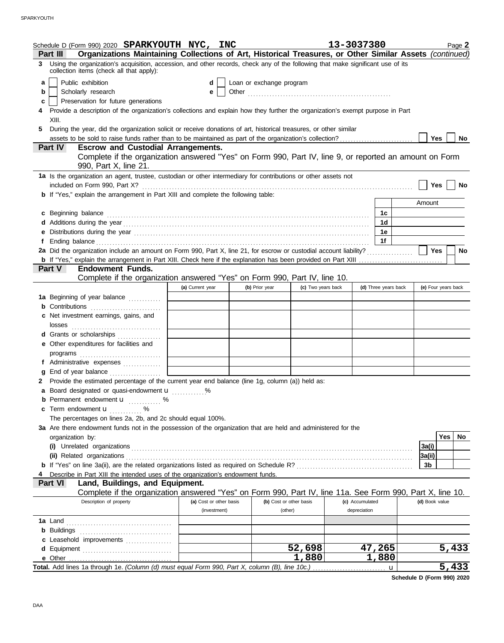|    | Schedule D (Form 990) 2020 SPARKYOUTH NYC, INC                                                                                                                              |                         |                          |                         | 13-3037380           |   |                     | Page 2    |
|----|-----------------------------------------------------------------------------------------------------------------------------------------------------------------------------|-------------------------|--------------------------|-------------------------|----------------------|---|---------------------|-----------|
|    | Organizations Maintaining Collections of Art, Historical Treasures, or Other Similar Assets (continued)<br>Part III                                                         |                         |                          |                         |                      |   |                     |           |
| 3  | Using the organization's acquisition, accession, and other records, check any of the following that make significant use of its<br>collection items (check all that apply): |                         |                          |                         |                      |   |                     |           |
| a  | Public exhibition                                                                                                                                                           | d                       | Loan or exchange program |                         |                      |   |                     |           |
| b  | Scholarly research                                                                                                                                                          | е                       |                          |                         |                      |   |                     |           |
| c  | Preservation for future generations                                                                                                                                         |                         |                          |                         |                      |   |                     |           |
|    | Provide a description of the organization's collections and explain how they further the organization's exempt purpose in Part                                              |                         |                          |                         |                      |   |                     |           |
|    | XIII.                                                                                                                                                                       |                         |                          |                         |                      |   |                     |           |
| 5. | During the year, did the organization solicit or receive donations of art, historical treasures, or other similar                                                           |                         |                          |                         |                      |   |                     |           |
|    |                                                                                                                                                                             |                         |                          |                         |                      |   | Yes                 | No        |
|    | <b>Part IV</b><br><b>Escrow and Custodial Arrangements.</b>                                                                                                                 |                         |                          |                         |                      |   |                     |           |
|    | Complete if the organization answered "Yes" on Form 990, Part IV, line 9, or reported an amount on Form<br>990, Part X, line 21.                                            |                         |                          |                         |                      |   |                     |           |
|    | 1a Is the organization an agent, trustee, custodian or other intermediary for contributions or other assets not<br>included on Form 990, Part X?                            |                         |                          |                         |                      |   | Yes                 | No        |
|    | <b>b</b> If "Yes," explain the arrangement in Part XIII and complete the following table:                                                                                   |                         |                          |                         |                      |   |                     |           |
|    |                                                                                                                                                                             |                         |                          |                         |                      |   | Amount              |           |
|    | c Beginning balance                                                                                                                                                         |                         |                          |                         | 1c                   |   |                     |           |
|    |                                                                                                                                                                             |                         |                          |                         | 1d                   |   |                     |           |
|    |                                                                                                                                                                             |                         |                          |                         | 1е                   |   |                     |           |
|    |                                                                                                                                                                             |                         |                          |                         | 1f                   |   |                     |           |
|    | 2a Did the organization include an amount on Form 990, Part X, line 21, for escrow or custodial account liability?                                                          |                         |                          |                         |                      |   | <b>Yes</b>          | <b>No</b> |
|    |                                                                                                                                                                             |                         |                          |                         |                      |   |                     |           |
|    | <b>Endowment Funds.</b><br><b>Part V</b>                                                                                                                                    |                         |                          |                         |                      |   |                     |           |
|    | Complete if the organization answered "Yes" on Form 990, Part IV, line 10.                                                                                                  |                         |                          |                         |                      |   |                     |           |
|    |                                                                                                                                                                             | (a) Current year        | (b) Prior year           | (c) Two years back      | (d) Three years back |   | (e) Four years back |           |
|    | 1a Beginning of year balance                                                                                                                                                |                         |                          |                         |                      |   |                     |           |
|    | <b>b</b> Contributions                                                                                                                                                      |                         |                          |                         |                      |   |                     |           |
|    | c Net investment earnings, gains, and                                                                                                                                       |                         |                          |                         |                      |   |                     |           |
|    |                                                                                                                                                                             |                         |                          |                         |                      |   |                     |           |
|    | d Grants or scholarships                                                                                                                                                    |                         |                          |                         |                      |   |                     |           |
|    | e Other expenditures for facilities and                                                                                                                                     |                         |                          |                         |                      |   |                     |           |
|    | programs                                                                                                                                                                    |                         |                          |                         |                      |   |                     |           |
|    | f Administrative expenses                                                                                                                                                   |                         |                          |                         |                      |   |                     |           |
| g  | End of year balance                                                                                                                                                         |                         |                          |                         |                      |   |                     |           |
|    | 2 Provide the estimated percentage of the current year end balance (line 1g, column (a)) held as:                                                                           |                         |                          |                         |                      |   |                     |           |
|    | a Board designated or quasi-endowment u                                                                                                                                     |                         |                          |                         |                      |   |                     |           |
|    | <b>b</b> Permanent endowment <b>u</b> %                                                                                                                                     |                         |                          |                         |                      |   |                     |           |
|    | c Term endowment <b>u</b> %                                                                                                                                                 |                         |                          |                         |                      |   |                     |           |
|    | The percentages on lines 2a, 2b, and 2c should equal 100%.                                                                                                                  |                         |                          |                         |                      |   |                     |           |
|    | 3a Are there endowment funds not in the possession of the organization that are held and administered for the                                                               |                         |                          |                         |                      |   |                     |           |
|    | organization by:                                                                                                                                                            |                         |                          |                         |                      |   |                     | Yes<br>No |
|    |                                                                                                                                                                             |                         |                          |                         |                      |   | 3a(i)               |           |
|    |                                                                                                                                                                             |                         |                          |                         |                      |   | 3a(ii)              |           |
|    |                                                                                                                                                                             |                         |                          |                         |                      |   | 3b                  |           |
|    | Describe in Part XIII the intended uses of the organization's endowment funds.                                                                                              |                         |                          |                         |                      |   |                     |           |
|    | Land, Buildings, and Equipment.<br><b>Part VI</b>                                                                                                                           |                         |                          |                         |                      |   |                     |           |
|    | Complete if the organization answered "Yes" on Form 990, Part IV, line 11a. See Form 990, Part X, line 10.                                                                  |                         |                          |                         |                      |   |                     |           |
|    | Description of property                                                                                                                                                     | (a) Cost or other basis |                          | (b) Cost or other basis | (c) Accumulated      |   | (d) Book value      |           |
|    |                                                                                                                                                                             | (investment)            |                          | (other)                 | depreciation         |   |                     |           |
|    |                                                                                                                                                                             |                         |                          |                         |                      |   |                     |           |
|    |                                                                                                                                                                             |                         |                          |                         |                      |   |                     |           |
|    | c Leasehold improvements                                                                                                                                                    |                         |                          |                         |                      |   |                     |           |
|    |                                                                                                                                                                             |                         |                          | 52,698                  | 47,265               |   |                     | 5,433     |
|    |                                                                                                                                                                             |                         |                          | 1,880                   | 1,880                |   |                     |           |
|    |                                                                                                                                                                             |                         |                          |                         |                      | u |                     | 5,433     |

**Schedule D (Form 990) 2020**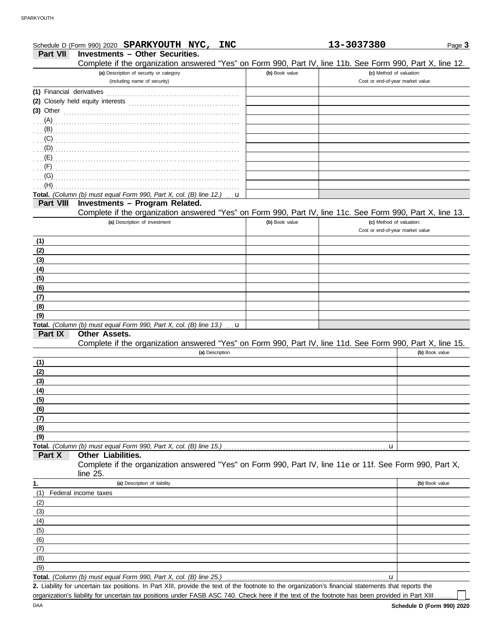|                           | Schedule D (Form 990) 2020 SPARKYOUTH NYC,<br><b>INC</b>                                                                                             |                | 13-3037380                       | Page 3         |
|---------------------------|------------------------------------------------------------------------------------------------------------------------------------------------------|----------------|----------------------------------|----------------|
| <b>Part VII</b>           | <b>Investments - Other Securities.</b>                                                                                                               |                |                                  |                |
|                           | Complete if the organization answered "Yes" on Form 990, Part IV, line 11b. See Form 990, Part X, line 12.                                           |                |                                  |                |
|                           | (a) Description of security or category                                                                                                              | (b) Book value | (c) Method of valuation:         |                |
|                           | (including name of security)                                                                                                                         |                | Cost or end-of-year market value |                |
| (1) Financial derivatives |                                                                                                                                                      |                |                                  |                |
|                           | (2) Closely held equity interests                                                                                                                    |                |                                  |                |
| $(3)$ Other               |                                                                                                                                                      |                |                                  |                |
|                           |                                                                                                                                                      |                |                                  |                |
|                           |                                                                                                                                                      |                |                                  |                |
| (C)                       |                                                                                                                                                      |                |                                  |                |
|                           |                                                                                                                                                      |                |                                  |                |
|                           |                                                                                                                                                      |                |                                  |                |
| (F)                       |                                                                                                                                                      |                |                                  |                |
| (G)                       |                                                                                                                                                      |                |                                  |                |
| (H)                       |                                                                                                                                                      |                |                                  |                |
| <b>Part VIII</b>          | Total. (Column (b) must equal Form 990, Part X, col. (B) line 12.)<br><b>u</b><br>Investments - Program Related.                                     |                |                                  |                |
|                           | Complete if the organization answered "Yes" on Form 990, Part IV, line 11c. See Form 990, Part X, line 13.                                           |                |                                  |                |
|                           | (a) Description of investment                                                                                                                        | (b) Book value | (c) Method of valuation:         |                |
|                           |                                                                                                                                                      |                | Cost or end-of-year market value |                |
| (1)                       |                                                                                                                                                      |                |                                  |                |
| (2)                       |                                                                                                                                                      |                |                                  |                |
| (3)                       |                                                                                                                                                      |                |                                  |                |
| (4)                       |                                                                                                                                                      |                |                                  |                |
| (5)                       |                                                                                                                                                      |                |                                  |                |
| (6)                       |                                                                                                                                                      |                |                                  |                |
| (7)                       |                                                                                                                                                      |                |                                  |                |
| (8)                       |                                                                                                                                                      |                |                                  |                |
| (9)                       |                                                                                                                                                      |                |                                  |                |
|                           | Total. (Column (b) must equal Form 990, Part X, col. (B) line $13.$ ) $\ldots$ <b>u</b>                                                              |                |                                  |                |
| Part IX                   | <b>Other Assets.</b>                                                                                                                                 |                |                                  |                |
|                           | Complete if the organization answered "Yes" on Form 990, Part IV, line 11d. See Form 990, Part X, line 15.                                           |                |                                  |                |
|                           | (a) Description                                                                                                                                      |                |                                  | (b) Book value |
| (1)                       |                                                                                                                                                      |                |                                  |                |
| (2)                       |                                                                                                                                                      |                |                                  |                |
| (3)                       |                                                                                                                                                      |                |                                  |                |
| (4)                       |                                                                                                                                                      |                |                                  |                |
| (5)                       |                                                                                                                                                      |                |                                  |                |
| (6)                       |                                                                                                                                                      |                |                                  |                |
| (7)                       |                                                                                                                                                      |                |                                  |                |
| (8)                       |                                                                                                                                                      |                |                                  |                |
| (9)                       |                                                                                                                                                      |                |                                  |                |
|                           | Total. (Column (b) must equal Form 990, Part X, col. (B) line 15.).                                                                                  |                | u                                |                |
| Part X                    | Other Liabilities.                                                                                                                                   |                |                                  |                |
|                           | Complete if the organization answered "Yes" on Form 990, Part IV, line 11e or 11f. See Form 990, Part X,                                             |                |                                  |                |
|                           | line 25.                                                                                                                                             |                |                                  |                |
| 1.                        | (a) Description of liability                                                                                                                         |                |                                  | (b) Book value |
| (1)                       | Federal income taxes                                                                                                                                 |                |                                  |                |
| (2)                       |                                                                                                                                                      |                |                                  |                |
| (3)                       |                                                                                                                                                      |                |                                  |                |
| (4)                       |                                                                                                                                                      |                |                                  |                |
| (5)                       |                                                                                                                                                      |                |                                  |                |
| (6)                       |                                                                                                                                                      |                |                                  |                |
| (7)<br>(8)                |                                                                                                                                                      |                |                                  |                |
| (9)                       |                                                                                                                                                      |                |                                  |                |
|                           | Total. (Column (b) must equal Form 990, Part X, col. (B) line 25.)                                                                                   |                | u                                |                |
|                           | 2. Liability for uncertain tax positions. In Part XIII, provide the text of the footnote to the organization's financial statements that reports the |                |                                  |                |
|                           | organization's liability for uncertain tax positions under FASB ASC 740. Check here if the text of the footnote has been provided in Part XIII       |                |                                  |                |
|                           |                                                                                                                                                      |                |                                  |                |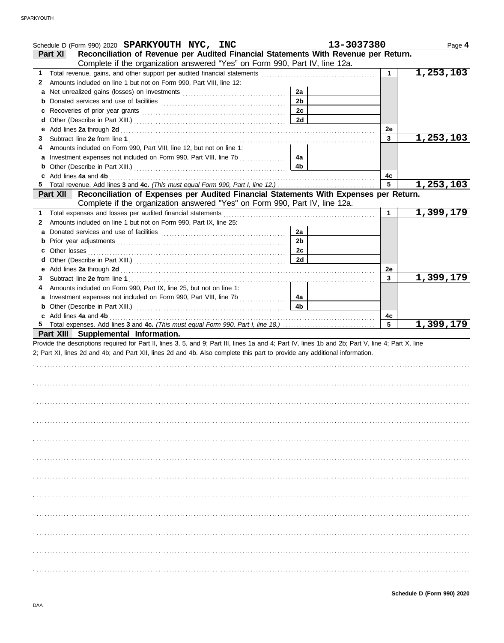|        | Schedule D (Form 990) 2020 SPARKYOUTH NYC, INC                                                                                                                                                                                | 13-3037380     |           | Page 4    |
|--------|-------------------------------------------------------------------------------------------------------------------------------------------------------------------------------------------------------------------------------|----------------|-----------|-----------|
|        | Reconciliation of Revenue per Audited Financial Statements With Revenue per Return.<br>Part XI                                                                                                                                |                |           |           |
|        | Complete if the organization answered "Yes" on Form 990, Part IV, line 12a.                                                                                                                                                   |                |           |           |
|        |                                                                                                                                                                                                                               |                | 1.        | 1,253,103 |
| 2      | Amounts included on line 1 but not on Form 990, Part VIII, line 12:                                                                                                                                                           | 2a             |           |           |
|        |                                                                                                                                                                                                                               | 2 <sub>b</sub> |           |           |
|        |                                                                                                                                                                                                                               | 2c             |           |           |
| c      |                                                                                                                                                                                                                               | 2d             |           |           |
| d<br>е |                                                                                                                                                                                                                               |                | <b>2e</b> |           |
| 3      |                                                                                                                                                                                                                               |                | 3         | 1,253,103 |
| 4      | Amounts included on Form 990, Part VIII, line 12, but not on line 1:                                                                                                                                                          |                |           |           |
|        | a Investment expenses not included on Form 990, Part VIII, line 7b                                                                                                                                                            | 4a             |           |           |
| b      |                                                                                                                                                                                                                               | 4 <sub>b</sub> |           |           |
|        | c Add lines 4a and 4b                                                                                                                                                                                                         |                | 4c        |           |
| 5      |                                                                                                                                                                                                                               |                | 5         | 1,253,103 |
|        | Reconciliation of Expenses per Audited Financial Statements With Expenses per Return.<br><b>Part XII</b>                                                                                                                      |                |           |           |
|        | Complete if the organization answered "Yes" on Form 990, Part IV, line 12a.                                                                                                                                                   |                |           |           |
|        |                                                                                                                                                                                                                               |                | 1         | 1,399,179 |
| 2      | Amounts included on line 1 but not on Form 990, Part IX, line 25:                                                                                                                                                             |                |           |           |
|        |                                                                                                                                                                                                                               | 2a             |           |           |
|        |                                                                                                                                                                                                                               | 2 <sub>b</sub> |           |           |
| c      |                                                                                                                                                                                                                               | 2c             |           |           |
| d      |                                                                                                                                                                                                                               | 2d             |           |           |
|        |                                                                                                                                                                                                                               |                | 2e        |           |
| 3      |                                                                                                                                                                                                                               |                | 3         | 1,399,179 |
| 4      | Amounts included on Form 990, Part IX, line 25, but not on line 1:                                                                                                                                                            |                |           |           |
|        | a Investment expenses not included on Form 990, Part VIII, line 7b                                                                                                                                                            | 4a             |           |           |
|        |                                                                                                                                                                                                                               | 4 <sub>b</sub> |           |           |
|        | c Add lines 4a and 4b (a) and the contract of the set of the set of the set of the set of the set of the set of the set of the set of the set of the set of the set of the set of the set of the set of the set of the set of |                | 4с        |           |
|        |                                                                                                                                                                                                                               |                | 5         | 1,399,179 |
|        | Part XIII Supplemental Information.<br>Provide the descriptions required for Part II, lines 3, 5, and 9; Part III, lines 1a and 4; Part IV, lines 1b and 2b; Part V, line 4; Part X, line                                     |                |           |           |
|        | 2; Part XI, lines 2d and 4b; and Part XII, lines 2d and 4b. Also complete this part to provide any additional information.                                                                                                    |                |           |           |
|        |                                                                                                                                                                                                                               |                |           |           |
|        |                                                                                                                                                                                                                               |                |           |           |
|        |                                                                                                                                                                                                                               |                |           |           |
|        |                                                                                                                                                                                                                               |                |           |           |
|        |                                                                                                                                                                                                                               |                |           |           |
|        |                                                                                                                                                                                                                               |                |           |           |
|        |                                                                                                                                                                                                                               |                |           |           |
|        |                                                                                                                                                                                                                               |                |           |           |
|        |                                                                                                                                                                                                                               |                |           |           |
|        |                                                                                                                                                                                                                               |                |           |           |
|        |                                                                                                                                                                                                                               |                |           |           |
|        |                                                                                                                                                                                                                               |                |           |           |
|        |                                                                                                                                                                                                                               |                |           |           |
|        |                                                                                                                                                                                                                               |                |           |           |
|        |                                                                                                                                                                                                                               |                |           |           |
|        |                                                                                                                                                                                                                               |                |           |           |
|        |                                                                                                                                                                                                                               |                |           |           |
|        |                                                                                                                                                                                                                               |                |           |           |
|        |                                                                                                                                                                                                                               |                |           |           |
|        |                                                                                                                                                                                                                               |                |           |           |
|        |                                                                                                                                                                                                                               |                |           |           |
|        |                                                                                                                                                                                                                               |                |           |           |
|        |                                                                                                                                                                                                                               |                |           |           |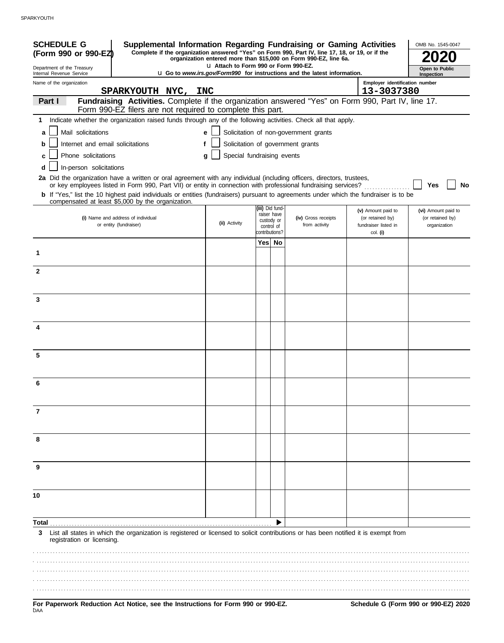| <b>SCHEDULE G</b><br>Supplemental Information Regarding Fundraising or Gaming Activities<br>Complete if the organization answered "Yes" on Form 990, Part IV, line 17, 18, or 19, or if the<br>(Form 990 or 990-EZ)                                                                                                 |                                       |                                                            | organization entered more than \$15,000 on Form 990-EZ, line 6a.                |                                                                | OMB No. 1545-0047                                       |
|---------------------------------------------------------------------------------------------------------------------------------------------------------------------------------------------------------------------------------------------------------------------------------------------------------------------|---------------------------------------|------------------------------------------------------------|---------------------------------------------------------------------------------|----------------------------------------------------------------|---------------------------------------------------------|
| Department of the Treasury<br>Internal Revenue Service                                                                                                                                                                                                                                                              | L1 Attach to Form 990 or Form 990-EZ. |                                                            | <b>u</b> Go to www.irs.gov/Form990 for instructions and the latest information. |                                                                | Open to Public<br>Inspection                            |
| Name of the organization                                                                                                                                                                                                                                                                                            |                                       |                                                            |                                                                                 | Employer identification number                                 |                                                         |
| SPARKYOUTH NYC, INC                                                                                                                                                                                                                                                                                                 |                                       |                                                            |                                                                                 | 13-3037380                                                     |                                                         |
| Fundraising Activities. Complete if the organization answered "Yes" on Form 990, Part IV, line 17.<br>Part I<br>Form 990-EZ filers are not required to complete this part.                                                                                                                                          |                                       |                                                            |                                                                                 |                                                                |                                                         |
| 1 Indicate whether the organization raised funds through any of the following activities. Check all that apply.                                                                                                                                                                                                     |                                       |                                                            |                                                                                 |                                                                |                                                         |
| Mail solicitations<br>a                                                                                                                                                                                                                                                                                             | e                                     |                                                            | Solicitation of non-government grants                                           |                                                                |                                                         |
| Internet and email solicitations<br>b                                                                                                                                                                                                                                                                               |                                       |                                                            | Solicitation of government grants                                               |                                                                |                                                         |
| Phone solicitations<br>c                                                                                                                                                                                                                                                                                            | Special fundraising events<br>g       |                                                            |                                                                                 |                                                                |                                                         |
| In-person solicitations<br>d                                                                                                                                                                                                                                                                                        |                                       |                                                            |                                                                                 |                                                                |                                                         |
| 2a Did the organization have a written or oral agreement with any individual (including officers, directors, trustees,                                                                                                                                                                                              |                                       |                                                            |                                                                                 |                                                                |                                                         |
| or key employees listed in Form 990, Part VII) or entity in connection with professional fundraising services?<br><b>b</b> If "Yes," list the 10 highest paid individuals or entities (fundraisers) pursuant to agreements under which the fundraiser is to be<br>compensated at least \$5,000 by the organization. |                                       |                                                            |                                                                                 |                                                                | Yes<br><b>No</b>                                        |
| (i) Name and address of individual<br>or entity (fundraiser)                                                                                                                                                                                                                                                        | (ii) Activity                         | (iii) Did fund-<br>raiser have<br>custody or<br>control of | (iv) Gross receipts<br>from activity                                            | (v) Amount paid to<br>(or retained by)<br>fundraiser listed in | (vi) Amount paid to<br>(or retained by)<br>organization |
|                                                                                                                                                                                                                                                                                                                     |                                       | contributions?                                             |                                                                                 | col. (i)                                                       |                                                         |
| 1                                                                                                                                                                                                                                                                                                                   |                                       | Yes  No                                                    |                                                                                 |                                                                |                                                         |
| $\mathbf{2}$                                                                                                                                                                                                                                                                                                        |                                       |                                                            |                                                                                 |                                                                |                                                         |
|                                                                                                                                                                                                                                                                                                                     |                                       |                                                            |                                                                                 |                                                                |                                                         |
| 3                                                                                                                                                                                                                                                                                                                   |                                       |                                                            |                                                                                 |                                                                |                                                         |
| 4                                                                                                                                                                                                                                                                                                                   |                                       |                                                            |                                                                                 |                                                                |                                                         |
| 5                                                                                                                                                                                                                                                                                                                   |                                       |                                                            |                                                                                 |                                                                |                                                         |
|                                                                                                                                                                                                                                                                                                                     |                                       |                                                            |                                                                                 |                                                                |                                                         |
| 6                                                                                                                                                                                                                                                                                                                   |                                       |                                                            |                                                                                 |                                                                |                                                         |
| 7                                                                                                                                                                                                                                                                                                                   |                                       |                                                            |                                                                                 |                                                                |                                                         |
| 8                                                                                                                                                                                                                                                                                                                   |                                       |                                                            |                                                                                 |                                                                |                                                         |
| 9                                                                                                                                                                                                                                                                                                                   |                                       |                                                            |                                                                                 |                                                                |                                                         |
|                                                                                                                                                                                                                                                                                                                     |                                       |                                                            |                                                                                 |                                                                |                                                         |
| 10                                                                                                                                                                                                                                                                                                                  |                                       |                                                            |                                                                                 |                                                                |                                                         |
| Total                                                                                                                                                                                                                                                                                                               |                                       |                                                            |                                                                                 |                                                                |                                                         |
| List all states in which the organization is registered or licensed to solicit contributions or has been notified it is exempt from<br>3<br>registration or licensing.                                                                                                                                              |                                       |                                                            |                                                                                 |                                                                |                                                         |
|                                                                                                                                                                                                                                                                                                                     |                                       |                                                            |                                                                                 |                                                                |                                                         |
|                                                                                                                                                                                                                                                                                                                     |                                       |                                                            |                                                                                 |                                                                |                                                         |
| For Paperwork Reduction Act Notice, see the Instructions for Form 990 or 990-EZ.<br>DAA                                                                                                                                                                                                                             |                                       |                                                            |                                                                                 |                                                                | Schedule G (Form 990 or 990-EZ) 2020                    |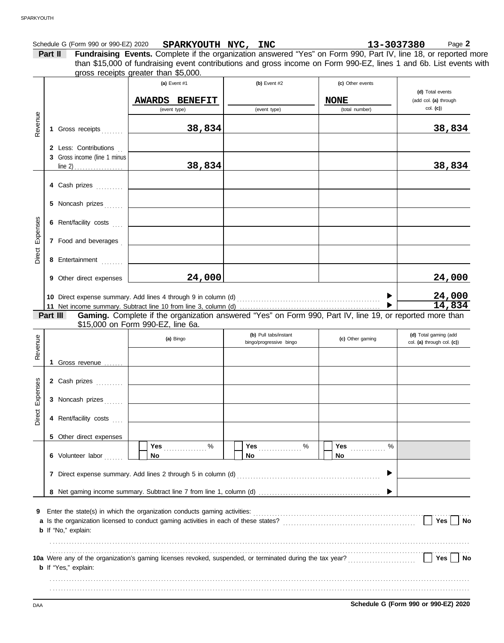|                 | Part II                                               | Schedule G (Form 990 or 990-EZ) 2020<br>Form 990 or 990-EZ) 2020 <b>SPARKYOUTH NYC, INC</b> 10 13-3037380 Page 2<br><b>Fundraising Events.</b> Complete if the organization answered "Yes" on Form 990, Part IV, line 18, or reported more<br>than \$15,000 of fundraising event contributions and gross income on Form 990-EZ, lines 1 and 6b. List events with<br>gross receipts greater than \$5,000. |                                                  |                                 | Page 2                                              |
|-----------------|-------------------------------------------------------|----------------------------------------------------------------------------------------------------------------------------------------------------------------------------------------------------------------------------------------------------------------------------------------------------------------------------------------------------------------------------------------------------------|--------------------------------------------------|---------------------------------|-----------------------------------------------------|
|                 |                                                       | (a) Event $#1$<br><b>AWARDS BENEFIT</b>                                                                                                                                                                                                                                                                                                                                                                  | (b) Event $#2$                                   | (c) Other events<br><b>NONE</b> | (d) Total events<br>(add col. (a) through           |
|                 |                                                       | (event type)                                                                                                                                                                                                                                                                                                                                                                                             | (event type)                                     | (total number)                  | col. (c)                                            |
| Revenue         | 1 Gross receipts                                      | 38,834                                                                                                                                                                                                                                                                                                                                                                                                   |                                                  |                                 | 38,834                                              |
|                 | 2 Less: Contributions<br>3 Gross income (line 1 minus | 38,834                                                                                                                                                                                                                                                                                                                                                                                                   |                                                  |                                 | 38,834                                              |
|                 |                                                       |                                                                                                                                                                                                                                                                                                                                                                                                          |                                                  |                                 |                                                     |
|                 | 4 Cash prizes                                         |                                                                                                                                                                                                                                                                                                                                                                                                          |                                                  |                                 |                                                     |
|                 | 5 Noncash prizes                                      |                                                                                                                                                                                                                                                                                                                                                                                                          |                                                  |                                 |                                                     |
| Direct Expenses | 6 Rent/facility costs                                 |                                                                                                                                                                                                                                                                                                                                                                                                          |                                                  |                                 |                                                     |
|                 | 7 Food and beverages                                  |                                                                                                                                                                                                                                                                                                                                                                                                          |                                                  |                                 |                                                     |
|                 | 8 Entertainment                                       |                                                                                                                                                                                                                                                                                                                                                                                                          |                                                  |                                 |                                                     |
|                 | 9 Other direct expenses                               | 24,000                                                                                                                                                                                                                                                                                                                                                                                                   |                                                  |                                 | 24,000                                              |
|                 |                                                       | 10 Direct expense summary. Add lines 4 through 9 in column (d) [11] content to the summary summary and Direct expense summary. Add lines 4 through 9 in column (d) [11] $\frac{1}{2}$                                                                                                                                                                                                                    |                                                  |                                 | 24,000                                              |
|                 | Part III                                              | \$15,000 on Form 990-EZ, line 6a.                                                                                                                                                                                                                                                                                                                                                                        |                                                  |                                 | 14,834                                              |
|                 |                                                       | (a) Bingo                                                                                                                                                                                                                                                                                                                                                                                                | (b) Pull tabs/instant<br>bingo/progressive bingo | (c) Other gaming                | (d) Total gaming (add<br>col. (a) through col. (c)) |
| Revenue         | 1 Gross revenue<br>.                                  |                                                                                                                                                                                                                                                                                                                                                                                                          |                                                  |                                 |                                                     |
|                 | 2 Cash prizes                                         |                                                                                                                                                                                                                                                                                                                                                                                                          |                                                  |                                 |                                                     |
| Direct Expenses | 3 Noncash prizes                                      |                                                                                                                                                                                                                                                                                                                                                                                                          |                                                  |                                 |                                                     |
|                 | 4 Rent/facility costs                                 |                                                                                                                                                                                                                                                                                                                                                                                                          |                                                  |                                 |                                                     |
|                 | 5 Other direct expenses                               |                                                                                                                                                                                                                                                                                                                                                                                                          |                                                  |                                 |                                                     |
|                 |                                                       | <b>Yes</b><br>$\%$                                                                                                                                                                                                                                                                                                                                                                                       |                                                  | <b>Yes</b><br>$\%$              |                                                     |

| 9 Enter the state(s) in which the organization conducts gaming activities:                                |     |  |
|-----------------------------------------------------------------------------------------------------------|-----|--|
| a Is the organization licensed to conduct gaming activities in each of these states?                      |     |  |
| <b>b</b> If "No," explain:                                                                                |     |  |
|                                                                                                           |     |  |
|                                                                                                           |     |  |
| 10a Were any of the organization's gaming licenses revoked, suspended, or terminated during the tax year? | Yes |  |
| <b>b</b> If "Yes," explain:                                                                               |     |  |
|                                                                                                           |     |  |
|                                                                                                           |     |  |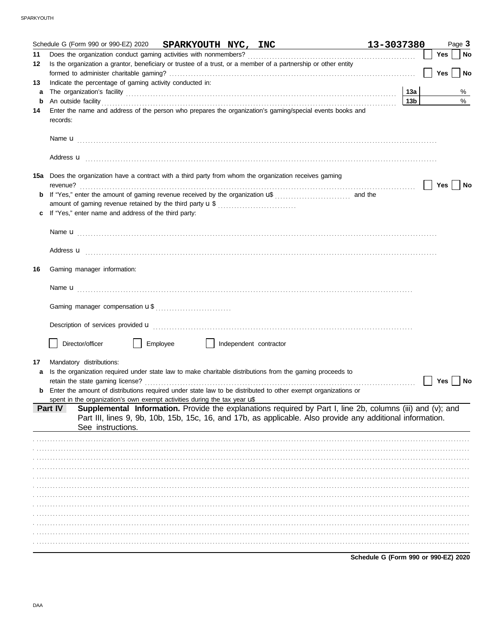|    | Schedule G (Form 990 or 990-EZ) 2020 SPARKYOUTH NYC, INC                                                                                                                                                                                  | 13-3037380                           |     | Page 3                      |
|----|-------------------------------------------------------------------------------------------------------------------------------------------------------------------------------------------------------------------------------------------|--------------------------------------|-----|-----------------------------|
| 11 |                                                                                                                                                                                                                                           |                                      | Yes | No                          |
| 12 | Is the organization a grantor, beneficiary or trustee of a trust, or a member of a partnership or other entity                                                                                                                            |                                      |     |                             |
|    |                                                                                                                                                                                                                                           |                                      | Yes | $\overline{\phantom{a}}$ No |
| 13 | Indicate the percentage of gaming activity conducted in:                                                                                                                                                                                  |                                      |     |                             |
| a  |                                                                                                                                                                                                                                           | 13a                                  |     | %                           |
| b  |                                                                                                                                                                                                                                           | 13 <sub>b</sub>                      |     | $\%$                        |
| 14 | Enter the name and address of the person who prepares the organization's gaming/special events books and                                                                                                                                  |                                      |     |                             |
|    | records:                                                                                                                                                                                                                                  |                                      |     |                             |
|    |                                                                                                                                                                                                                                           |                                      |     |                             |
|    |                                                                                                                                                                                                                                           |                                      |     |                             |
|    |                                                                                                                                                                                                                                           |                                      |     |                             |
|    |                                                                                                                                                                                                                                           |                                      |     |                             |
|    |                                                                                                                                                                                                                                           |                                      |     |                             |
|    | 15a Does the organization have a contract with a third party from whom the organization receives gaming                                                                                                                                   |                                      |     |                             |
|    | revenue?                                                                                                                                                                                                                                  |                                      | Yes | No                          |
|    |                                                                                                                                                                                                                                           |                                      |     |                             |
|    |                                                                                                                                                                                                                                           |                                      |     |                             |
|    | If "Yes," enter name and address of the third party:                                                                                                                                                                                      |                                      |     |                             |
|    |                                                                                                                                                                                                                                           |                                      |     |                             |
|    |                                                                                                                                                                                                                                           |                                      |     |                             |
|    |                                                                                                                                                                                                                                           |                                      |     |                             |
|    | Address <b>u</b> <u>decree and the contract of the contract of the contract of the contract of the contract of the contract of the contract of the contract of the contract of the contract of the contract of the contract of the co</u> |                                      |     |                             |
|    |                                                                                                                                                                                                                                           |                                      |     |                             |
| 16 | Gaming manager information:                                                                                                                                                                                                               |                                      |     |                             |
|    |                                                                                                                                                                                                                                           |                                      |     |                             |
|    |                                                                                                                                                                                                                                           |                                      |     |                             |
|    |                                                                                                                                                                                                                                           |                                      |     |                             |
|    |                                                                                                                                                                                                                                           |                                      |     |                             |
|    |                                                                                                                                                                                                                                           |                                      |     |                             |
|    |                                                                                                                                                                                                                                           |                                      |     |                             |
|    | Director/officer<br>Employee<br>    Independent contractor                                                                                                                                                                                |                                      |     |                             |
|    |                                                                                                                                                                                                                                           |                                      |     |                             |
| 17 | Mandatory distributions:                                                                                                                                                                                                                  |                                      |     |                             |
| a  | Is the organization required under state law to make charitable distributions from the gaming proceeds to                                                                                                                                 |                                      |     |                             |
|    | retain the state gaming license?                                                                                                                                                                                                          |                                      | Yes | No                          |
|    | Enter the amount of distributions required under state law to be distributed to other exempt organizations or                                                                                                                             |                                      |     |                             |
|    | spent in the organization's own exempt activities during the tax year us                                                                                                                                                                  |                                      |     |                             |
|    | Supplemental Information. Provide the explanations required by Part I, line 2b, columns (iii) and (v); and<br>Part IV                                                                                                                     |                                      |     |                             |
|    | Part III, lines 9, 9b, 10b, 15b, 15c, 16, and 17b, as applicable. Also provide any additional information.                                                                                                                                |                                      |     |                             |
|    | See instructions.                                                                                                                                                                                                                         |                                      |     |                             |
|    |                                                                                                                                                                                                                                           |                                      |     |                             |
|    |                                                                                                                                                                                                                                           |                                      |     |                             |
|    |                                                                                                                                                                                                                                           |                                      |     |                             |
|    |                                                                                                                                                                                                                                           |                                      |     |                             |
|    |                                                                                                                                                                                                                                           |                                      |     |                             |
|    |                                                                                                                                                                                                                                           |                                      |     |                             |
|    |                                                                                                                                                                                                                                           |                                      |     |                             |
|    |                                                                                                                                                                                                                                           |                                      |     |                             |
|    |                                                                                                                                                                                                                                           |                                      |     |                             |
|    |                                                                                                                                                                                                                                           |                                      |     |                             |
|    |                                                                                                                                                                                                                                           |                                      |     |                             |
|    |                                                                                                                                                                                                                                           |                                      |     |                             |
|    |                                                                                                                                                                                                                                           | Schedule G (Form 990 or 990-EZ) 2020 |     |                             |
|    |                                                                                                                                                                                                                                           |                                      |     |                             |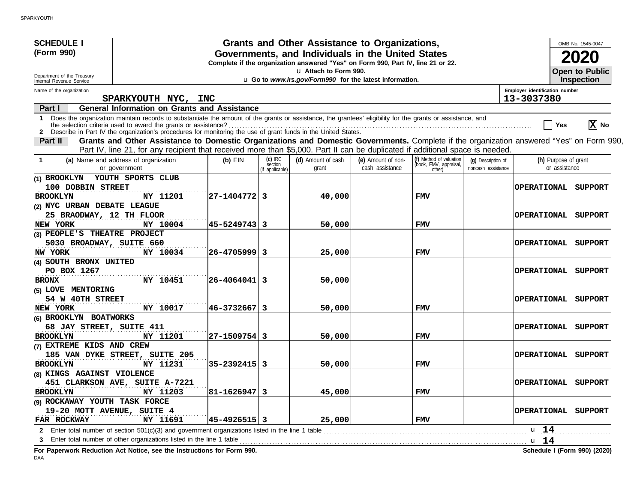| <b>SCHEDULE I</b><br>(Form 990)<br>Department of the Treasury<br>Internal Revenue Service                                                                                                                                                                                                   |                    |                                       | Grants and Other Assistance to Organizations,<br>Governments, and Individuals in the United States<br>Complete if the organization answered "Yes" on Form 990, Part IV, line 21 or 22.<br>u Attach to Form 990.<br>u Go to www.irs.gov/Form990 for the latest information. |                                       |                                                             |                                          |                                              | OMB No. 1545-0047<br>2020<br><b>Open to Public</b><br><b>Inspection</b> |
|---------------------------------------------------------------------------------------------------------------------------------------------------------------------------------------------------------------------------------------------------------------------------------------------|--------------------|---------------------------------------|----------------------------------------------------------------------------------------------------------------------------------------------------------------------------------------------------------------------------------------------------------------------------|---------------------------------------|-------------------------------------------------------------|------------------------------------------|----------------------------------------------|-------------------------------------------------------------------------|
| Name of the organization                                                                                                                                                                                                                                                                    |                    |                                       |                                                                                                                                                                                                                                                                            |                                       |                                                             |                                          | Employer identification number<br>13-3037380 |                                                                         |
| SPARKYOUTH NYC, INC<br><b>General Information on Grants and Assistance</b><br>Part I                                                                                                                                                                                                        |                    |                                       |                                                                                                                                                                                                                                                                            |                                       |                                                             |                                          |                                              |                                                                         |
| Does the organization maintain records to substantiate the amount of the grants or assistance, the grantees' eligibility for the grants or assistance, and<br>1.<br>the selection criteria used to award the grants or assistance?                                                          |                    |                                       |                                                                                                                                                                                                                                                                            |                                       |                                                             |                                          |                                              | $ \mathbf{X} $ No<br>Yes                                                |
| Grants and Other Assistance to Domestic Organizations and Domestic Governments. Complete if the organization answered "Yes" on Form 990,<br><b>Part II</b><br>Part IV, line 21, for any recipient that received more than \$5,000. Part II can be duplicated if additional space is needed. |                    |                                       |                                                                                                                                                                                                                                                                            |                                       |                                                             |                                          |                                              |                                                                         |
| (a) Name and address of organization<br>$\mathbf 1$<br>or government                                                                                                                                                                                                                        | $(b)$ EIN          | (c) IRC<br>section<br>(if applicable) | (d) Amount of cash<br>grant                                                                                                                                                                                                                                                | (e) Amount of non-<br>cash assistance | (f) Method of valuation<br>(book, FMV, appraisal,<br>other) | (q) Description of<br>noncash assistance |                                              | (h) Purpose of grant<br>or assistance                                   |
| YOUTH SPORTS CLUB<br>(1) BROOKLYN<br>100 DOBBIN STREET<br>NY 11201<br><b>BROOKLYN</b>                                                                                                                                                                                                       | 27-1404772  3      |                                       | 40,000                                                                                                                                                                                                                                                                     |                                       | <b>FMV</b>                                                  |                                          |                                              | OPERATIONAL SUPPORT                                                     |
| (2) NYC URBAN DEBATE LEAGUE<br>25 BRAODWAY, 12 TH FLOOR<br>NEW YORK<br>NY 10004                                                                                                                                                                                                             | 45–5249743  3      |                                       | 50,000                                                                                                                                                                                                                                                                     |                                       | <b>FMV</b>                                                  |                                          |                                              | OPERATIONAL SUPPORT                                                     |
| (3) PEOPLE'S THEATRE PROJECT<br>5030 BROADWAY, SUITE 660<br>NY 10034<br>NW YORK                                                                                                                                                                                                             | 26-4705999 3       |                                       | 25,000                                                                                                                                                                                                                                                                     |                                       | <b>FMV</b>                                                  |                                          | <b>OPERATIONAL</b>                           | SUPPORT                                                                 |
| (4) SOUTH BRONX UNITED<br>PO BOX 1267<br>NY 10451<br><b>BRONX</b>                                                                                                                                                                                                                           | 26-4064041 3       |                                       | 50,000                                                                                                                                                                                                                                                                     |                                       |                                                             |                                          | <b>OPERATIONAL</b>                           | SUPPORT                                                                 |
| (5) LOVE MENTORING<br>54 W 40TH STREET<br>NY 10017<br>NEW YORK                                                                                                                                                                                                                              | 46–3732667  3      |                                       | 50,000                                                                                                                                                                                                                                                                     |                                       | <b>FMV</b>                                                  |                                          |                                              | OPERATIONAL SUPPORT                                                     |
| (6) BROOKLYN BOATWORKS<br>68 JAY STREET, SUITE 411<br>NY 11201<br><b>BROOKLYN</b>                                                                                                                                                                                                           | 27-1509754  3      |                                       | 50,000                                                                                                                                                                                                                                                                     |                                       | <b>FMV</b>                                                  |                                          | <b>OPERATIONAL</b>                           | SUPPORT                                                                 |
| (7) EXTREME KIDS AND CREW<br>185 VAN DYKE STREET, SUITE 205<br>NY 11231<br><b>BROOKLYN</b>                                                                                                                                                                                                  | 35–2392415  3      |                                       | 50,000                                                                                                                                                                                                                                                                     |                                       | <b>FMV</b>                                                  |                                          |                                              | OPERATIONAL SUPPORT                                                     |
| (8) KINGS AGAINST VIOLENCE<br>451 CLARKSON AVE, SUITE A-7221<br>NY 11203<br><b>BROOKLYN</b>                                                                                                                                                                                                 | $ 81 - 1626947 $ 3 |                                       | 45,000                                                                                                                                                                                                                                                                     |                                       | FMV                                                         |                                          |                                              | OPERATIONAL SUPPORT                                                     |
| (9) ROCKAWAY YOUTH TASK FORCE<br>19-20 MOTT AVENUE, SUITE 4<br>FAR ROCKWAY<br>NY 11691                                                                                                                                                                                                      | $ 45 - 4926515 $ 3 |                                       | 25,000                                                                                                                                                                                                                                                                     |                                       | FMV                                                         |                                          |                                              | OPERATIONAL SUPPORT                                                     |
| 2 Enter total number of section 501(c)(3) and government organizations listed in the line 1 table<br>3<br>For Paperwork Reduction Act Notice, see the Instructions for Form 990.                                                                                                            |                    |                                       |                                                                                                                                                                                                                                                                            |                                       |                                                             |                                          | u 14<br>u 14                                 | Schedule I (Form 990) (2020)                                            |

DAA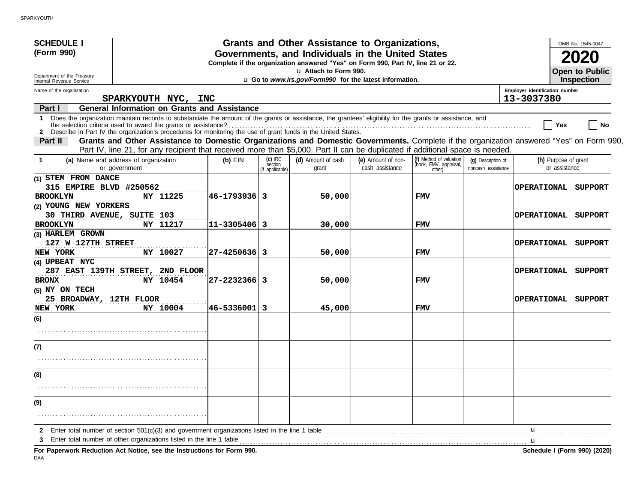| <b>SCHEDULE I</b><br>(Form 990)<br>Department of the Treasury<br>Internal Revenue Service                                                                                                                                                                                                                                                                                                                                     |                                                                                                                                                                                                                                                                           |               |                                         | Grants and Other Assistance to Organizations,<br>Governments, and Individuals in the United States<br>Complete if the organization answered "Yes" on Form 990, Part IV, line 21 or 22.<br>u Attach to Form 990.<br>u Go to www.irs.gov/Form990 for the latest information. |                                       |                                                             |                                          |                                              |                                       | OMB No. 1545-0047<br><b>Open to Public</b><br><b>Inspection</b> |
|-------------------------------------------------------------------------------------------------------------------------------------------------------------------------------------------------------------------------------------------------------------------------------------------------------------------------------------------------------------------------------------------------------------------------------|---------------------------------------------------------------------------------------------------------------------------------------------------------------------------------------------------------------------------------------------------------------------------|---------------|-----------------------------------------|----------------------------------------------------------------------------------------------------------------------------------------------------------------------------------------------------------------------------------------------------------------------------|---------------------------------------|-------------------------------------------------------------|------------------------------------------|----------------------------------------------|---------------------------------------|-----------------------------------------------------------------|
| Name of the organization                                                                                                                                                                                                                                                                                                                                                                                                      | SPARKYOUTH NYC, INC                                                                                                                                                                                                                                                       |               |                                         |                                                                                                                                                                                                                                                                            |                                       |                                                             |                                          | Employer identification number<br>13-3037380 |                                       |                                                                 |
| Part I                                                                                                                                                                                                                                                                                                                                                                                                                        | <b>General Information on Grants and Assistance</b>                                                                                                                                                                                                                       |               |                                         |                                                                                                                                                                                                                                                                            |                                       |                                                             |                                          |                                              |                                       |                                                                 |
| Does the organization maintain records to substantiate the amount of the grants or assistance, the grantees' eligibility for the grants or assistance, and<br>1<br>the selection criteria used to award the grants or assistance?<br>the selection criteria used to award the grants or assistance?<br><b>2</b> Describe in Part IV the organization's procedures for monitoring the use of grant funds in the United States. |                                                                                                                                                                                                                                                                           |               |                                         |                                                                                                                                                                                                                                                                            |                                       |                                                             |                                          |                                              | Yes                                   | No                                                              |
| <b>Part II</b>                                                                                                                                                                                                                                                                                                                                                                                                                | Grants and Other Assistance to Domestic Organizations and Domestic Governments. Complete if the organization answered "Yes" on Form 990,<br>Part IV, line 21, for any recipient that received more than \$5,000. Part II can be duplicated if additional space is needed. |               |                                         |                                                                                                                                                                                                                                                                            |                                       |                                                             |                                          |                                              |                                       |                                                                 |
| (a) Name and address of organization<br>$\mathbf 1$<br>or government                                                                                                                                                                                                                                                                                                                                                          |                                                                                                                                                                                                                                                                           | $(b)$ EIN     | $(c)$ IRC<br>section<br>(if applicable) | (d) Amount of cash<br>grant                                                                                                                                                                                                                                                | (e) Amount of non-<br>cash assistance | (f) Method of valuation<br>(book, FMV, appraisal,<br>other) | (q) Description of<br>noncash assistance |                                              | (h) Purpose of grant<br>or assistance |                                                                 |
| (1) STEM FROM DANCE<br>315 EMPIRE BLVD #250562<br><b>BROOKLYN</b>                                                                                                                                                                                                                                                                                                                                                             | NY 11225                                                                                                                                                                                                                                                                  | 46–1793936  3 |                                         | 50,000                                                                                                                                                                                                                                                                     |                                       | <b>FMV</b>                                                  |                                          | OPERATIONAL SUPPORT                          |                                       |                                                                 |
| (2) YOUNG NEW YORKERS<br>30 THIRD AVENUE, SUITE 103<br><b>BROOKLYN</b>                                                                                                                                                                                                                                                                                                                                                        | NY 11217                                                                                                                                                                                                                                                                  | 11-3305406  3 |                                         | 30,000                                                                                                                                                                                                                                                                     |                                       | <b>FMV</b>                                                  |                                          | OPERATIONAL                                  |                                       | SUPPORT                                                         |
| (3) HARLEM GROWN<br>127 W 127TH STREET<br>NEW YORK                                                                                                                                                                                                                                                                                                                                                                            | NY 10027                                                                                                                                                                                                                                                                  | 27-4250636  3 |                                         | 50,000                                                                                                                                                                                                                                                                     |                                       | <b>FMV</b>                                                  |                                          | OPERATIONAL                                  |                                       | SUPPORT                                                         |
| (4) UPBEAT NYC<br>287 EAST 139TH STREET,<br><b>BRONX</b>                                                                                                                                                                                                                                                                                                                                                                      | 2ND FLOOR<br>NY 10454                                                                                                                                                                                                                                                     | 27–2232366  3 |                                         | 50,000                                                                                                                                                                                                                                                                     |                                       | <b>FMV</b>                                                  |                                          | <b>OPERATIONAL</b>                           |                                       | SUPPORT                                                         |
| (5) NY ON TECH<br>25 BROADWAY, 12TH FLOOR<br>NEW YORK                                                                                                                                                                                                                                                                                                                                                                         | NY 10004                                                                                                                                                                                                                                                                  | 46-5336001  3 |                                         | 45,000                                                                                                                                                                                                                                                                     |                                       | <b>FMV</b>                                                  |                                          | OPERATIONAL SUPPORT                          |                                       |                                                                 |
| (6)                                                                                                                                                                                                                                                                                                                                                                                                                           |                                                                                                                                                                                                                                                                           |               |                                         |                                                                                                                                                                                                                                                                            |                                       |                                                             |                                          |                                              |                                       |                                                                 |
| (7)                                                                                                                                                                                                                                                                                                                                                                                                                           |                                                                                                                                                                                                                                                                           |               |                                         |                                                                                                                                                                                                                                                                            |                                       |                                                             |                                          |                                              |                                       |                                                                 |
| (8)                                                                                                                                                                                                                                                                                                                                                                                                                           |                                                                                                                                                                                                                                                                           |               |                                         |                                                                                                                                                                                                                                                                            |                                       |                                                             |                                          |                                              |                                       |                                                                 |
|                                                                                                                                                                                                                                                                                                                                                                                                                               |                                                                                                                                                                                                                                                                           |               |                                         |                                                                                                                                                                                                                                                                            |                                       |                                                             |                                          |                                              |                                       |                                                                 |
| (9)                                                                                                                                                                                                                                                                                                                                                                                                                           |                                                                                                                                                                                                                                                                           |               |                                         |                                                                                                                                                                                                                                                                            |                                       |                                                             |                                          |                                              |                                       |                                                                 |
| $\mathbf{2}$                                                                                                                                                                                                                                                                                                                                                                                                                  |                                                                                                                                                                                                                                                                           |               |                                         |                                                                                                                                                                                                                                                                            |                                       |                                                             |                                          | u                                            |                                       |                                                                 |
| 3<br>For Paperwork Reduction Act Notice, see the Instructions for Form 990.                                                                                                                                                                                                                                                                                                                                                   |                                                                                                                                                                                                                                                                           |               |                                         |                                                                                                                                                                                                                                                                            |                                       |                                                             |                                          |                                              |                                       | Schedule I (Form 990) (2020)                                    |

DAA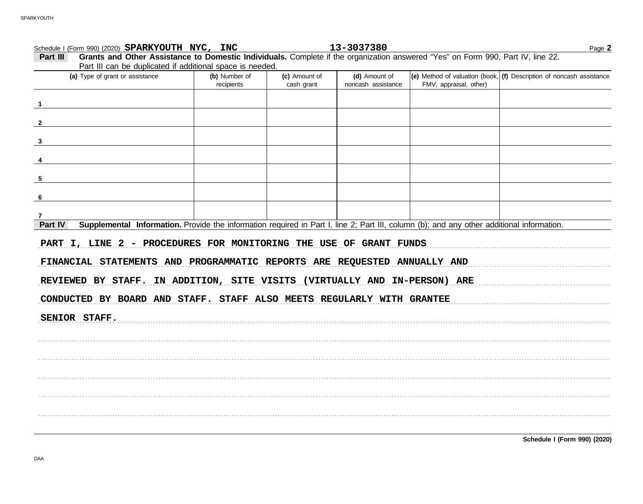| Schedule I (Form 990) (2020) SPARKYOUTH NYC, INC                                                                                                     |                             |                             | 13-3037380                          |                        | Page 2                                                                               |
|------------------------------------------------------------------------------------------------------------------------------------------------------|-----------------------------|-----------------------------|-------------------------------------|------------------------|--------------------------------------------------------------------------------------|
| Grants and Other Assistance to Domestic Individuals. Complete if the organization answered "Yes" on Form 990, Part IV, line 22.<br>Part III          |                             |                             |                                     |                        |                                                                                      |
| Part III can be duplicated if additional space is needed.                                                                                            |                             |                             |                                     |                        |                                                                                      |
| (a) Type of grant or assistance                                                                                                                      | (b) Number of<br>recipients | (c) Amount of<br>cash grant | (d) Amount of<br>noncash assistance | FMV, appraisal, other) | $\vert$ (e) Method of valuation (book, $\vert$ (f) Description of noncash assistance |
|                                                                                                                                                      |                             |                             |                                     |                        |                                                                                      |
|                                                                                                                                                      |                             |                             |                                     |                        |                                                                                      |
|                                                                                                                                                      |                             |                             |                                     |                        |                                                                                      |
|                                                                                                                                                      |                             |                             |                                     |                        |                                                                                      |
| 5                                                                                                                                                    |                             |                             |                                     |                        |                                                                                      |
|                                                                                                                                                      |                             |                             |                                     |                        |                                                                                      |
| 7                                                                                                                                                    |                             |                             |                                     |                        |                                                                                      |
| Supplemental Information. Provide the information required in Part I, line 2; Part III, column (b); and any other additional information.<br>Part IV |                             |                             |                                     |                        |                                                                                      |
| PART I, LINE 2 - PROCEDURES FOR MONITORING THE USE OF GRANT FUNDS<br>FINANCIAL STATEMENTS AND PROGRAMMATIC REPORTS ARE REQUESTED ANNUALLY AND        |                             |                             |                                     |                        |                                                                                      |
| REVIEWED BY STAFF. IN ADDITION, SITE VISITS (VIRTUALLY AND IN-PERSON) ARE                                                                            |                             |                             |                                     |                        |                                                                                      |
| CONDUCTED BY BOARD AND STAFF. STAFF ALSO MEETS REGULARLY WITH GRANTEE                                                                                |                             |                             |                                     |                        |                                                                                      |
| SENIOR STAFF.                                                                                                                                        |                             |                             |                                     |                        |                                                                                      |
|                                                                                                                                                      |                             |                             |                                     |                        |                                                                                      |
|                                                                                                                                                      |                             |                             |                                     |                        |                                                                                      |
|                                                                                                                                                      |                             |                             |                                     |                        |                                                                                      |
|                                                                                                                                                      |                             |                             |                                     |                        |                                                                                      |
|                                                                                                                                                      |                             |                             |                                     |                        |                                                                                      |
|                                                                                                                                                      |                             |                             |                                     |                        |                                                                                      |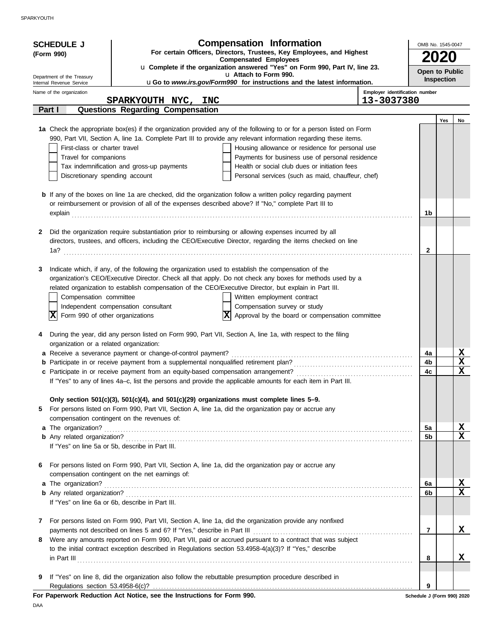| <b>Compensated Employees</b><br>u Complete if the organization answered "Yes" on Form 990, Part IV, line 23.<br>Open to Public<br>u Attach to Form 990.<br>Department of the Treasury<br>Inspection<br>uGo to www.irs.gov/Form990 for instructions and the latest information.<br>Internal Revenue Service<br>Employer identification number<br>Name of the organization<br>13-3037380<br>SPARKYOUTH NYC, INC<br><b>Questions Regarding Compensation</b><br>Part I<br>Yes<br>No<br>1a Check the appropriate box(es) if the organization provided any of the following to or for a person listed on Form<br>990, Part VII, Section A, line 1a. Complete Part III to provide any relevant information regarding these items.<br>First-class or charter travel<br>Housing allowance or residence for personal use<br>Travel for companions<br>Payments for business use of personal residence<br>Health or social club dues or initiation fees<br>Tax indemnification and gross-up payments<br>Personal services (such as maid, chauffeur, chef)<br>Discretionary spending account<br><b>b</b> If any of the boxes on line 1a are checked, did the organization follow a written policy regarding payment<br>or reimbursement or provision of all of the expenses described above? If "No," complete Part III to<br>1b<br>explain<br>Did the organization require substantiation prior to reimbursing or allowing expenses incurred by all<br>2<br>directors, trustees, and officers, including the CEO/Executive Director, regarding the items checked on line<br>$\mathbf{2}$<br>1a?<br>Indicate which, if any, of the following the organization used to establish the compensation of the<br>3<br>organization's CEO/Executive Director. Check all that apply. Do not check any boxes for methods used by a<br>related organization to establish compensation of the CEO/Executive Director, but explain in Part III.<br>Written employment contract<br>Compensation committee<br>Independent compensation consultant<br>Compensation survey or study<br>Form 990 of other organizations<br> X <br>Approval by the board or compensation committee<br>During the year, did any person listed on Form 990, Part VII, Section A, line 1a, with respect to the filing<br>4<br>organization or a related organization:<br>$\frac{\mathbf{x}}{\mathbf{x}}$<br>4a<br>4b<br>$\overline{\textbf{x}}$<br>4c<br>If "Yes" to any of lines 4a-c, list the persons and provide the applicable amounts for each item in Part III.<br>Only section 501(c)(3), 501(c)(4), and 501(c)(29) organizations must complete lines 5-9.<br>For persons listed on Form 990, Part VII, Section A, line 1a, did the organization pay or accrue any<br>5<br>compensation contingent on the revenues of:<br>$\frac{\mathbf{X}}{\mathbf{X}}$<br>5a<br>5 <sub>b</sub><br>If "Yes" on line 5a or 5b, describe in Part III.<br>For persons listed on Form 990, Part VII, Section A, line 1a, did the organization pay or accrue any<br>6<br>compensation contingent on the net earnings of:<br>$\frac{\mathbf{X}}{\mathbf{X}}$<br>a The organization?<br>6a<br>6b<br>If "Yes" on line 6a or 6b, describe in Part III.<br>For persons listed on Form 990, Part VII, Section A, line 1a, did the organization provide any nonfixed<br>7<br>X<br>$\overline{7}$<br>Were any amounts reported on Form 990, Part VII, paid or accrued pursuant to a contract that was subject<br>8<br>to the initial contract exception described in Regulations section 53.4958-4(a)(3)? If "Yes," describe<br>X.<br>8<br>$\ $ n Part III $\ $<br>If "Yes" on line 8, did the organization also follow the rebuttable presumption procedure described in<br>9<br>9<br>Regulations section 53.4958-6(c)?<br>For Paperwork Reduction Act Notice, see the Instructions for Form 990.<br>Schedule J (Form 990) 2020 | <b>SCHEDULE J</b><br>(Form 990) | <b>Compensation Information</b><br>For certain Officers, Directors, Trustees, Key Employees, and Highest | OMB No. 1545-0047 |  |
|-------------------------------------------------------------------------------------------------------------------------------------------------------------------------------------------------------------------------------------------------------------------------------------------------------------------------------------------------------------------------------------------------------------------------------------------------------------------------------------------------------------------------------------------------------------------------------------------------------------------------------------------------------------------------------------------------------------------------------------------------------------------------------------------------------------------------------------------------------------------------------------------------------------------------------------------------------------------------------------------------------------------------------------------------------------------------------------------------------------------------------------------------------------------------------------------------------------------------------------------------------------------------------------------------------------------------------------------------------------------------------------------------------------------------------------------------------------------------------------------------------------------------------------------------------------------------------------------------------------------------------------------------------------------------------------------------------------------------------------------------------------------------------------------------------------------------------------------------------------------------------------------------------------------------------------------------------------------------------------------------------------------------------------------------------------------------------------------------------------------------------------------------------------------------------------------------------------------------------------------------------------------------------------------------------------------------------------------------------------------------------------------------------------------------------------------------------------------------------------------------------------------------------------------------------------------------------------------------------------------------------------------------------------------------------------------------------------------------------------------------------------------------------------------------------------------------------------------------------------------------------------------------------------------------------------------------------------------------------------------------------------------------------------------------------------------------------------------------------------------------------------------------------------------------------------------------------------------------------------------------------------------------------------------------------------------------------------------------------------------------------------------------------------------------------------------------------------------------------------------------------------------------------------------------------------------------------------------------------------------------------------------------------------------------------------------------------------------------------------------------------------------------------------------------------------------------------------------------------------|---------------------------------|----------------------------------------------------------------------------------------------------------|-------------------|--|
|                                                                                                                                                                                                                                                                                                                                                                                                                                                                                                                                                                                                                                                                                                                                                                                                                                                                                                                                                                                                                                                                                                                                                                                                                                                                                                                                                                                                                                                                                                                                                                                                                                                                                                                                                                                                                                                                                                                                                                                                                                                                                                                                                                                                                                                                                                                                                                                                                                                                                                                                                                                                                                                                                                                                                                                                                                                                                                                                                                                                                                                                                                                                                                                                                                                                                                                                                                                                                                                                                                                                                                                                                                                                                                                                                                                                                                                             |                                 |                                                                                                          |                   |  |
|                                                                                                                                                                                                                                                                                                                                                                                                                                                                                                                                                                                                                                                                                                                                                                                                                                                                                                                                                                                                                                                                                                                                                                                                                                                                                                                                                                                                                                                                                                                                                                                                                                                                                                                                                                                                                                                                                                                                                                                                                                                                                                                                                                                                                                                                                                                                                                                                                                                                                                                                                                                                                                                                                                                                                                                                                                                                                                                                                                                                                                                                                                                                                                                                                                                                                                                                                                                                                                                                                                                                                                                                                                                                                                                                                                                                                                                             |                                 |                                                                                                          |                   |  |
|                                                                                                                                                                                                                                                                                                                                                                                                                                                                                                                                                                                                                                                                                                                                                                                                                                                                                                                                                                                                                                                                                                                                                                                                                                                                                                                                                                                                                                                                                                                                                                                                                                                                                                                                                                                                                                                                                                                                                                                                                                                                                                                                                                                                                                                                                                                                                                                                                                                                                                                                                                                                                                                                                                                                                                                                                                                                                                                                                                                                                                                                                                                                                                                                                                                                                                                                                                                                                                                                                                                                                                                                                                                                                                                                                                                                                                                             |                                 |                                                                                                          |                   |  |
|                                                                                                                                                                                                                                                                                                                                                                                                                                                                                                                                                                                                                                                                                                                                                                                                                                                                                                                                                                                                                                                                                                                                                                                                                                                                                                                                                                                                                                                                                                                                                                                                                                                                                                                                                                                                                                                                                                                                                                                                                                                                                                                                                                                                                                                                                                                                                                                                                                                                                                                                                                                                                                                                                                                                                                                                                                                                                                                                                                                                                                                                                                                                                                                                                                                                                                                                                                                                                                                                                                                                                                                                                                                                                                                                                                                                                                                             |                                 |                                                                                                          |                   |  |
|                                                                                                                                                                                                                                                                                                                                                                                                                                                                                                                                                                                                                                                                                                                                                                                                                                                                                                                                                                                                                                                                                                                                                                                                                                                                                                                                                                                                                                                                                                                                                                                                                                                                                                                                                                                                                                                                                                                                                                                                                                                                                                                                                                                                                                                                                                                                                                                                                                                                                                                                                                                                                                                                                                                                                                                                                                                                                                                                                                                                                                                                                                                                                                                                                                                                                                                                                                                                                                                                                                                                                                                                                                                                                                                                                                                                                                                             |                                 |                                                                                                          |                   |  |
|                                                                                                                                                                                                                                                                                                                                                                                                                                                                                                                                                                                                                                                                                                                                                                                                                                                                                                                                                                                                                                                                                                                                                                                                                                                                                                                                                                                                                                                                                                                                                                                                                                                                                                                                                                                                                                                                                                                                                                                                                                                                                                                                                                                                                                                                                                                                                                                                                                                                                                                                                                                                                                                                                                                                                                                                                                                                                                                                                                                                                                                                                                                                                                                                                                                                                                                                                                                                                                                                                                                                                                                                                                                                                                                                                                                                                                                             |                                 |                                                                                                          |                   |  |
|                                                                                                                                                                                                                                                                                                                                                                                                                                                                                                                                                                                                                                                                                                                                                                                                                                                                                                                                                                                                                                                                                                                                                                                                                                                                                                                                                                                                                                                                                                                                                                                                                                                                                                                                                                                                                                                                                                                                                                                                                                                                                                                                                                                                                                                                                                                                                                                                                                                                                                                                                                                                                                                                                                                                                                                                                                                                                                                                                                                                                                                                                                                                                                                                                                                                                                                                                                                                                                                                                                                                                                                                                                                                                                                                                                                                                                                             |                                 |                                                                                                          |                   |  |
|                                                                                                                                                                                                                                                                                                                                                                                                                                                                                                                                                                                                                                                                                                                                                                                                                                                                                                                                                                                                                                                                                                                                                                                                                                                                                                                                                                                                                                                                                                                                                                                                                                                                                                                                                                                                                                                                                                                                                                                                                                                                                                                                                                                                                                                                                                                                                                                                                                                                                                                                                                                                                                                                                                                                                                                                                                                                                                                                                                                                                                                                                                                                                                                                                                                                                                                                                                                                                                                                                                                                                                                                                                                                                                                                                                                                                                                             |                                 |                                                                                                          |                   |  |
|                                                                                                                                                                                                                                                                                                                                                                                                                                                                                                                                                                                                                                                                                                                                                                                                                                                                                                                                                                                                                                                                                                                                                                                                                                                                                                                                                                                                                                                                                                                                                                                                                                                                                                                                                                                                                                                                                                                                                                                                                                                                                                                                                                                                                                                                                                                                                                                                                                                                                                                                                                                                                                                                                                                                                                                                                                                                                                                                                                                                                                                                                                                                                                                                                                                                                                                                                                                                                                                                                                                                                                                                                                                                                                                                                                                                                                                             |                                 |                                                                                                          |                   |  |
|                                                                                                                                                                                                                                                                                                                                                                                                                                                                                                                                                                                                                                                                                                                                                                                                                                                                                                                                                                                                                                                                                                                                                                                                                                                                                                                                                                                                                                                                                                                                                                                                                                                                                                                                                                                                                                                                                                                                                                                                                                                                                                                                                                                                                                                                                                                                                                                                                                                                                                                                                                                                                                                                                                                                                                                                                                                                                                                                                                                                                                                                                                                                                                                                                                                                                                                                                                                                                                                                                                                                                                                                                                                                                                                                                                                                                                                             |                                 |                                                                                                          |                   |  |
|                                                                                                                                                                                                                                                                                                                                                                                                                                                                                                                                                                                                                                                                                                                                                                                                                                                                                                                                                                                                                                                                                                                                                                                                                                                                                                                                                                                                                                                                                                                                                                                                                                                                                                                                                                                                                                                                                                                                                                                                                                                                                                                                                                                                                                                                                                                                                                                                                                                                                                                                                                                                                                                                                                                                                                                                                                                                                                                                                                                                                                                                                                                                                                                                                                                                                                                                                                                                                                                                                                                                                                                                                                                                                                                                                                                                                                                             |                                 |                                                                                                          |                   |  |
|                                                                                                                                                                                                                                                                                                                                                                                                                                                                                                                                                                                                                                                                                                                                                                                                                                                                                                                                                                                                                                                                                                                                                                                                                                                                                                                                                                                                                                                                                                                                                                                                                                                                                                                                                                                                                                                                                                                                                                                                                                                                                                                                                                                                                                                                                                                                                                                                                                                                                                                                                                                                                                                                                                                                                                                                                                                                                                                                                                                                                                                                                                                                                                                                                                                                                                                                                                                                                                                                                                                                                                                                                                                                                                                                                                                                                                                             |                                 |                                                                                                          |                   |  |
|                                                                                                                                                                                                                                                                                                                                                                                                                                                                                                                                                                                                                                                                                                                                                                                                                                                                                                                                                                                                                                                                                                                                                                                                                                                                                                                                                                                                                                                                                                                                                                                                                                                                                                                                                                                                                                                                                                                                                                                                                                                                                                                                                                                                                                                                                                                                                                                                                                                                                                                                                                                                                                                                                                                                                                                                                                                                                                                                                                                                                                                                                                                                                                                                                                                                                                                                                                                                                                                                                                                                                                                                                                                                                                                                                                                                                                                             |                                 |                                                                                                          |                   |  |
|                                                                                                                                                                                                                                                                                                                                                                                                                                                                                                                                                                                                                                                                                                                                                                                                                                                                                                                                                                                                                                                                                                                                                                                                                                                                                                                                                                                                                                                                                                                                                                                                                                                                                                                                                                                                                                                                                                                                                                                                                                                                                                                                                                                                                                                                                                                                                                                                                                                                                                                                                                                                                                                                                                                                                                                                                                                                                                                                                                                                                                                                                                                                                                                                                                                                                                                                                                                                                                                                                                                                                                                                                                                                                                                                                                                                                                                             |                                 |                                                                                                          |                   |  |
|                                                                                                                                                                                                                                                                                                                                                                                                                                                                                                                                                                                                                                                                                                                                                                                                                                                                                                                                                                                                                                                                                                                                                                                                                                                                                                                                                                                                                                                                                                                                                                                                                                                                                                                                                                                                                                                                                                                                                                                                                                                                                                                                                                                                                                                                                                                                                                                                                                                                                                                                                                                                                                                                                                                                                                                                                                                                                                                                                                                                                                                                                                                                                                                                                                                                                                                                                                                                                                                                                                                                                                                                                                                                                                                                                                                                                                                             |                                 |                                                                                                          |                   |  |
|                                                                                                                                                                                                                                                                                                                                                                                                                                                                                                                                                                                                                                                                                                                                                                                                                                                                                                                                                                                                                                                                                                                                                                                                                                                                                                                                                                                                                                                                                                                                                                                                                                                                                                                                                                                                                                                                                                                                                                                                                                                                                                                                                                                                                                                                                                                                                                                                                                                                                                                                                                                                                                                                                                                                                                                                                                                                                                                                                                                                                                                                                                                                                                                                                                                                                                                                                                                                                                                                                                                                                                                                                                                                                                                                                                                                                                                             |                                 |                                                                                                          |                   |  |
|                                                                                                                                                                                                                                                                                                                                                                                                                                                                                                                                                                                                                                                                                                                                                                                                                                                                                                                                                                                                                                                                                                                                                                                                                                                                                                                                                                                                                                                                                                                                                                                                                                                                                                                                                                                                                                                                                                                                                                                                                                                                                                                                                                                                                                                                                                                                                                                                                                                                                                                                                                                                                                                                                                                                                                                                                                                                                                                                                                                                                                                                                                                                                                                                                                                                                                                                                                                                                                                                                                                                                                                                                                                                                                                                                                                                                                                             |                                 |                                                                                                          |                   |  |
|                                                                                                                                                                                                                                                                                                                                                                                                                                                                                                                                                                                                                                                                                                                                                                                                                                                                                                                                                                                                                                                                                                                                                                                                                                                                                                                                                                                                                                                                                                                                                                                                                                                                                                                                                                                                                                                                                                                                                                                                                                                                                                                                                                                                                                                                                                                                                                                                                                                                                                                                                                                                                                                                                                                                                                                                                                                                                                                                                                                                                                                                                                                                                                                                                                                                                                                                                                                                                                                                                                                                                                                                                                                                                                                                                                                                                                                             |                                 |                                                                                                          |                   |  |
|                                                                                                                                                                                                                                                                                                                                                                                                                                                                                                                                                                                                                                                                                                                                                                                                                                                                                                                                                                                                                                                                                                                                                                                                                                                                                                                                                                                                                                                                                                                                                                                                                                                                                                                                                                                                                                                                                                                                                                                                                                                                                                                                                                                                                                                                                                                                                                                                                                                                                                                                                                                                                                                                                                                                                                                                                                                                                                                                                                                                                                                                                                                                                                                                                                                                                                                                                                                                                                                                                                                                                                                                                                                                                                                                                                                                                                                             |                                 |                                                                                                          |                   |  |
|                                                                                                                                                                                                                                                                                                                                                                                                                                                                                                                                                                                                                                                                                                                                                                                                                                                                                                                                                                                                                                                                                                                                                                                                                                                                                                                                                                                                                                                                                                                                                                                                                                                                                                                                                                                                                                                                                                                                                                                                                                                                                                                                                                                                                                                                                                                                                                                                                                                                                                                                                                                                                                                                                                                                                                                                                                                                                                                                                                                                                                                                                                                                                                                                                                                                                                                                                                                                                                                                                                                                                                                                                                                                                                                                                                                                                                                             |                                 |                                                                                                          |                   |  |
|                                                                                                                                                                                                                                                                                                                                                                                                                                                                                                                                                                                                                                                                                                                                                                                                                                                                                                                                                                                                                                                                                                                                                                                                                                                                                                                                                                                                                                                                                                                                                                                                                                                                                                                                                                                                                                                                                                                                                                                                                                                                                                                                                                                                                                                                                                                                                                                                                                                                                                                                                                                                                                                                                                                                                                                                                                                                                                                                                                                                                                                                                                                                                                                                                                                                                                                                                                                                                                                                                                                                                                                                                                                                                                                                                                                                                                                             |                                 |                                                                                                          |                   |  |
|                                                                                                                                                                                                                                                                                                                                                                                                                                                                                                                                                                                                                                                                                                                                                                                                                                                                                                                                                                                                                                                                                                                                                                                                                                                                                                                                                                                                                                                                                                                                                                                                                                                                                                                                                                                                                                                                                                                                                                                                                                                                                                                                                                                                                                                                                                                                                                                                                                                                                                                                                                                                                                                                                                                                                                                                                                                                                                                                                                                                                                                                                                                                                                                                                                                                                                                                                                                                                                                                                                                                                                                                                                                                                                                                                                                                                                                             |                                 |                                                                                                          |                   |  |
|                                                                                                                                                                                                                                                                                                                                                                                                                                                                                                                                                                                                                                                                                                                                                                                                                                                                                                                                                                                                                                                                                                                                                                                                                                                                                                                                                                                                                                                                                                                                                                                                                                                                                                                                                                                                                                                                                                                                                                                                                                                                                                                                                                                                                                                                                                                                                                                                                                                                                                                                                                                                                                                                                                                                                                                                                                                                                                                                                                                                                                                                                                                                                                                                                                                                                                                                                                                                                                                                                                                                                                                                                                                                                                                                                                                                                                                             |                                 |                                                                                                          |                   |  |
|                                                                                                                                                                                                                                                                                                                                                                                                                                                                                                                                                                                                                                                                                                                                                                                                                                                                                                                                                                                                                                                                                                                                                                                                                                                                                                                                                                                                                                                                                                                                                                                                                                                                                                                                                                                                                                                                                                                                                                                                                                                                                                                                                                                                                                                                                                                                                                                                                                                                                                                                                                                                                                                                                                                                                                                                                                                                                                                                                                                                                                                                                                                                                                                                                                                                                                                                                                                                                                                                                                                                                                                                                                                                                                                                                                                                                                                             |                                 |                                                                                                          |                   |  |
|                                                                                                                                                                                                                                                                                                                                                                                                                                                                                                                                                                                                                                                                                                                                                                                                                                                                                                                                                                                                                                                                                                                                                                                                                                                                                                                                                                                                                                                                                                                                                                                                                                                                                                                                                                                                                                                                                                                                                                                                                                                                                                                                                                                                                                                                                                                                                                                                                                                                                                                                                                                                                                                                                                                                                                                                                                                                                                                                                                                                                                                                                                                                                                                                                                                                                                                                                                                                                                                                                                                                                                                                                                                                                                                                                                                                                                                             |                                 |                                                                                                          |                   |  |
|                                                                                                                                                                                                                                                                                                                                                                                                                                                                                                                                                                                                                                                                                                                                                                                                                                                                                                                                                                                                                                                                                                                                                                                                                                                                                                                                                                                                                                                                                                                                                                                                                                                                                                                                                                                                                                                                                                                                                                                                                                                                                                                                                                                                                                                                                                                                                                                                                                                                                                                                                                                                                                                                                                                                                                                                                                                                                                                                                                                                                                                                                                                                                                                                                                                                                                                                                                                                                                                                                                                                                                                                                                                                                                                                                                                                                                                             |                                 |                                                                                                          |                   |  |
|                                                                                                                                                                                                                                                                                                                                                                                                                                                                                                                                                                                                                                                                                                                                                                                                                                                                                                                                                                                                                                                                                                                                                                                                                                                                                                                                                                                                                                                                                                                                                                                                                                                                                                                                                                                                                                                                                                                                                                                                                                                                                                                                                                                                                                                                                                                                                                                                                                                                                                                                                                                                                                                                                                                                                                                                                                                                                                                                                                                                                                                                                                                                                                                                                                                                                                                                                                                                                                                                                                                                                                                                                                                                                                                                                                                                                                                             |                                 |                                                                                                          |                   |  |
|                                                                                                                                                                                                                                                                                                                                                                                                                                                                                                                                                                                                                                                                                                                                                                                                                                                                                                                                                                                                                                                                                                                                                                                                                                                                                                                                                                                                                                                                                                                                                                                                                                                                                                                                                                                                                                                                                                                                                                                                                                                                                                                                                                                                                                                                                                                                                                                                                                                                                                                                                                                                                                                                                                                                                                                                                                                                                                                                                                                                                                                                                                                                                                                                                                                                                                                                                                                                                                                                                                                                                                                                                                                                                                                                                                                                                                                             |                                 |                                                                                                          |                   |  |
|                                                                                                                                                                                                                                                                                                                                                                                                                                                                                                                                                                                                                                                                                                                                                                                                                                                                                                                                                                                                                                                                                                                                                                                                                                                                                                                                                                                                                                                                                                                                                                                                                                                                                                                                                                                                                                                                                                                                                                                                                                                                                                                                                                                                                                                                                                                                                                                                                                                                                                                                                                                                                                                                                                                                                                                                                                                                                                                                                                                                                                                                                                                                                                                                                                                                                                                                                                                                                                                                                                                                                                                                                                                                                                                                                                                                                                                             |                                 |                                                                                                          |                   |  |
|                                                                                                                                                                                                                                                                                                                                                                                                                                                                                                                                                                                                                                                                                                                                                                                                                                                                                                                                                                                                                                                                                                                                                                                                                                                                                                                                                                                                                                                                                                                                                                                                                                                                                                                                                                                                                                                                                                                                                                                                                                                                                                                                                                                                                                                                                                                                                                                                                                                                                                                                                                                                                                                                                                                                                                                                                                                                                                                                                                                                                                                                                                                                                                                                                                                                                                                                                                                                                                                                                                                                                                                                                                                                                                                                                                                                                                                             |                                 |                                                                                                          |                   |  |
|                                                                                                                                                                                                                                                                                                                                                                                                                                                                                                                                                                                                                                                                                                                                                                                                                                                                                                                                                                                                                                                                                                                                                                                                                                                                                                                                                                                                                                                                                                                                                                                                                                                                                                                                                                                                                                                                                                                                                                                                                                                                                                                                                                                                                                                                                                                                                                                                                                                                                                                                                                                                                                                                                                                                                                                                                                                                                                                                                                                                                                                                                                                                                                                                                                                                                                                                                                                                                                                                                                                                                                                                                                                                                                                                                                                                                                                             |                                 |                                                                                                          |                   |  |
|                                                                                                                                                                                                                                                                                                                                                                                                                                                                                                                                                                                                                                                                                                                                                                                                                                                                                                                                                                                                                                                                                                                                                                                                                                                                                                                                                                                                                                                                                                                                                                                                                                                                                                                                                                                                                                                                                                                                                                                                                                                                                                                                                                                                                                                                                                                                                                                                                                                                                                                                                                                                                                                                                                                                                                                                                                                                                                                                                                                                                                                                                                                                                                                                                                                                                                                                                                                                                                                                                                                                                                                                                                                                                                                                                                                                                                                             |                                 |                                                                                                          |                   |  |
|                                                                                                                                                                                                                                                                                                                                                                                                                                                                                                                                                                                                                                                                                                                                                                                                                                                                                                                                                                                                                                                                                                                                                                                                                                                                                                                                                                                                                                                                                                                                                                                                                                                                                                                                                                                                                                                                                                                                                                                                                                                                                                                                                                                                                                                                                                                                                                                                                                                                                                                                                                                                                                                                                                                                                                                                                                                                                                                                                                                                                                                                                                                                                                                                                                                                                                                                                                                                                                                                                                                                                                                                                                                                                                                                                                                                                                                             |                                 |                                                                                                          |                   |  |
|                                                                                                                                                                                                                                                                                                                                                                                                                                                                                                                                                                                                                                                                                                                                                                                                                                                                                                                                                                                                                                                                                                                                                                                                                                                                                                                                                                                                                                                                                                                                                                                                                                                                                                                                                                                                                                                                                                                                                                                                                                                                                                                                                                                                                                                                                                                                                                                                                                                                                                                                                                                                                                                                                                                                                                                                                                                                                                                                                                                                                                                                                                                                                                                                                                                                                                                                                                                                                                                                                                                                                                                                                                                                                                                                                                                                                                                             |                                 |                                                                                                          |                   |  |
|                                                                                                                                                                                                                                                                                                                                                                                                                                                                                                                                                                                                                                                                                                                                                                                                                                                                                                                                                                                                                                                                                                                                                                                                                                                                                                                                                                                                                                                                                                                                                                                                                                                                                                                                                                                                                                                                                                                                                                                                                                                                                                                                                                                                                                                                                                                                                                                                                                                                                                                                                                                                                                                                                                                                                                                                                                                                                                                                                                                                                                                                                                                                                                                                                                                                                                                                                                                                                                                                                                                                                                                                                                                                                                                                                                                                                                                             |                                 |                                                                                                          |                   |  |
|                                                                                                                                                                                                                                                                                                                                                                                                                                                                                                                                                                                                                                                                                                                                                                                                                                                                                                                                                                                                                                                                                                                                                                                                                                                                                                                                                                                                                                                                                                                                                                                                                                                                                                                                                                                                                                                                                                                                                                                                                                                                                                                                                                                                                                                                                                                                                                                                                                                                                                                                                                                                                                                                                                                                                                                                                                                                                                                                                                                                                                                                                                                                                                                                                                                                                                                                                                                                                                                                                                                                                                                                                                                                                                                                                                                                                                                             |                                 |                                                                                                          |                   |  |
|                                                                                                                                                                                                                                                                                                                                                                                                                                                                                                                                                                                                                                                                                                                                                                                                                                                                                                                                                                                                                                                                                                                                                                                                                                                                                                                                                                                                                                                                                                                                                                                                                                                                                                                                                                                                                                                                                                                                                                                                                                                                                                                                                                                                                                                                                                                                                                                                                                                                                                                                                                                                                                                                                                                                                                                                                                                                                                                                                                                                                                                                                                                                                                                                                                                                                                                                                                                                                                                                                                                                                                                                                                                                                                                                                                                                                                                             |                                 |                                                                                                          |                   |  |
|                                                                                                                                                                                                                                                                                                                                                                                                                                                                                                                                                                                                                                                                                                                                                                                                                                                                                                                                                                                                                                                                                                                                                                                                                                                                                                                                                                                                                                                                                                                                                                                                                                                                                                                                                                                                                                                                                                                                                                                                                                                                                                                                                                                                                                                                                                                                                                                                                                                                                                                                                                                                                                                                                                                                                                                                                                                                                                                                                                                                                                                                                                                                                                                                                                                                                                                                                                                                                                                                                                                                                                                                                                                                                                                                                                                                                                                             |                                 |                                                                                                          |                   |  |
|                                                                                                                                                                                                                                                                                                                                                                                                                                                                                                                                                                                                                                                                                                                                                                                                                                                                                                                                                                                                                                                                                                                                                                                                                                                                                                                                                                                                                                                                                                                                                                                                                                                                                                                                                                                                                                                                                                                                                                                                                                                                                                                                                                                                                                                                                                                                                                                                                                                                                                                                                                                                                                                                                                                                                                                                                                                                                                                                                                                                                                                                                                                                                                                                                                                                                                                                                                                                                                                                                                                                                                                                                                                                                                                                                                                                                                                             |                                 |                                                                                                          |                   |  |
|                                                                                                                                                                                                                                                                                                                                                                                                                                                                                                                                                                                                                                                                                                                                                                                                                                                                                                                                                                                                                                                                                                                                                                                                                                                                                                                                                                                                                                                                                                                                                                                                                                                                                                                                                                                                                                                                                                                                                                                                                                                                                                                                                                                                                                                                                                                                                                                                                                                                                                                                                                                                                                                                                                                                                                                                                                                                                                                                                                                                                                                                                                                                                                                                                                                                                                                                                                                                                                                                                                                                                                                                                                                                                                                                                                                                                                                             |                                 |                                                                                                          |                   |  |
|                                                                                                                                                                                                                                                                                                                                                                                                                                                                                                                                                                                                                                                                                                                                                                                                                                                                                                                                                                                                                                                                                                                                                                                                                                                                                                                                                                                                                                                                                                                                                                                                                                                                                                                                                                                                                                                                                                                                                                                                                                                                                                                                                                                                                                                                                                                                                                                                                                                                                                                                                                                                                                                                                                                                                                                                                                                                                                                                                                                                                                                                                                                                                                                                                                                                                                                                                                                                                                                                                                                                                                                                                                                                                                                                                                                                                                                             |                                 |                                                                                                          |                   |  |
|                                                                                                                                                                                                                                                                                                                                                                                                                                                                                                                                                                                                                                                                                                                                                                                                                                                                                                                                                                                                                                                                                                                                                                                                                                                                                                                                                                                                                                                                                                                                                                                                                                                                                                                                                                                                                                                                                                                                                                                                                                                                                                                                                                                                                                                                                                                                                                                                                                                                                                                                                                                                                                                                                                                                                                                                                                                                                                                                                                                                                                                                                                                                                                                                                                                                                                                                                                                                                                                                                                                                                                                                                                                                                                                                                                                                                                                             |                                 |                                                                                                          |                   |  |
|                                                                                                                                                                                                                                                                                                                                                                                                                                                                                                                                                                                                                                                                                                                                                                                                                                                                                                                                                                                                                                                                                                                                                                                                                                                                                                                                                                                                                                                                                                                                                                                                                                                                                                                                                                                                                                                                                                                                                                                                                                                                                                                                                                                                                                                                                                                                                                                                                                                                                                                                                                                                                                                                                                                                                                                                                                                                                                                                                                                                                                                                                                                                                                                                                                                                                                                                                                                                                                                                                                                                                                                                                                                                                                                                                                                                                                                             |                                 |                                                                                                          |                   |  |
|                                                                                                                                                                                                                                                                                                                                                                                                                                                                                                                                                                                                                                                                                                                                                                                                                                                                                                                                                                                                                                                                                                                                                                                                                                                                                                                                                                                                                                                                                                                                                                                                                                                                                                                                                                                                                                                                                                                                                                                                                                                                                                                                                                                                                                                                                                                                                                                                                                                                                                                                                                                                                                                                                                                                                                                                                                                                                                                                                                                                                                                                                                                                                                                                                                                                                                                                                                                                                                                                                                                                                                                                                                                                                                                                                                                                                                                             |                                 |                                                                                                          |                   |  |
|                                                                                                                                                                                                                                                                                                                                                                                                                                                                                                                                                                                                                                                                                                                                                                                                                                                                                                                                                                                                                                                                                                                                                                                                                                                                                                                                                                                                                                                                                                                                                                                                                                                                                                                                                                                                                                                                                                                                                                                                                                                                                                                                                                                                                                                                                                                                                                                                                                                                                                                                                                                                                                                                                                                                                                                                                                                                                                                                                                                                                                                                                                                                                                                                                                                                                                                                                                                                                                                                                                                                                                                                                                                                                                                                                                                                                                                             |                                 |                                                                                                          |                   |  |
|                                                                                                                                                                                                                                                                                                                                                                                                                                                                                                                                                                                                                                                                                                                                                                                                                                                                                                                                                                                                                                                                                                                                                                                                                                                                                                                                                                                                                                                                                                                                                                                                                                                                                                                                                                                                                                                                                                                                                                                                                                                                                                                                                                                                                                                                                                                                                                                                                                                                                                                                                                                                                                                                                                                                                                                                                                                                                                                                                                                                                                                                                                                                                                                                                                                                                                                                                                                                                                                                                                                                                                                                                                                                                                                                                                                                                                                             |                                 |                                                                                                          |                   |  |
|                                                                                                                                                                                                                                                                                                                                                                                                                                                                                                                                                                                                                                                                                                                                                                                                                                                                                                                                                                                                                                                                                                                                                                                                                                                                                                                                                                                                                                                                                                                                                                                                                                                                                                                                                                                                                                                                                                                                                                                                                                                                                                                                                                                                                                                                                                                                                                                                                                                                                                                                                                                                                                                                                                                                                                                                                                                                                                                                                                                                                                                                                                                                                                                                                                                                                                                                                                                                                                                                                                                                                                                                                                                                                                                                                                                                                                                             |                                 |                                                                                                          |                   |  |
|                                                                                                                                                                                                                                                                                                                                                                                                                                                                                                                                                                                                                                                                                                                                                                                                                                                                                                                                                                                                                                                                                                                                                                                                                                                                                                                                                                                                                                                                                                                                                                                                                                                                                                                                                                                                                                                                                                                                                                                                                                                                                                                                                                                                                                                                                                                                                                                                                                                                                                                                                                                                                                                                                                                                                                                                                                                                                                                                                                                                                                                                                                                                                                                                                                                                                                                                                                                                                                                                                                                                                                                                                                                                                                                                                                                                                                                             |                                 |                                                                                                          |                   |  |
|                                                                                                                                                                                                                                                                                                                                                                                                                                                                                                                                                                                                                                                                                                                                                                                                                                                                                                                                                                                                                                                                                                                                                                                                                                                                                                                                                                                                                                                                                                                                                                                                                                                                                                                                                                                                                                                                                                                                                                                                                                                                                                                                                                                                                                                                                                                                                                                                                                                                                                                                                                                                                                                                                                                                                                                                                                                                                                                                                                                                                                                                                                                                                                                                                                                                                                                                                                                                                                                                                                                                                                                                                                                                                                                                                                                                                                                             |                                 |                                                                                                          |                   |  |

DAA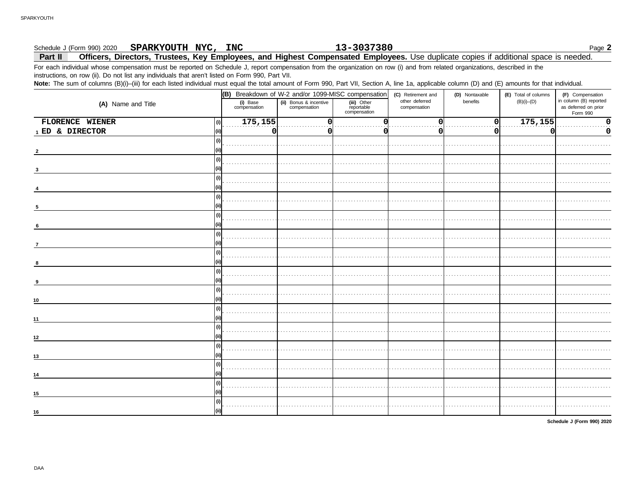## 13-3037380 Schedule J (Form 990) 2020 SPARKYOUTH NYC, INC Officers, Directors, Trustees, Key Employees, and Highest Compensated Employees. Use duplicate copies if additional space is needed. Part II

For each individual whose compensation must be reported on Schedule J, report compensation from the organization on row (i) and from related organizations, described in the instructions, on row (ii). Do not list any individuals that aren't listed on Form 990, Part VII.

Note: The sum of columns (B)(i)-(iii) for each listed individual must equal the total amount of Form 990, Part VII, Section A, line 1a, applicable column (D) and (E) amounts for that individual.

|                          |                          | (B) Breakdown of W-2 and/or 1099-MISC compensation |                                           | (C) Retirement and             | (D) Nontaxable | (E) Total of columns | (F) Compensation                                           |
|--------------------------|--------------------------|----------------------------------------------------|-------------------------------------------|--------------------------------|----------------|----------------------|------------------------------------------------------------|
| (A) Name and Title       | (i) Base<br>compensation | (ii) Bonus & incentive<br>compensation             | (iii) Other<br>reportable<br>compensation | other deferred<br>compensation | benefits       | $(B)(i)$ - $(D)$     | in column (B) reported<br>as deferred on prior<br>Form 990 |
| FLORENCE WIENER<br>(i)   | 175,155                  | $\Omega$                                           | n                                         | 0                              | 0              | 175, 155             | 0                                                          |
| 1 ED & DIRECTOR<br>(iii) |                          | 0 <br>0                                            |                                           | O                              | Οl             | ი                    | 0                                                          |
| (i)                      |                          |                                                    |                                           |                                |                |                      |                                                            |
|                          |                          |                                                    |                                           |                                |                |                      |                                                            |
| (i)                      |                          |                                                    |                                           |                                |                |                      |                                                            |
|                          |                          |                                                    |                                           |                                |                |                      |                                                            |
| (i)                      |                          |                                                    |                                           |                                |                |                      |                                                            |
|                          |                          |                                                    |                                           |                                |                |                      |                                                            |
| (i)                      |                          |                                                    |                                           |                                |                |                      |                                                            |
|                          |                          |                                                    |                                           |                                |                |                      |                                                            |
| (i)                      |                          |                                                    |                                           |                                |                |                      |                                                            |
|                          |                          |                                                    |                                           |                                |                |                      |                                                            |
| (i)                      |                          |                                                    |                                           |                                |                |                      |                                                            |
| $\overline{7}$           |                          |                                                    |                                           |                                |                |                      |                                                            |
| (i)                      |                          |                                                    |                                           |                                |                |                      |                                                            |
| -8                       |                          |                                                    |                                           |                                |                |                      |                                                            |
| (i)                      |                          |                                                    |                                           |                                |                |                      |                                                            |
| -9                       |                          |                                                    |                                           |                                |                |                      |                                                            |
| (i)                      |                          |                                                    |                                           |                                |                |                      |                                                            |
| (ii)<br>10               |                          |                                                    |                                           |                                |                |                      |                                                            |
| (i)                      |                          |                                                    |                                           |                                |                |                      |                                                            |
| 11                       |                          |                                                    |                                           |                                |                |                      |                                                            |
| (i)                      |                          |                                                    |                                           |                                |                |                      |                                                            |
| 12                       |                          |                                                    |                                           |                                |                |                      |                                                            |
| (i)                      |                          |                                                    |                                           |                                |                |                      |                                                            |
| 13                       |                          |                                                    |                                           |                                |                |                      |                                                            |
| (i)                      |                          |                                                    |                                           |                                |                |                      |                                                            |
| 14                       |                          |                                                    |                                           |                                |                |                      |                                                            |
| (i)                      |                          |                                                    |                                           |                                |                |                      |                                                            |
| (ii)<br>15               |                          |                                                    |                                           |                                |                |                      |                                                            |
| (i)                      |                          |                                                    |                                           |                                |                |                      |                                                            |
| 16                       |                          |                                                    |                                           |                                |                |                      |                                                            |

Schedule J (Form 990) 2020

Page 2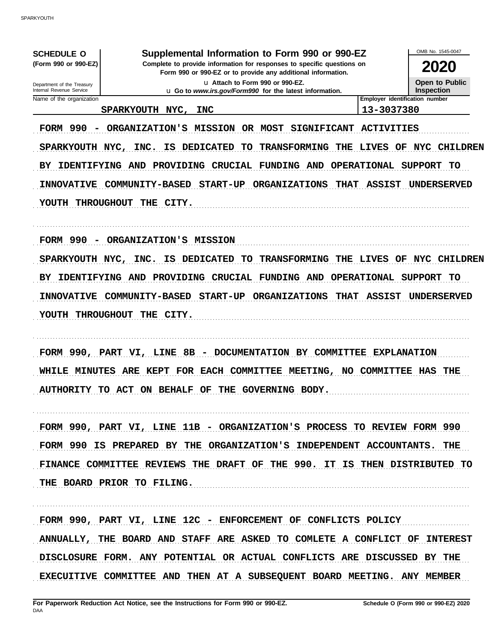| <b>SCHEDULE O</b><br>(Form 990 or 990-EZ)<br>Department of the Treasury<br>Internal Revenue Service | Supplemental Information to Form 990 or 990-EZ<br>Complete to provide information for responses to specific questions on<br>Form 990 or 990-EZ or to provide any additional information.<br>La Attach to Form 990 or 990-EZ.<br>u Go to www.irs.gov/Form990 for the latest information. |                                                               | OMB No. 1545-0047<br><b>2020</b><br>Open to Public<br><b>Inspection</b> |
|-----------------------------------------------------------------------------------------------------|-----------------------------------------------------------------------------------------------------------------------------------------------------------------------------------------------------------------------------------------------------------------------------------------|---------------------------------------------------------------|-------------------------------------------------------------------------|
| Name of the organization                                                                            |                                                                                                                                                                                                                                                                                         | Employer identification number                                |                                                                         |
|                                                                                                     | <b>SPARKYOUTH</b><br>NYC,<br><b>INC</b>                                                                                                                                                                                                                                                 | 13-3037380                                                    |                                                                         |
| <b>FORM 990</b><br>SPARKYOUTH NYC,<br><b>IDENTIFYING</b><br>вY                                      | <b>MISSION</b><br>OR MOST<br>ORGANIZATION'S<br><b>SIGNIFICANT</b><br>DEDICATED<br><b>TO</b><br>THE<br>INC.<br>IS<br><b>TRANSFORMING</b><br><b>CRUCIAL</b><br>AND<br><b>PROVIDING</b><br><b>FUNDING AND</b>                                                                              | <b>ACTIVITIES</b><br><b>LIVES</b><br>OF<br><b>OPERATIONAL</b> | <b>CHILDREN</b><br>NYC<br><b>SUPPORT</b><br>TO                          |
| <b>INNOVATIVE</b><br><b>THROUGHOUT</b><br><b>YOUTH</b>                                              | <b>START-UP</b><br><b>COMMUNITY-BASED</b><br><b>ORGANIZATIONS</b><br><b>THAT</b><br>CITY.<br>THE                                                                                                                                                                                        | <b>ASSIST</b>                                                 | UNDERSERVED                                                             |
| <b>FORM 990</b>                                                                                     | ORGANIZATION'S MISSION                                                                                                                                                                                                                                                                  |                                                               |                                                                         |
| SPARKYOUTH NYC,                                                                                     | INC.<br>IS<br><b>DEDICATED</b><br>TO<br><b>TRANSFORMING</b><br>THE                                                                                                                                                                                                                      | <b>LIVES</b><br>OF                                            | <b>CHILDREN</b><br>NYC                                                  |
| ВY<br><b>IDENTIFYING AND</b><br><b>INNOVATIVE</b><br><b>THROUGHOUT</b><br>YOUTH                     | <b>CRUCIAL</b><br><b>FUNDING AND</b><br>PROVIDING<br><b>START-UP</b><br><b>THAT</b><br><b>COMMUNITY-BASED</b><br><b>ORGANIZATIONS</b><br>THE CITY.                                                                                                                                      | <b>OPERATIONAL</b><br><b>ASSIST</b>                           | <b>SUPPORT</b><br>TO<br>UNDERSERVED                                     |
| FORM 990, PART<br>WHILE<br><b>MINUTES</b>                                                           | 8B<br>DOCUMENTATION BY COMMITTEE<br>VI, LINE<br>$\overline{\phantom{0}}$<br>ARE<br>FOR EACH COMMITTEE<br><b>MEETING,</b><br>KEPT<br>NO .<br>AUTHORITY TO ACT ON BEHALF OF THE GOVERNING BODY.                                                                                           | <b>EXPLANATION</b><br><b>COMMITTEE</b>                        | HAS<br>THE                                                              |
|                                                                                                     | FORM 990, PART VI, LINE 11B - ORGANIZATION'S PROCESS TO REVIEW FORM 990                                                                                                                                                                                                                 |                                                               |                                                                         |
|                                                                                                     | FORM 990 IS PREPARED BY THE ORGANIZATION'S INDEPENDENT ACCOUNTANTS. THE                                                                                                                                                                                                                 |                                                               |                                                                         |
|                                                                                                     | FINANCE COMMITTEE REVIEWS THE DRAFT OF THE 990. IT IS THEN DISTRIBUTED TO<br>THE BOARD PRIOR TO FILING.                                                                                                                                                                                 |                                                               |                                                                         |
|                                                                                                     | FORM 990, PART VI, LINE 12C - ENFORCEMENT OF CONFLICTS POLICY                                                                                                                                                                                                                           |                                                               |                                                                         |
|                                                                                                     | ANNUALLY, THE BOARD AND STAFF ARE ASKED TO COMLETE A CONFLICT OF INTEREST                                                                                                                                                                                                               |                                                               |                                                                         |
|                                                                                                     | DISCLOSURE FORM. ANY POTENTIAL OR ACTUAL CONFLICTS ARE DISCUSSED BY THE<br>EXECUITIVE COMMITTEE AND THEN AT A SUBSEQUENT BOARD MEETING. ANY MEMBER                                                                                                                                      |                                                               |                                                                         |